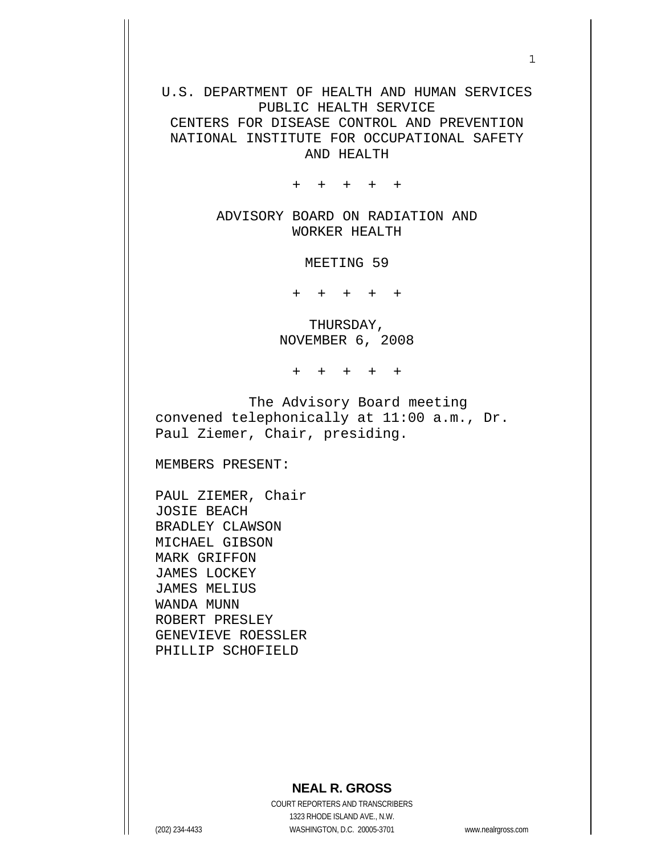## U.S. DEPARTMENT OF HEALTH AND HUMAN SERVICES PUBLIC HEALTH SERVICE CENTERS FOR DISEASE CONTROL AND PREVENTION

NATIONAL INSTITUTE FOR OCCUPATIONAL SAFETY AND HEALTH

+ + + + +

ADVISORY BOARD ON RADIATION AND WORKER HEALTH

MEETING 59

+ + + + +

THURSDAY, NOVEMBER 6, 2008

+ + + + +

 The Advisory Board meeting convened telephonically at 11:00 a.m., Dr. Paul Ziemer, Chair, presiding.

MEMBERS PRESENT:

PAUL ZIEMER, Chair JOSIE BEACH BRADLEY CLAWSON MICHAEL GIBSON MARK GRIFFON JAMES LOCKEY JAMES MELIUS WANDA MUNN ROBERT PRESLEY GENEVIEVE ROESSLER PHILLIP SCHOFIELD

## **NEAL R. GROSS**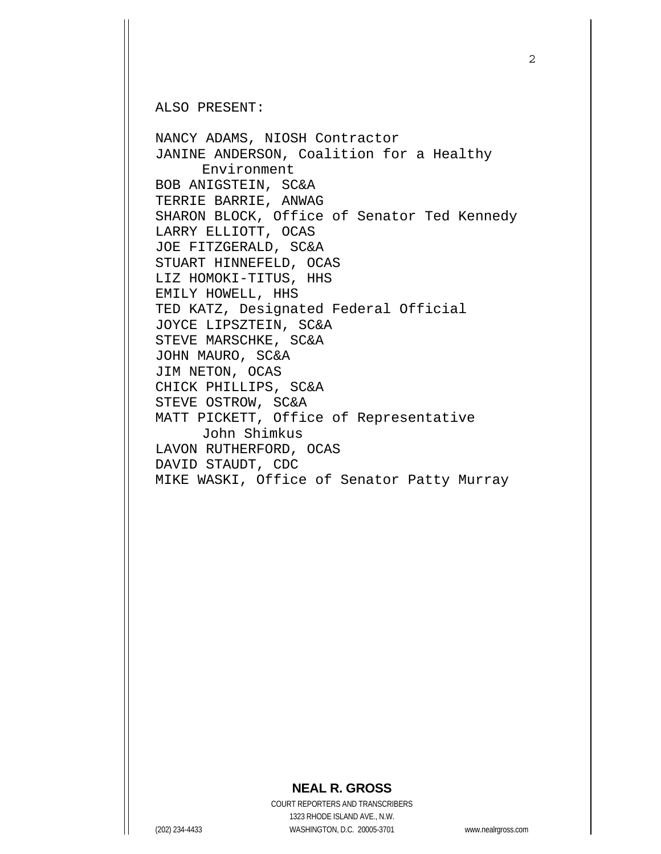ALSO PRESENT:

NANCY ADAMS, NIOSH Contractor JANINE ANDERSON, Coalition for a Healthy Environment BOB ANIGSTEIN, SC&A TERRIE BARRIE, ANWAG SHARON BLOCK, Office of Senator Ted Kennedy LARRY ELLIOTT, OCAS JOE FITZGERALD, SC&A STUART HINNEFELD, OCAS LIZ HOMOKI-TITUS, HHS EMILY HOWELL, HHS TED KATZ, Designated Federal Official JOYCE LIPSZTEIN, SC&A STEVE MARSCHKE, SC&A JOHN MAURO, SC&A JIM NETON, OCAS CHICK PHILLIPS, SC&A STEVE OSTROW, SC&A MATT PICKETT, Office of Representative John Shimkus LAVON RUTHERFORD, OCAS DAVID STAUDT, CDC MIKE WASKI, Office of Senator Patty Murray

## **NEAL R. GROSS**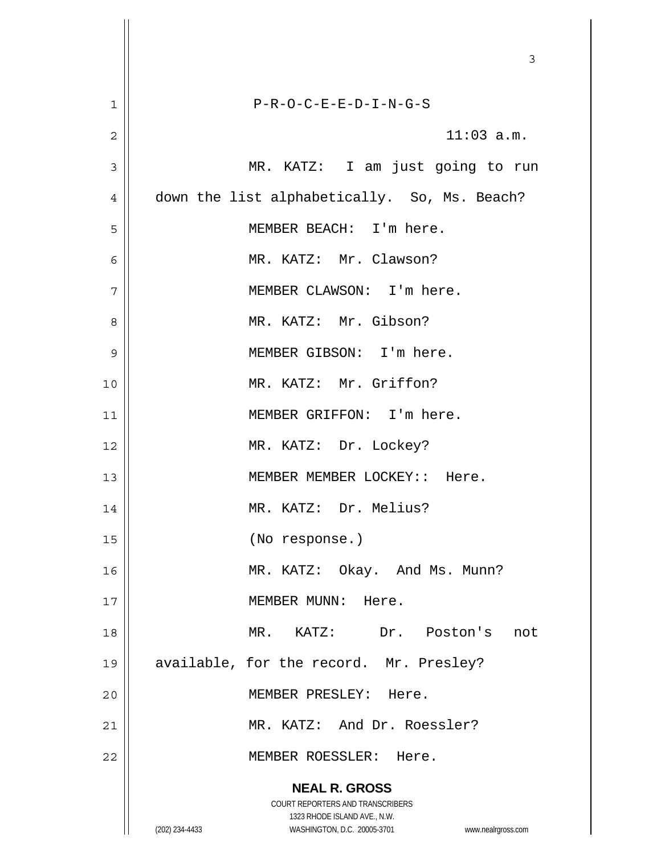|                | 3                                                                                                                                                                      |
|----------------|------------------------------------------------------------------------------------------------------------------------------------------------------------------------|
| 1              | $P-R-O-C-E-E-D-I-N-G-S$                                                                                                                                                |
| $\overline{2}$ | $11:03$ a.m.                                                                                                                                                           |
| 3              | MR. KATZ: I am just going to run                                                                                                                                       |
| 4              | down the list alphabetically. So, Ms. Beach?                                                                                                                           |
| 5              | MEMBER BEACH: I'm here.                                                                                                                                                |
| 6              | MR. KATZ: Mr. Clawson?                                                                                                                                                 |
| 7              | MEMBER CLAWSON: I'm here.                                                                                                                                              |
| 8              | MR. KATZ: Mr. Gibson?                                                                                                                                                  |
| 9              | MEMBER GIBSON: I'm here.                                                                                                                                               |
| 10             | MR. KATZ: Mr. Griffon?                                                                                                                                                 |
| 11             | MEMBER GRIFFON: I'm here.                                                                                                                                              |
| 12             | MR. KATZ: Dr. Lockey?                                                                                                                                                  |
| 13             | MEMBER MEMBER LOCKEY:: Here.                                                                                                                                           |
| 14             | MR. KATZ: Dr. Melius?                                                                                                                                                  |
| 15             | (No response.)                                                                                                                                                         |
| 16             | MR. KATZ: Okay. And Ms. Munn?                                                                                                                                          |
| 17             | MEMBER MUNN: Here.                                                                                                                                                     |
| 18             | MR. KATZ: Dr. Poston's not                                                                                                                                             |
| 19             | available, for the record. Mr. Presley?                                                                                                                                |
| 20             | MEMBER PRESLEY: Here.                                                                                                                                                  |
| 21             | MR. KATZ: And Dr. Roessler?                                                                                                                                            |
| 22             | MEMBER ROESSLER: Here.                                                                                                                                                 |
|                | <b>NEAL R. GROSS</b><br><b>COURT REPORTERS AND TRANSCRIBERS</b><br>1323 RHODE ISLAND AVE., N.W.<br>(202) 234-4433<br>WASHINGTON, D.C. 20005-3701<br>www.nealrgross.com |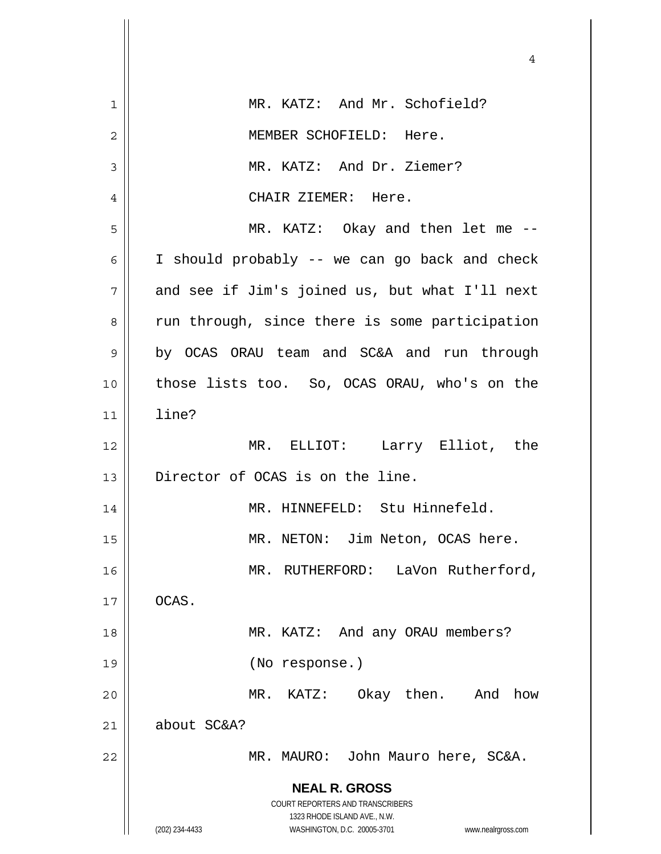|    | 4                                                                                                   |
|----|-----------------------------------------------------------------------------------------------------|
|    |                                                                                                     |
| 1  | MR. KATZ: And Mr. Schofield?                                                                        |
| 2  | MEMBER SCHOFIELD: Here.                                                                             |
| 3  | MR. KATZ: And Dr. Ziemer?                                                                           |
| 4  | CHAIR ZIEMER: Here.                                                                                 |
| 5  | MR. KATZ: Okay and then let me --                                                                   |
| 6  | I should probably -- we can go back and check                                                       |
| 7  | and see if Jim's joined us, but what I'll next                                                      |
| 8  | run through, since there is some participation                                                      |
| 9  | by OCAS ORAU team and SC&A and run through                                                          |
| 10 | those lists too. So, OCAS ORAU, who's on the                                                        |
| 11 | line?                                                                                               |
| 12 | MR. ELLIOT: Larry Elliot, the                                                                       |
| 13 | Director of OCAS is on the line.                                                                    |
| 14 | MR. HINNEFELD: Stu Hinnefeld.                                                                       |
| 15 | MR. NETON: Jim Neton, OCAS here.                                                                    |
| 16 | LaVon Rutherford,<br>MR. RUTHERFORD:                                                                |
| 17 | OCAS.                                                                                               |
| 18 | MR. KATZ: And any ORAU members?                                                                     |
| 19 | (No response.)                                                                                      |
| 20 | MR. KATZ: Okay then.<br>And<br>how                                                                  |
| 21 | about SC&A?                                                                                         |
| 22 | MR. MAURO: John Mauro here, SC&A.                                                                   |
|    | <b>NEAL R. GROSS</b>                                                                                |
|    | <b>COURT REPORTERS AND TRANSCRIBERS</b>                                                             |
|    | 1323 RHODE ISLAND AVE., N.W.<br>(202) 234-4433<br>WASHINGTON, D.C. 20005-3701<br>www.nealrgross.com |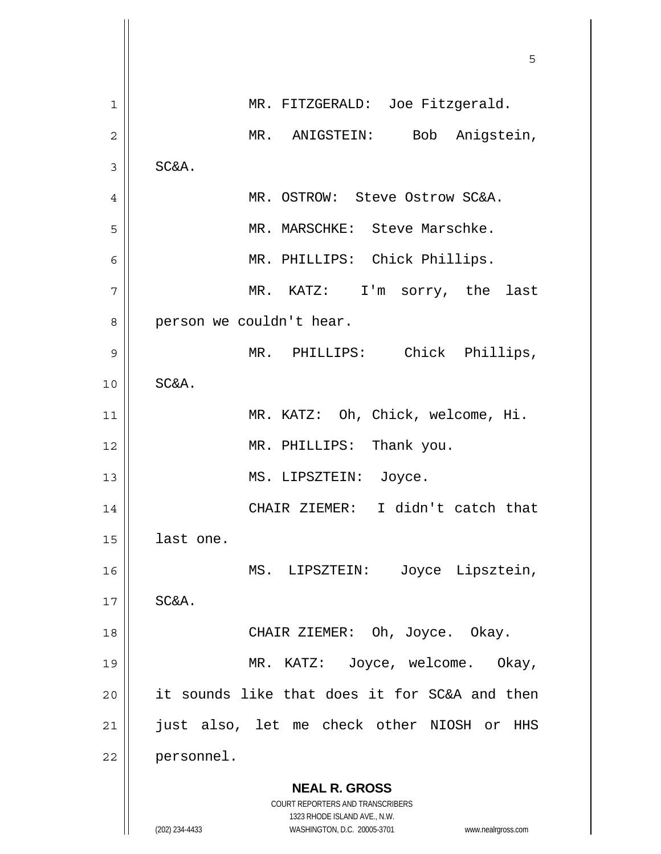|                | 5                                                                   |
|----------------|---------------------------------------------------------------------|
| $\mathbf 1$    | MR. FITZGERALD: Joe Fitzgerald.                                     |
| $\overline{2}$ | MR. ANIGSTEIN: Bob Anigstein,                                       |
| 3              | SC&A.                                                               |
| 4              | MR. OSTROW: Steve Ostrow SC&A.                                      |
| 5              | MR. MARSCHKE: Steve Marschke.                                       |
| 6              | MR. PHILLIPS: Chick Phillips.                                       |
| 7              | MR. KATZ: I'm sorry, the last                                       |
| 8              | person we couldn't hear.                                            |
| 9              | MR. PHILLIPS: Chick Phillips,                                       |
| 10             | SC&A.                                                               |
| 11             | MR. KATZ: Oh, Chick, welcome, Hi.                                   |
| 12             | MR. PHILLIPS: Thank you.                                            |
| 13             | MS. LIPSZTEIN: Joyce.                                               |
| 14             | CHAIR ZIEMER: I didn't catch that                                   |
| 15             | last one.                                                           |
| 16             | Joyce Lipsztein,<br>MS. LIPSZTEIN:                                  |
| 17             | SC&A.                                                               |
| 18             | CHAIR ZIEMER: Oh, Joyce. Okay.                                      |
| 19             | MR. KATZ: Joyce, welcome. Okay,                                     |
| 20             | it sounds like that does it for SC&A and then                       |
| 21             | just also, let me check other NIOSH or<br>HHS                       |
| 22             | personnel.                                                          |
|                | <b>NEAL R. GROSS</b>                                                |
|                | COURT REPORTERS AND TRANSCRIBERS<br>1323 RHODE ISLAND AVE., N.W.    |
|                | (202) 234-4433<br>WASHINGTON, D.C. 20005-3701<br>www.nealrgross.com |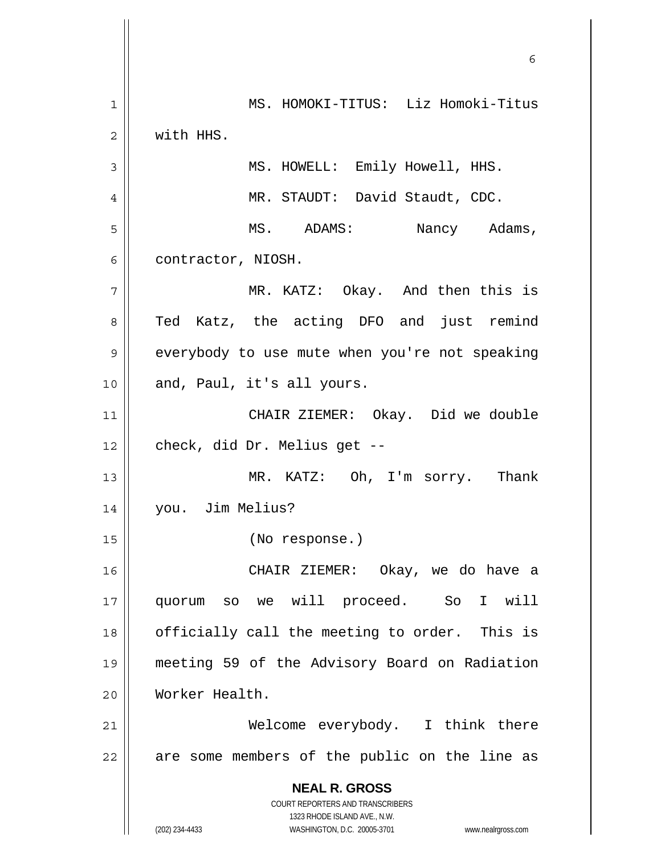**NEAL R. GROSS** COURT REPORTERS AND TRANSCRIBERS 1323 RHODE ISLAND AVE., N.W. (202) 234-4433 WASHINGTON, D.C. 20005-3701 www.nealrgross.com  $\sim$  6 1 MS. HOMOKI-TITUS: Liz Homoki-Titus 2 with HHS. 3 || MS. HOWELL: Emily Howell, HHS. 4 MR. STAUDT: David Staudt, CDC. 5 MS. ADAMS: Nancy Adams, 6 | contractor, NIOSH. 7 || MR. KATZ: Okay. And then this is 8 Ted Katz, the acting DFO and just remind 9 | everybody to use mute when you're not speaking 10 || and, Paul, it's all yours. 11 CHAIR ZIEMER: Okay. Did we double 12 | check, did Dr. Melius get --13 MR. KATZ: Oh, I'm sorry. Thank 14 you. Jim Melius? 15 (No response.) 16 CHAIR ZIEMER: Okay, we do have a 17 quorum so we will proceed. So I will  $18$  || officially call the meeting to order. This is 19 meeting 59 of the Advisory Board on Radiation 20 Worker Health. 21 Welcome everybody. I think there  $22$  || are some members of the public on the line as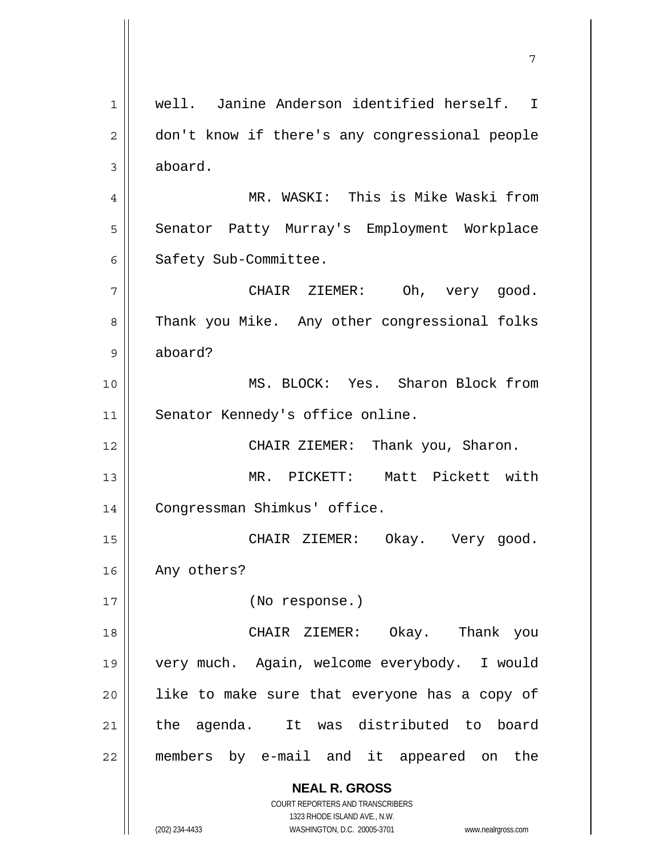**NEAL R. GROSS** COURT REPORTERS AND TRANSCRIBERS 1323 RHODE ISLAND AVE., N.W. 1 well. Janine Anderson identified herself. I 2 | don't know if there's any congressional people 3 aboard. 4 MR. WASKI: This is Mike Waski from 5 | Senator Patty Murray's Employment Workplace 6 | Safety Sub-Committee. 7 CHAIR ZIEMER: Oh, very good. 8 Thank you Mike. Any other congressional folks 9 aboard? 10 MS. BLOCK: Yes. Sharon Block from 11 || Senator Kennedy's office online. 12 || CHAIR ZIEMER: Thank you, Sharon. 13 MR. PICKETT: Matt Pickett with 14 | Congressman Shimkus' office. 15 CHAIR ZIEMER: Okay. Very good. 16 | Any others? 17 || (No response.) 18 CHAIR ZIEMER: Okay. Thank you 19 very much. Again, welcome everybody. I would  $20$  || like to make sure that everyone has a copy of 21 || the agenda. It was distributed to board 22 members by e-mail and it appeared on the

7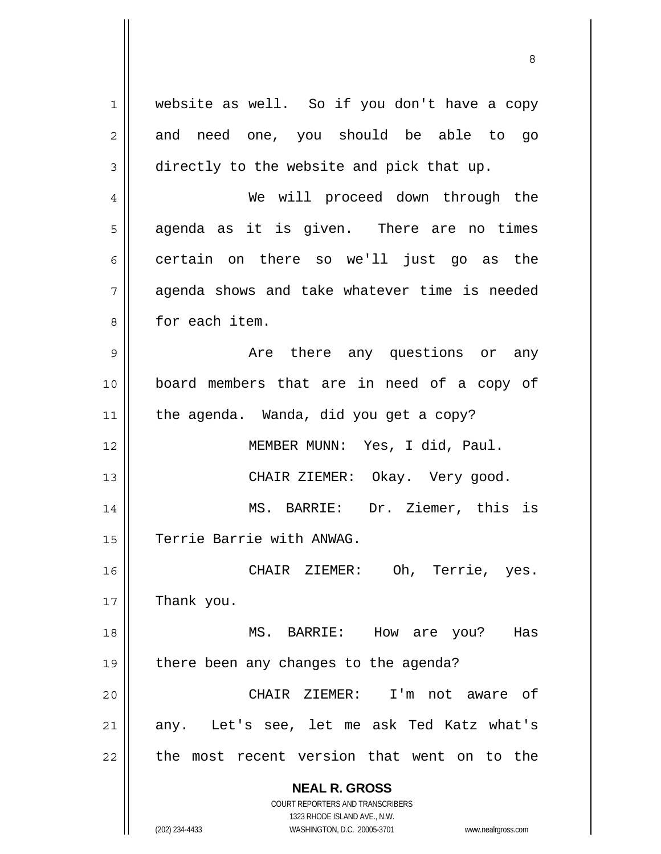**NEAL R. GROSS** COURT REPORTERS AND TRANSCRIBERS 1323 RHODE ISLAND AVE., N.W. (202) 234-4433 WASHINGTON, D.C. 20005-3701 www.nealrgross.com 1 | website as well. So if you don't have a copy  $2 \parallel$  and need one, you should be able to go 3 directly to the website and pick that up. 4 We will proceed down through the  $5 \parallel$  agenda as it is given. There are no times  $6 \parallel$  certain on there so we'll just go as the 7 agenda shows and take whatever time is needed 8 | for each item. 9 Are there any questions or any 10 board members that are in need of a copy of 11 | the agenda. Wanda, did you get a copy? 12 MEMBER MUNN: Yes, I did, Paul. 13 CHAIR ZIEMER: Okay. Very good. 14 MS. BARRIE: Dr. Ziemer, this is 15 | Terrie Barrie with ANWAG. 16 CHAIR ZIEMER: Oh, Terrie, yes.  $17$  | Thank you. 18 MS. BARRIE: How are you? Has 19 | there been any changes to the agenda? 20 CHAIR ZIEMER: I'm not aware of 21 any. Let's see, let me ask Ted Katz what's 22 || the most recent version that went on to the

<u>83 - Santa Carlos de Santa Carlos de Santa Carlos de Santa Carlos de Santa Carlos de Santa Carlos de Santa Ca</u>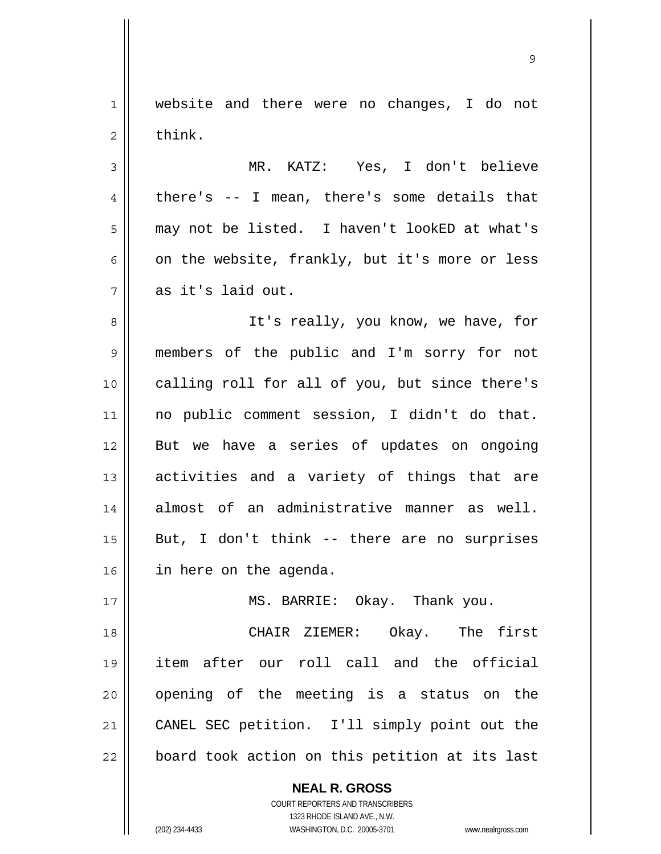1 website and there were no changes, I do not  $2 \parallel$  think.

9

3 MR. KATZ: Yes, I don't believe  $4 \parallel$  there's -- I mean, there's some details that 5 || may not be listed. I haven't lookED at what's 6  $\vert$  on the website, frankly, but it's more or less 7 as it's laid out.

8 || It's really, you know, we have, for 9 members of the public and I'm sorry for not 10 || calling roll for all of you, but since there's 11 no public comment session, I didn't do that. 12 But we have a series of updates on ongoing 13 || activities and a variety of things that are 14 almost of an administrative manner as well.  $15$  || But, I don't think -- there are no surprises 16 in here on the agenda.

17 || MS. BARRIE: Okay. Thank you.

CHAIR ZIEMER: Okay. The first item after our roll call and the official 20 || opening of the meeting is a status on the CANEL SEC petition. I'll simply point out the | board took action on this petition at its last

> **NEAL R. GROSS** COURT REPORTERS AND TRANSCRIBERS 1323 RHODE ISLAND AVE., N.W.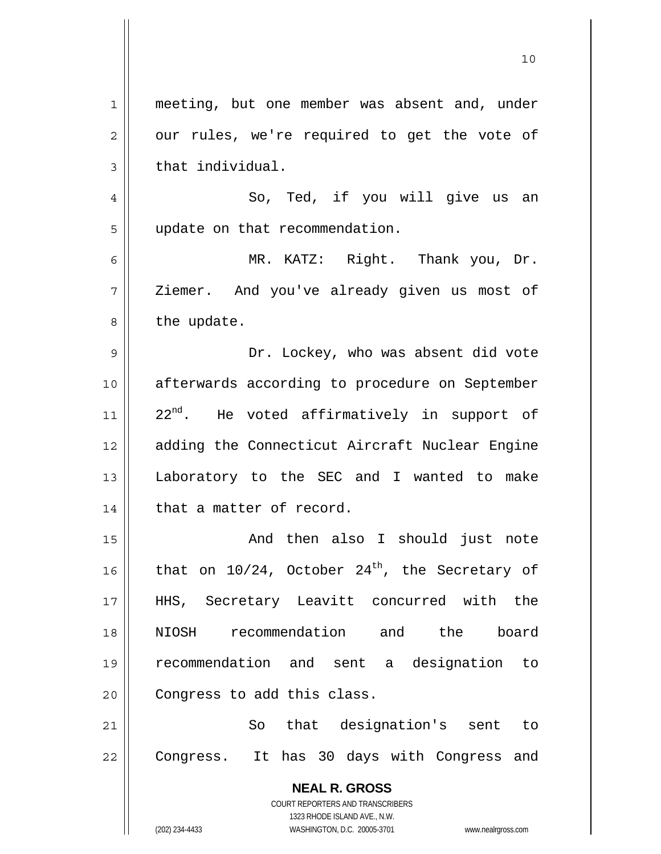| 1  | meeting, but one member was absent and, under                       |
|----|---------------------------------------------------------------------|
| 2  | our rules, we're required to get the vote of                        |
| 3  | that individual.                                                    |
| 4  | So, Ted, if you will give us an                                     |
| 5  | update on that recommendation.                                      |
| 6  | MR. KATZ: Right. Thank you, Dr.                                     |
| 7  | Ziemer. And you've already given us most of                         |
| 8  | the update.                                                         |
| 9  | Dr. Lockey, who was absent did vote                                 |
| 10 | afterwards according to procedure on September                      |
| 11 | 22 <sup>nd</sup> . He voted affirmatively in support of             |
| 12 | adding the Connecticut Aircraft Nuclear Engine                      |
| 13 | Laboratory to the SEC and I wanted to make                          |
| 14 | that a matter of record.                                            |
| 15 | And then also I should just note                                    |
| 16 | that on $10/24$ , October $24th$ , the Secretary of                 |
| 17 | HHS, Secretary Leavitt concurred with the                           |
| 18 | NIOSH recommendation and the board                                  |
| 19 | recommendation and sent a designation to                            |
| 20 | Congress to add this class.                                         |
| 21 | So that designation's sent to                                       |
| 22 | Congress. It has 30 days with Congress and                          |
|    | <b>NEAL R. GROSS</b>                                                |
|    | COURT REPORTERS AND TRANSCRIBERS                                    |
|    | 1323 RHODE ISLAND AVE., N.W.                                        |
|    | (202) 234-4433<br>WASHINGTON, D.C. 20005-3701<br>www.nealrgross.com |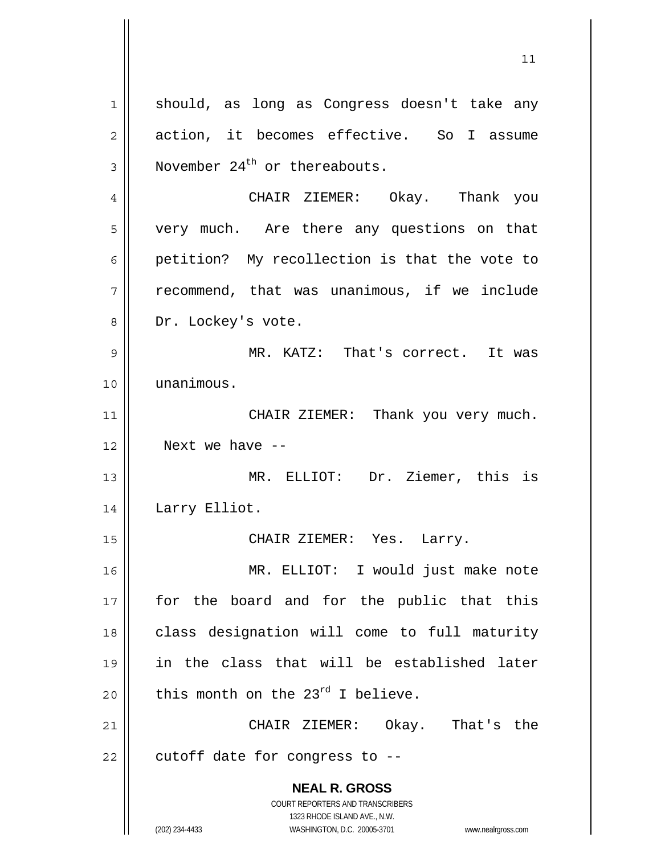**NEAL R. GROSS** COURT REPORTERS AND TRANSCRIBERS 1323 RHODE ISLAND AVE., N.W. 1 || should, as long as Congress doesn't take any 2 | action, it becomes effective. So I assume  $3$  | November 24<sup>th</sup> or thereabouts. 4 CHAIR ZIEMER: Okay. Thank you 5 || very much. Are there any questions on that 6 | petition? My recollection is that the vote to  $7 \parallel$  recommend, that was unanimous, if we include 8 | Dr. Lockey's vote. 9 MR. KATZ: That's correct. It was 10 unanimous. 11 || CHAIR ZIEMER: Thank you very much. 12 Next we have -- 13 MR. ELLIOT: Dr. Ziemer, this is 14 || Larry Elliot. 15 CHAIR ZIEMER: Yes. Larry. 16 MR. ELLIOT: I would just make note 17 || for the board and for the public that this 18 || class designation will come to full maturity 19 in the class that will be established later 20  $\parallel$  this month on the 23<sup>rd</sup> I believe. 21 CHAIR ZIEMER: Okay. That's the  $22$  | cutoff date for congress to  $-$ -

 $11$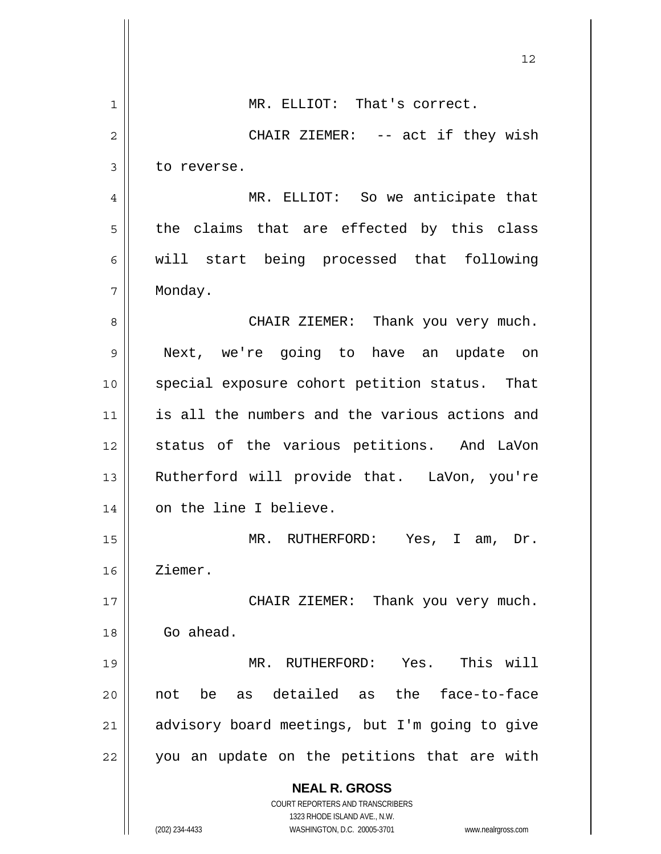|                | 12                                                                  |
|----------------|---------------------------------------------------------------------|
| 1              | MR. ELLIOT: That's correct.                                         |
| $\overline{2}$ | CHAIR ZIEMER: -- act if they wish                                   |
| 3              | to reverse.                                                         |
| 4              | MR. ELLIOT: So we anticipate that                                   |
| 5              | the claims that are effected by this class                          |
| 6              | will start being processed that following                           |
| 7              | Monday.                                                             |
| 8              | CHAIR ZIEMER: Thank you very much.                                  |
| 9              | Next, we're going to have an update on                              |
| 10             | special exposure cohort petition status. That                       |
| 11             | is all the numbers and the various actions and                      |
| 12             | status of the various petitions. And LaVon                          |
| 13             | Rutherford will provide that. LaVon, you're                         |
| 14             | on the line I believe.                                              |
| 15             | MR. RUTHERFORD: Yes, I am, Dr.                                      |
| 16             | Ziemer.                                                             |
| 17             | CHAIR ZIEMER: Thank you very much.                                  |
| 18             | Go ahead.                                                           |
| 19             | Yes. This will<br>MR. RUTHERFORD:                                   |
| 20             | as detailed as the face-to-face<br>be<br>not                        |
| 21             | advisory board meetings, but I'm going to give                      |
| 22             | you an update on the petitions that are with                        |
|                | <b>NEAL R. GROSS</b><br>COURT REPORTERS AND TRANSCRIBERS            |
|                | 1323 RHODE ISLAND AVE., N.W.                                        |
|                | (202) 234-4433<br>WASHINGTON, D.C. 20005-3701<br>www.nealrgross.com |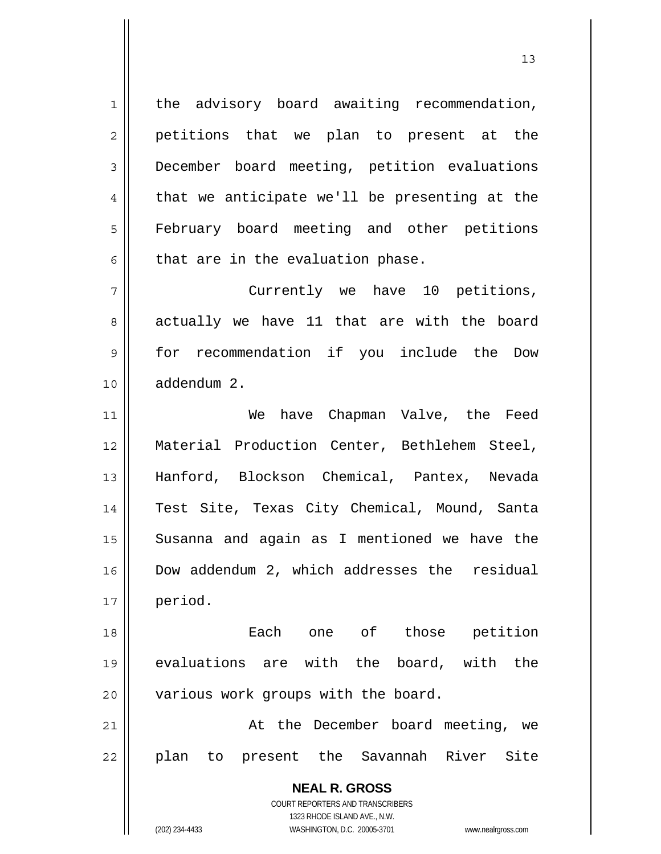1 || the advisory board awaiting recommendation,  $2 \parallel$  petitions that we plan to present at the 3 December board meeting, petition evaluations  $4 \parallel$  that we anticipate we'll be presenting at the 5 | February board meeting and other petitions  $6$  that are in the evaluation phase.

7 || Currently we have 10 petitions,  $8 \parallel$  actually we have 11 that are with the board 9 for recommendation if you include the Dow 10 addendum 2.

11 || We have Chapman Valve, the Feed 12 Material Production Center, Bethlehem Steel, 13 Hanford, Blockson Chemical, Pantex, Nevada 14 Test Site, Texas City Chemical, Mound, Santa 15 || Susanna and again as I mentioned we have the 16 Dow addendum 2, which addresses the residual 17 period.

18 Each one of those petition 19 evaluations are with the board, with the 20 | various work groups with the board.

21 || At the December board meeting, we 22 || plan to present the Savannah River Site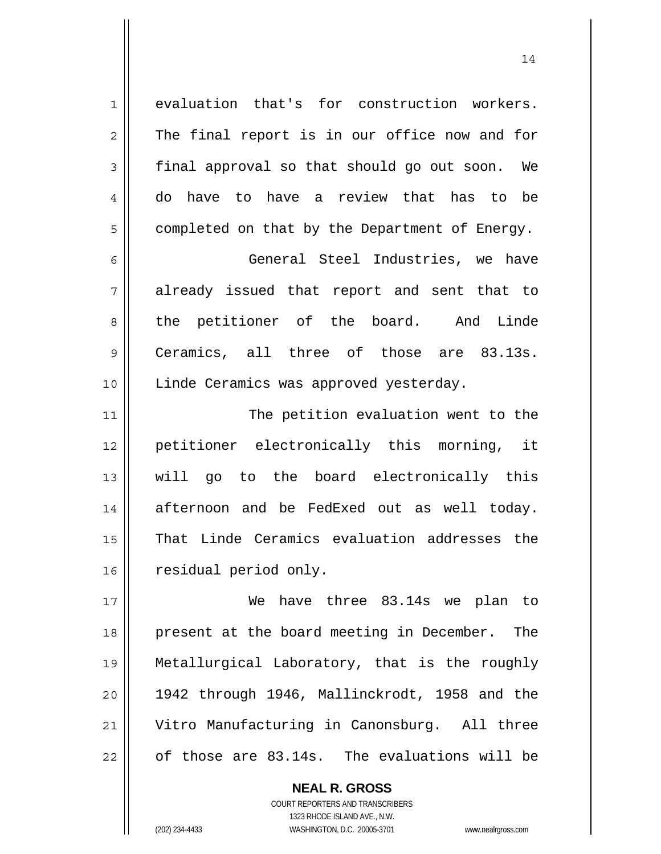1 evaluation that's for construction workers.  $2 \parallel$  The final report is in our office now and for  $3 \parallel$  final approval so that should go out soon. We 4 do have to have a review that has to be  $5 \parallel$  completed on that by the Department of Energy.

6 General Steel Industries, we have 7 already issued that report and sent that to 8 the petitioner of the board. And Linde 9 Ceramics, all three of those are 83.13s. 10 | Linde Ceramics was approved yesterday.

11 || The petition evaluation went to the 12 petitioner electronically this morning, it 13 will go to the board electronically this 14 afternoon and be FedExed out as well today. 15 That Linde Ceramics evaluation addresses the 16 | residual period only.

We have three 83.14s we plan to 18 || present at the board meeting in December. The Metallurgical Laboratory, that is the roughly || 1942 through 1946, Mallinckrodt, 1958 and the Vitro Manufacturing in Canonsburg. All three | of those are  $83.14s$ . The evaluations will be

> COURT REPORTERS AND TRANSCRIBERS 1323 RHODE ISLAND AVE., N.W. (202) 234-4433 WASHINGTON, D.C. 20005-3701 www.nealrgross.com

 **NEAL R. GROSS**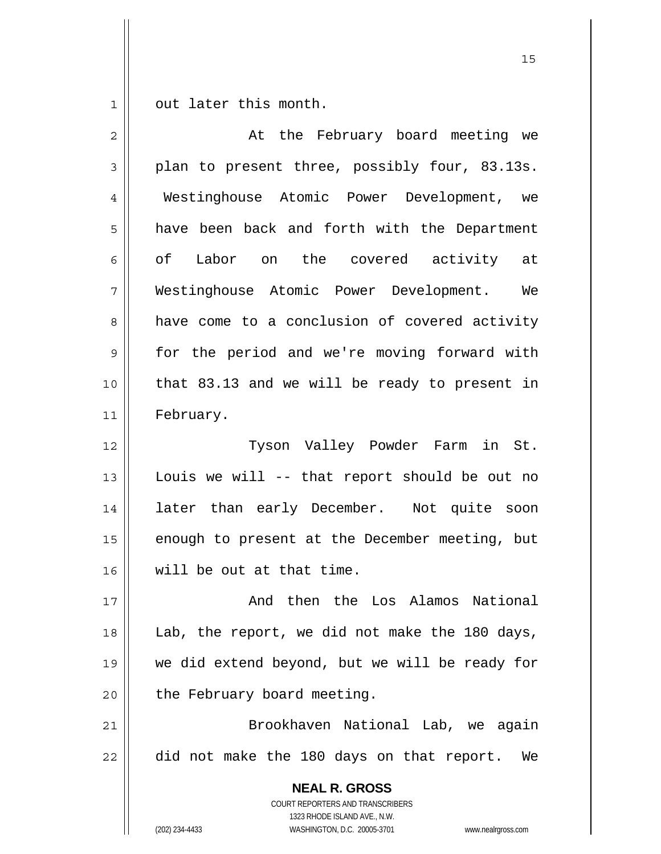$1 \parallel$  out later this month.

| $\overline{2}$ | At the February board meeting we                                                                                                                                |
|----------------|-----------------------------------------------------------------------------------------------------------------------------------------------------------------|
| 3              | plan to present three, possibly four, 83.13s.                                                                                                                   |
| 4              | Westinghouse Atomic Power Development, we                                                                                                                       |
| 5              | have been back and forth with the Department                                                                                                                    |
| 6              | Labor on the covered activity at<br>of                                                                                                                          |
| 7              | Westinghouse Atomic Power Development. We                                                                                                                       |
| 8              | have come to a conclusion of covered activity                                                                                                                   |
| $\mathsf 9$    | for the period and we're moving forward with                                                                                                                    |
| 10             | that 83.13 and we will be ready to present in                                                                                                                   |
| 11             | February.                                                                                                                                                       |
| 12             | Tyson Valley Powder Farm in St.                                                                                                                                 |
| 13             | Louis we will -- that report should be out no                                                                                                                   |
| 14             | later than early December. Not quite soon                                                                                                                       |
| 15             | enough to present at the December meeting, but                                                                                                                  |
| 16             | will be out at that time.                                                                                                                                       |
| $17$           | And then the Los Alamos National                                                                                                                                |
| 18             | Lab, the report, we did not make the 180 days,                                                                                                                  |
| 19             | we did extend beyond, but we will be ready for                                                                                                                  |
| 20             | the February board meeting.                                                                                                                                     |
| 21             | Brookhaven National Lab, we again                                                                                                                               |
| 22             | did not make the 180 days on that report. We                                                                                                                    |
|                | <b>NEAL R. GROSS</b><br>COURT REPORTERS AND TRANSCRIBERS<br>1323 RHODE ISLAND AVE., N.W.<br>(202) 234-4433<br>WASHINGTON, D.C. 20005-3701<br>www.nealrgross.com |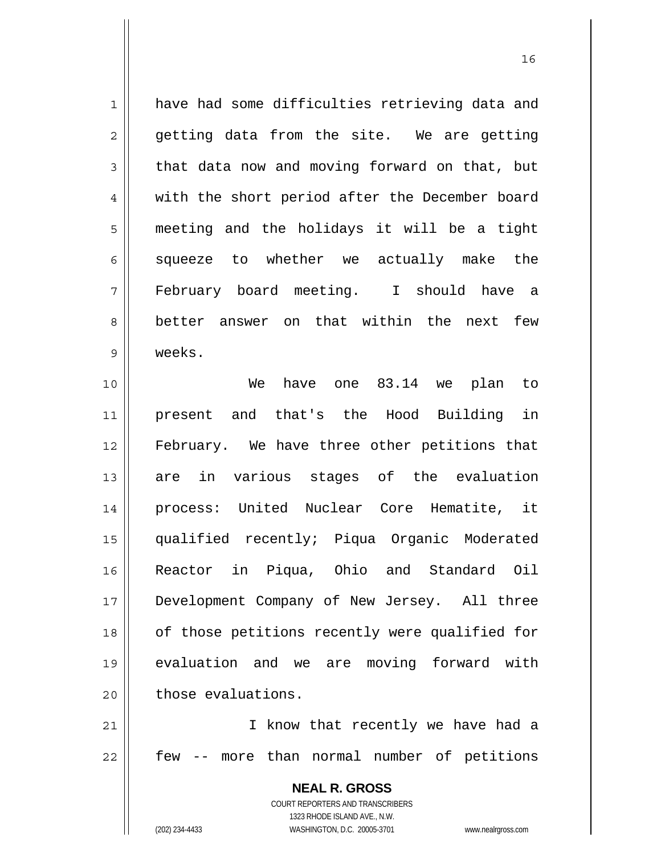1 have had some difficulties retrieving data and  $2 \parallel$  getting data from the site. We are getting  $3 \parallel$  that data now and moving forward on that, but 4 || with the short period after the December board 5 meeting and the holidays it will be a tight  $6$  squeeze to whether we actually make the 7 February board meeting. I should have a 8 better answer on that within the next few 9 weeks.

We have one 83.14 we plan to present and that's the Hood Building in February. We have three other petitions that 13 are in various stages of the evaluation process: United Nuclear Core Hematite, it qualified recently; Piqua Organic Moderated Reactor in Piqua, Ohio and Standard Oil Development Company of New Jersey. All three 18 || of those petitions recently were qualified for evaluation and we are moving forward with  $\parallel$  those evaluations.

21 || I know that recently we have had a  $22$  || few -- more than normal number of petitions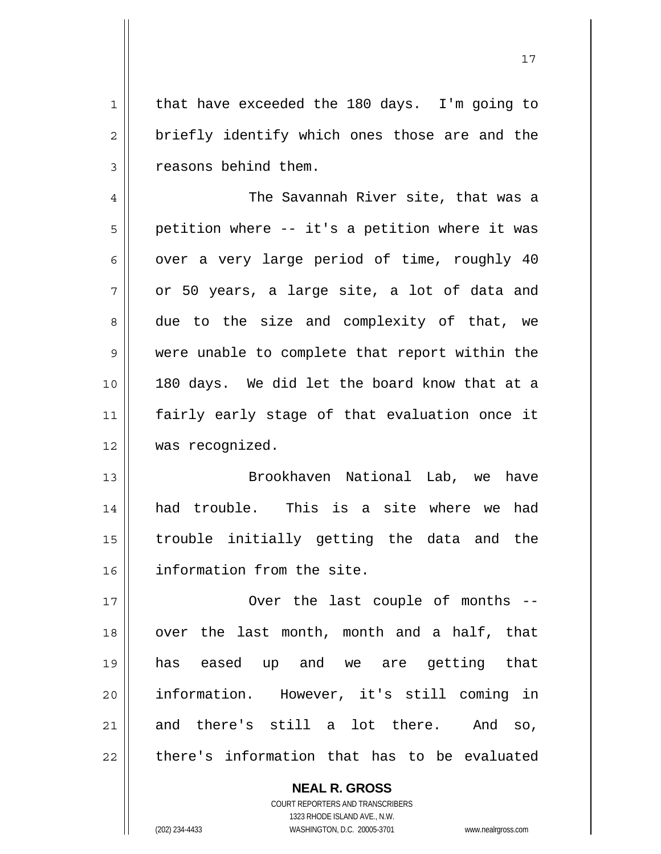1 || that have exceeded the 180 days. I'm going to  $2 \parallel$  briefly identify which ones those are and the 3 | reasons behind them.

17

4 || The Savannah River site, that was a  $5 \parallel$  petition where -- it's a petition where it was 6 | over a very large period of time, roughly 40  $7 \parallel$  or 50 years, a large site, a lot of data and 8 due to the size and complexity of that, we 9 || were unable to complete that report within the 10 180 days. We did let the board know that at a 11 fairly early stage of that evaluation once it 12 was recognized.

13 || Brookhaven National Lab, we have had trouble. This is a site where we had trouble initially getting the data and the information from the site.

17 || Over the last couple of months --18 || over the last month, month and a half, that 19 has eased up and we are getting that 20 information. However, it's still coming in 21 and there's still a lot there. And so,  $22$  || there's information that has to be evaluated

> COURT REPORTERS AND TRANSCRIBERS 1323 RHODE ISLAND AVE., N.W. (202) 234-4433 WASHINGTON, D.C. 20005-3701 www.nealrgross.com

 **NEAL R. GROSS**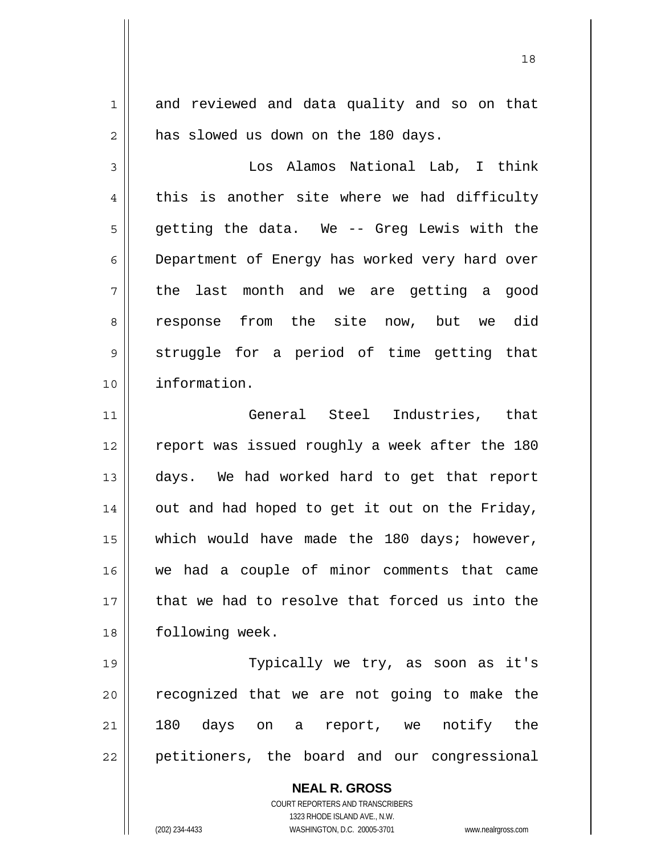1 and reviewed and data quality and so on that  $2 \parallel$  has slowed us down on the 180 days.

18

3 Los Alamos National Lab, I think  $4 \parallel$  this is another site where we had difficulty  $5 \parallel$  getting the data. We -- Greg Lewis with the 6 Department of Energy has worked very hard over  $7 \parallel$  the last month and we are getting a good 8 || response from the site now, but we did  $9 \parallel$  struggle for a period of time getting that 10 information.

11 General Steel Industries, that 12 || report was issued roughly a week after the 180 13 days. We had worked hard to get that report  $14$  | out and had hoped to get it out on the Friday, 15 || which would have made the 180 days; however, 16 we had a couple of minor comments that came 17 || that we had to resolve that forced us into the 18 | following week.

19 || Typically we try, as soon as it's 20 || recognized that we are not going to make the 21 180 days on a report, we notify the  $22$  || petitioners, the board and our congressional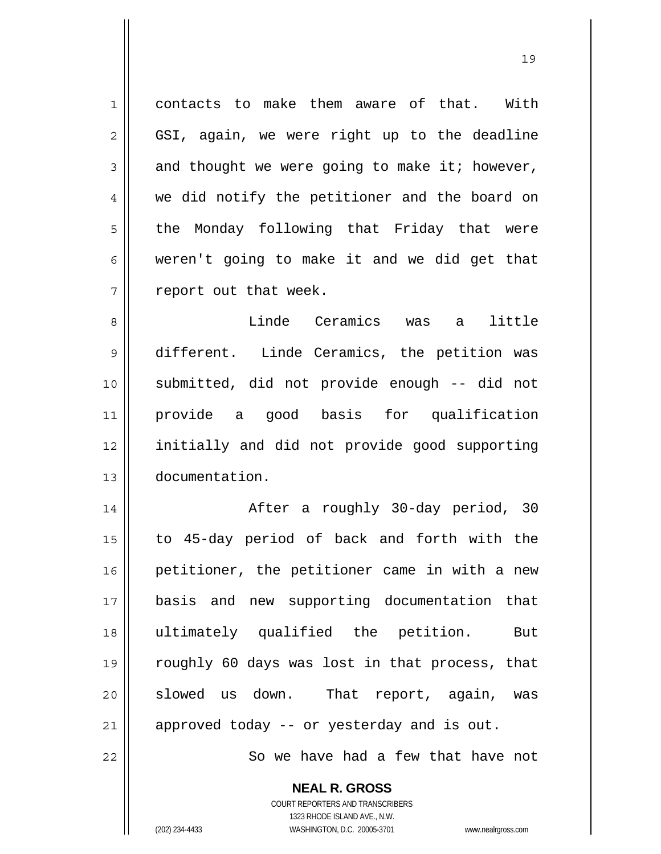1 contacts to make them aware of that. With  $2 \parallel$  GSI, again, we were right up to the deadline  $3 \parallel$  and thought we were going to make it; however, 4 we did notify the petitioner and the board on  $5 \parallel$  the Monday following that Friday that were  $6 \parallel$  weren't going to make it and we did get that  $7$  | report out that week.

Linde Ceramics was a little different. Linde Ceramics, the petition was submitted, did not provide enough -- did not provide a good basis for qualification initially and did not provide good supporting documentation.

After a roughly 30-day period, 30 to 45-day period of back and forth with the 16 || petitioner, the petitioner came in with a new basis and new supporting documentation that ultimately qualified the petition. But roughly 60 days was lost in that process, that 20 || slowed us down. That report, again, was approved today -- or yesterday and is out.

22 || So we have had a few that have not

 **NEAL R. GROSS** COURT REPORTERS AND TRANSCRIBERS 1323 RHODE ISLAND AVE., N.W.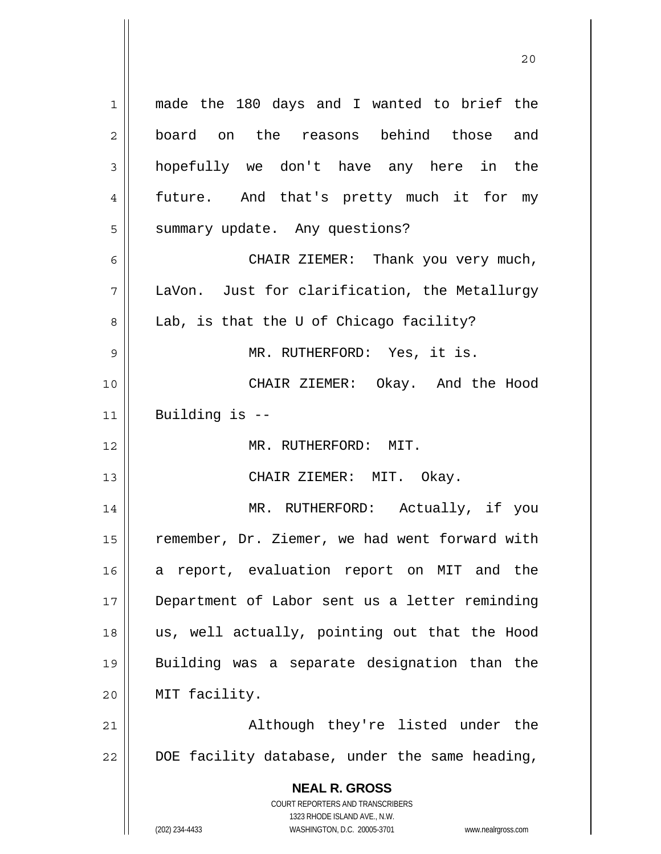**NEAL R. GROSS** COURT REPORTERS AND TRANSCRIBERS 1323 RHODE ISLAND AVE., N.W. 1 made the 180 days and I wanted to brief the 2 board on the reasons behind those and 3 hopefully we don't have any here in the 4 || future. And that's pretty much it for my 5 | summary update. Any questions? 6 CHAIR ZIEMER: Thank you very much, 7 LaVon. Just for clarification, the Metallurgy 8 || Lab, is that the U of Chicago facility? 9 MR. RUTHERFORD: Yes, it is. 10 CHAIR ZIEMER: Okay. And the Hood  $11$  || Building is  $-$ 12 MR. RUTHERFORD: MIT. 13 CHAIR ZIEMER: MIT. Okay. 14 MR. RUTHERFORD: Actually, if you 15 | remember, Dr. Ziemer, we had went forward with 16 a report, evaluation report on MIT and the 17 Department of Labor sent us a letter reminding 18 us, well actually, pointing out that the Hood 19 Building was a separate designation than the 20 MIT facility. 21 || Although they're listed under the  $22$   $\parallel$  DOE facility database, under the same heading,

(202) 234-4433 WASHINGTON, D.C. 20005-3701 www.nealrgross.com

20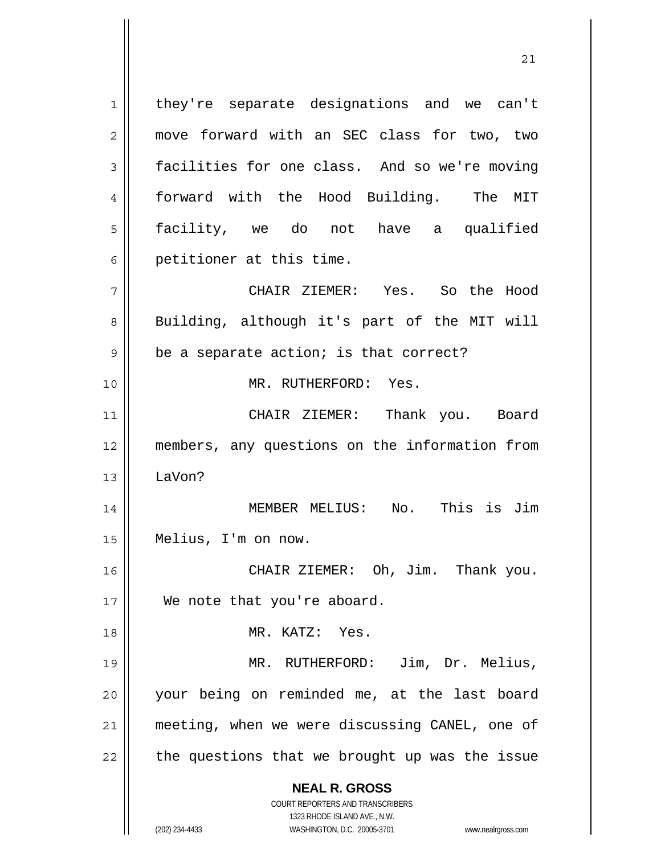1 || they're separate designations and we can't 2 || move forward with an SEC class for two, two 3 | facilities for one class. And so we're moving forward with the Hood Building. The MIT facility, we do not have a qualified  $6 \parallel$  petitioner at this time. CHAIR ZIEMER: Yes. So the Hood 8 || Building, although it's part of the MIT will  $9 \parallel$  be a separate action; is that correct? MR. RUTHERFORD: Yes. CHAIR ZIEMER: Thank you. Board members, any questions on the information from 13 LaVon? MEMBER MELIUS: No. This is Jim Melius, I'm on now. CHAIR ZIEMER: Oh, Jim. Thank you. 17 || We note that you're aboard. MR. KATZ: Yes. MR. RUTHERFORD: Jim, Dr. Melius, your being on reminded me, at the last board meeting, when we were discussing CANEL, one of || the questions that we brought up was the issue

21

 **NEAL R. GROSS** COURT REPORTERS AND TRANSCRIBERS

 1323 RHODE ISLAND AVE., N.W. (202) 234-4433 WASHINGTON, D.C. 20005-3701 www.nealrgross.com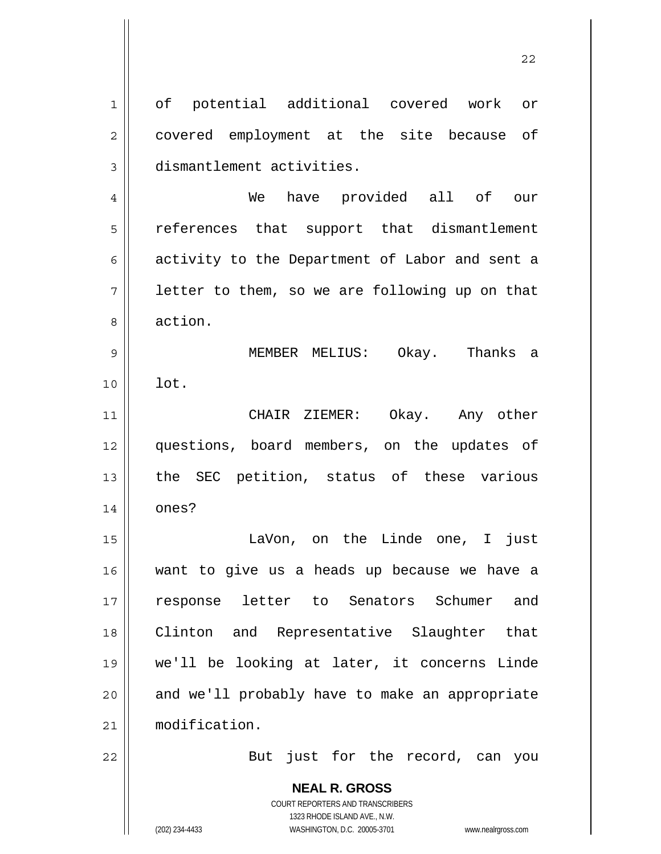**NEAL R. GROSS** COURT REPORTERS AND TRANSCRIBERS 1323 RHODE ISLAND AVE., N.W. 1 of potential additional covered work or 2 || covered employment at the site because of 3 dismantlement activities. 4 We have provided all of our 5 || references that support that dismantlement 6 activity to the Department of Labor and sent a  $7 \parallel$  letter to them, so we are following up on that 8 action. 9 MEMBER MELIUS: Okay. Thanks a 10 lot. 11 CHAIR ZIEMER: Okay. Any other 12 questions, board members, on the updates of 13 the SEC petition, status of these various  $14 \parallel$  ones? 15 || TaVon, on the Linde one, I just 16 want to give us a heads up because we have a 17 response letter to Senators Schumer and 18 || Clinton and Representative Slaughter that 19 we'll be looking at later, it concerns Linde  $20$  || and we'll probably have to make an appropriate 21 modification. 22 || But just for the record, can you

22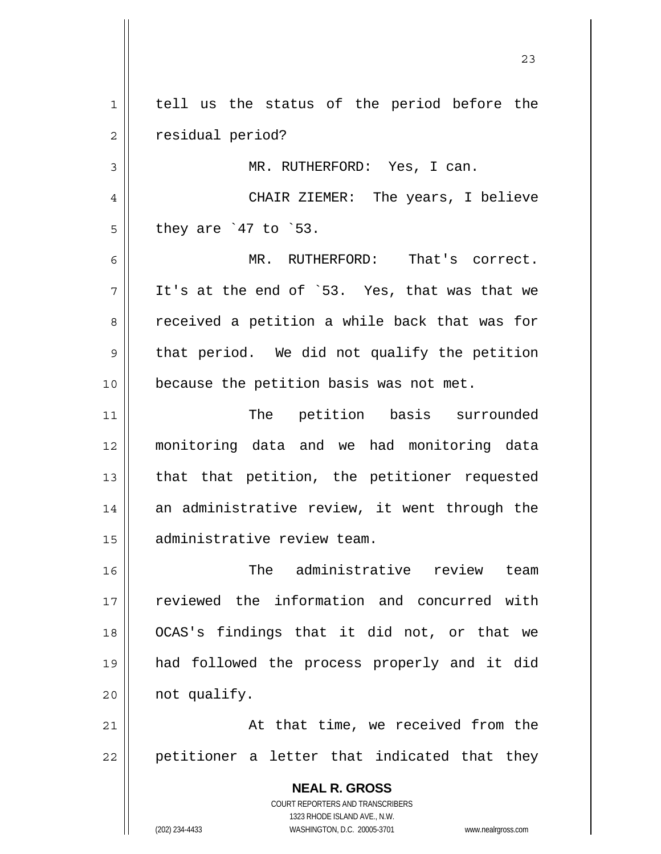**NEAL R. GROSS** 1 | tell us the status of the period before the 2 | residual period? 3 MR. RUTHERFORD: Yes, I can. 4 CHAIR ZIEMER: The years, I believe  $5 \parallel$  they are `47 to `53. 6 MR. RUTHERFORD: That's correct.  $7 \parallel$  It's at the end of `53. Yes, that was that we 8 || received a petition a while back that was for  $9 \parallel$  that period. We did not qualify the petition 10 || because the petition basis was not met. 11 || The petition basis surrounded 12 monitoring data and we had monitoring data  $13$  || that that petition, the petitioner requested 14 an administrative review, it went through the 15 | administrative review team. 16 The administrative review team 17 || reviewed the information and concurred with 18 OCAS's findings that it did not, or that we 19 had followed the process properly and it did  $20$  | not qualify. 21 || At that time, we received from the  $22$  || petitioner a letter that indicated that they

23

 COURT REPORTERS AND TRANSCRIBERS 1323 RHODE ISLAND AVE., N.W.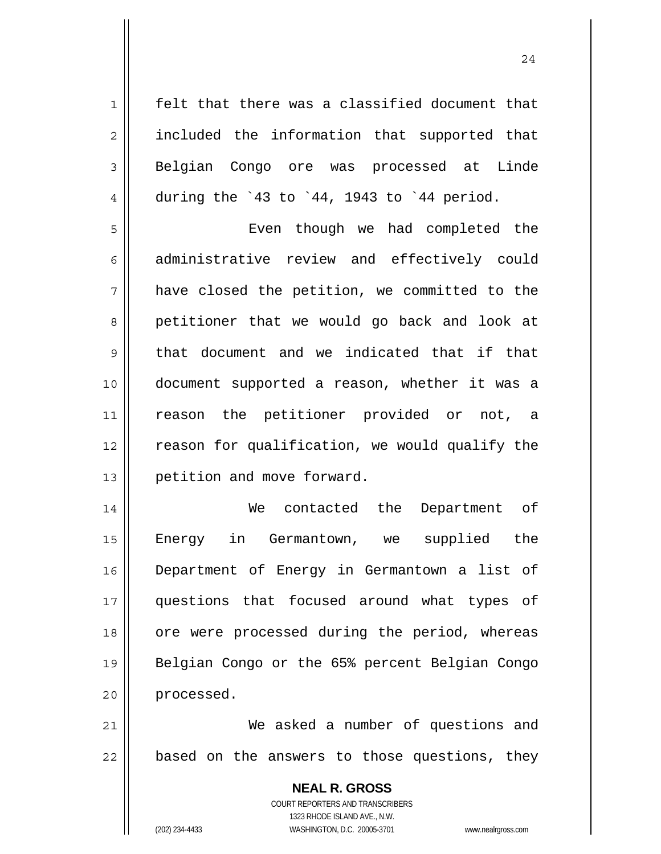1 || felt that there was a classified document that 2 || included the information that supported that 3 Belgian Congo ore was processed at Linde 4 during the  $\dot{4}3$  to  $\dot{4}4$ , 1943 to  $\dot{4}4$  period.

5 Even though we had completed the 6 administrative review and effectively could 7 have closed the petition, we committed to the 8 petitioner that we would go back and look at  $9 \parallel$  that document and we indicated that if that 10 document supported a reason, whether it was a 11 || reason the petitioner provided or not, a 12 || reason for qualification, we would qualify the 13 | petition and move forward.

14 We contacted the Department of 15 Energy in Germantown, we supplied the 16 Department of Energy in Germantown a list of 17 questions that focused around what types of 18 || ore were processed during the period, whereas 19 || Belgian Congo or the 65% percent Belgian Congo 20 processed.

21 We asked a number of questions and  $22$  || based on the answers to those questions, they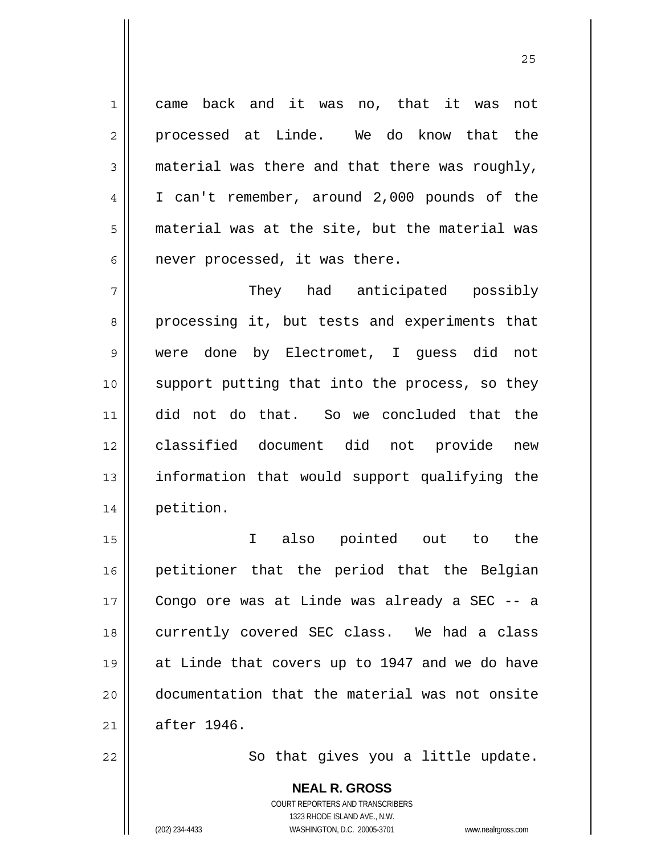1 came back and it was no, that it was not 2 processed at Linde. We do know that the  $3 \parallel$  material was there and that there was roughly, 4 I can't remember, around 2,000 pounds of the 5 material was at the site, but the material was  $6 \parallel$  never processed, it was there.

<u>25</u>

They had anticipated possibly 8 processing it, but tests and experiments that were done by Electromet, I guess did not support putting that into the process, so they did not do that. So we concluded that the classified document did not provide new 13 || information that would support qualifying the petition.

I also pointed out to the petitioner that the period that the Belgian Congo ore was at Linde was already a SEC -- a 18 || currently covered SEC class. We had a class at Linde that covers up to 1947 and we do have documentation that the material was not onsite  $21 \parallel$  after 1946.

22 || So that gives you a little update.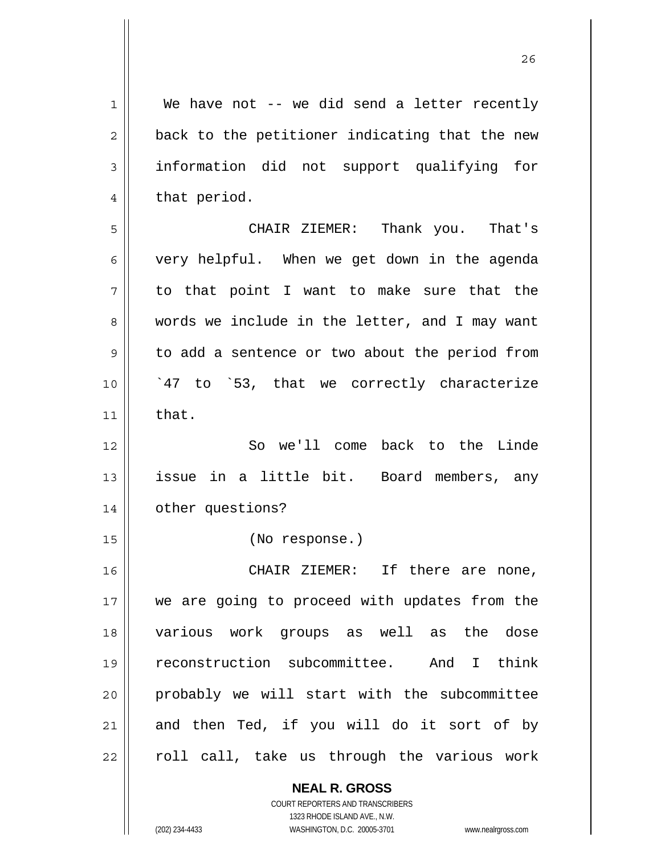$1 \parallel$  We have not -- we did send a letter recently  $2 \parallel$  back to the petitioner indicating that the new 3 information did not support qualifying for  $4 \parallel$  that period. 5 CHAIR ZIEMER: Thank you. That's  $6 \parallel$  very helpful. When we get down in the agenda  $7 \parallel$  to that point I want to make sure that the 8 words we include in the letter, and I may want 9 || to add a sentence or two about the period from 10 || `47 to `53, that we correctly characterize  $11$   $\parallel$  that. 12 So we'll come back to the Linde 13 issue in a little bit. Board members, any 14 other questions? 15 (No response.) 16 CHAIR ZIEMER: If there are none, 17 || we are going to proceed with updates from the 18 various work groups as well as the dose 19 reconstruction subcommittee. And I think 20 probably we will start with the subcommittee  $21$  and then Ted, if you will do it sort of by  $22$  || roll call, take us through the various work

> **NEAL R. GROSS** COURT REPORTERS AND TRANSCRIBERS 1323 RHODE ISLAND AVE., N.W.

(202) 234-4433 WASHINGTON, D.C. 20005-3701 www.nealrgross.com

<u>26</u>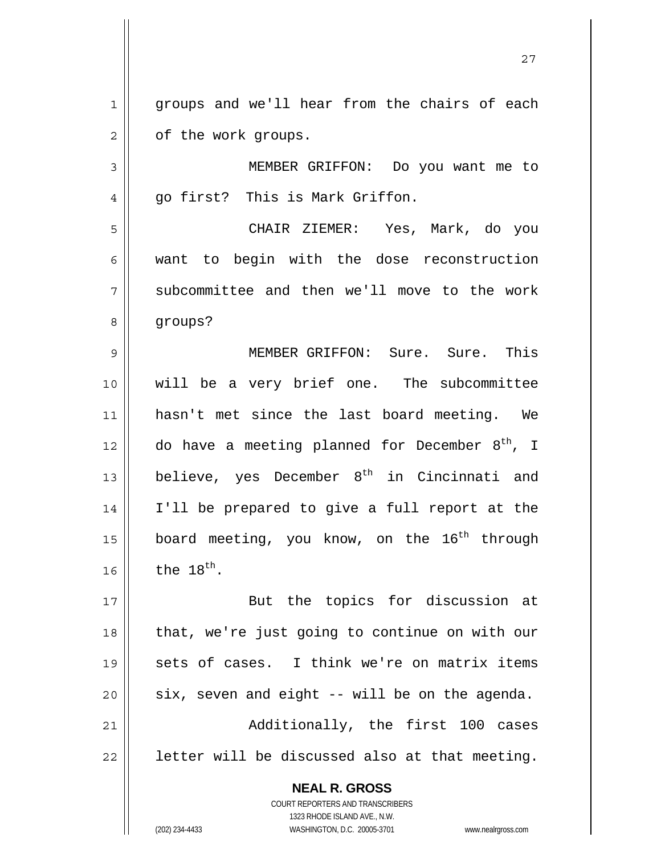1 || groups and we'll hear from the chairs of each  $2 \parallel$  of the work groups.

3 MEMBER GRIFFON: Do you want me to  $4 \parallel$  qo first? This is Mark Griffon.

5 CHAIR ZIEMER: Yes, Mark, do you 6 want to begin with the dose reconstruction 7 || subcommittee and then we'll move to the work 8 | groups?

MEMBER GRIFFON: Sure. Sure. This will be a very brief one. The subcommittee hasn't met since the last board meeting. We  $\parallel$  do have a meeting planned for December 8<sup>th</sup>, I  $\parallel$  believe, yes December 8<sup>th</sup> in Cincinnati and I'll be prepared to give a full report at the 15 || board meeting, you know, on the  $16^{th}$  through the  $18^{th}$ .

17 || But the topics for discussion at  $18$  || that, we're just going to continue on with our 19 || sets of cases. I think we're on matrix items 20  $\parallel$  six, seven and eight -- will be on the agenda. 21 || Additionally, the first 100 cases  $22$  | letter will be discussed also at that meeting.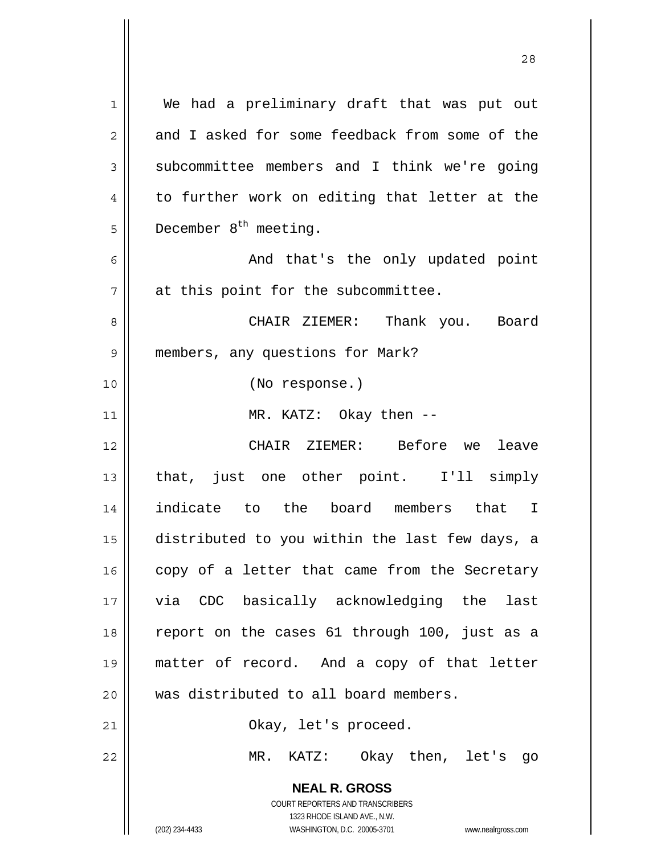| $\mathbf 1$    | We had a preliminary draft that was put out                                                                                                                     |
|----------------|-----------------------------------------------------------------------------------------------------------------------------------------------------------------|
| $\overline{2}$ | and I asked for some feedback from some of the                                                                                                                  |
| 3              | subcommittee members and I think we're going                                                                                                                    |
| $\overline{4}$ | to further work on editing that letter at the                                                                                                                   |
| 5              | December $8th$ meeting.                                                                                                                                         |
| 6              | And that's the only updated point                                                                                                                               |
| 7              | at this point for the subcommittee.                                                                                                                             |
| 8              | CHAIR ZIEMER: Thank you. Board                                                                                                                                  |
| 9              | members, any questions for Mark?                                                                                                                                |
| 10             | (No response.)                                                                                                                                                  |
| 11             | MR. KATZ: Okay then --                                                                                                                                          |
| 12             | CHAIR ZIEMER: Before we leave                                                                                                                                   |
| 13             | that, just one other point. I'll simply                                                                                                                         |
| 14             | indicate to the board members that I                                                                                                                            |
| 15             | distributed to you within the last few days, a                                                                                                                  |
| 16             | copy of a letter that came from the Secretary                                                                                                                   |
| 17             | via CDC basically acknowledging the<br>last                                                                                                                     |
| 18             | report on the cases 61 through 100, just as a                                                                                                                   |
| 19             | matter of record. And a copy of that letter                                                                                                                     |
| 20             | was distributed to all board members.                                                                                                                           |
| 21             | Okay, let's proceed.                                                                                                                                            |
| 22             | KATZ: Okay then, let's go<br>MR.                                                                                                                                |
|                | <b>NEAL R. GROSS</b><br>COURT REPORTERS AND TRANSCRIBERS<br>1323 RHODE ISLAND AVE., N.W.<br>(202) 234-4433<br>WASHINGTON, D.C. 20005-3701<br>www.nealrgross.com |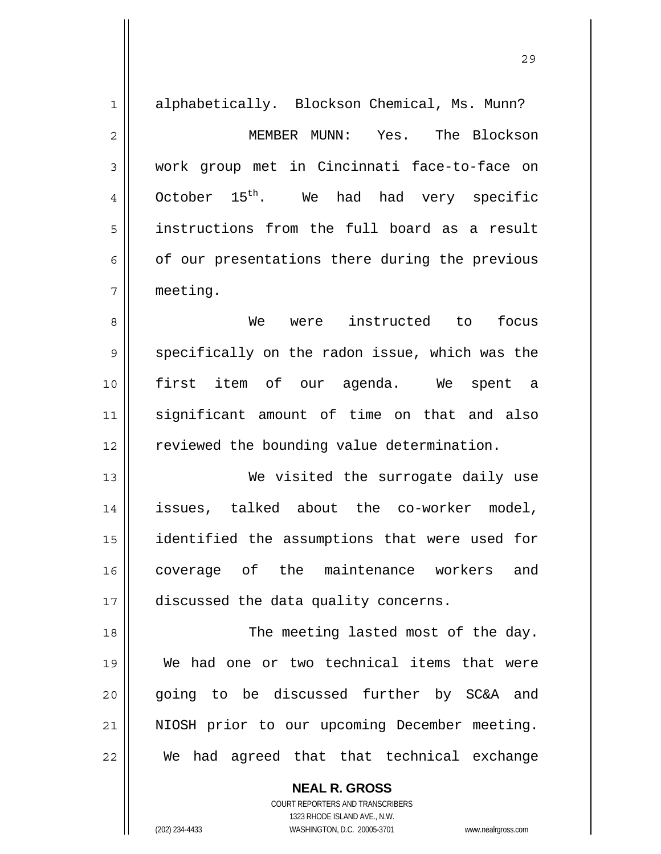| $\mathbf 1$    | alphabetically. Blockson Chemical, Ms. Munn?   |
|----------------|------------------------------------------------|
| $\overline{2}$ | MEMBER MUNN: Yes. The Blockson                 |
| 3              | work group met in Cincinnati face-to-face on   |
| 4              | October $15^{th}$ . We had had very specific   |
| 5              | instructions from the full board as a result   |
| 6              | of our presentations there during the previous |
| 7              | meeting.                                       |
| 8              | We were instructed to focus                    |
| 9              | specifically on the radon issue, which was the |
| 10             | first item of our agenda. We spent a           |
| 11             | significant amount of time on that and also    |
| 12             | reviewed the bounding value determination.     |
| 13             | We visited the surrogate daily use             |
| 14             | issues, talked about the co-worker model,      |
| 15             | identified the assumptions that were used for  |
| 16             | coverage of the maintenance workers and        |
| 17             | discussed the data quality concerns.           |
| 18             | The meeting lasted most of the day.            |
| 19             | We had one or two technical items that were    |
| 20             | going to be discussed further by SC&A and      |
| 21             | NIOSH prior to our upcoming December meeting.  |
| 22             | We had agreed that that technical exchange     |
|                | <b>NEAL R. GROSS</b>                           |

<u>29</u>

 COURT REPORTERS AND TRANSCRIBERS 1323 RHODE ISLAND AVE., N.W. (202) 234-4433 WASHINGTON, D.C. 20005-3701 www.nealrgross.com

 $\mathsf{II}$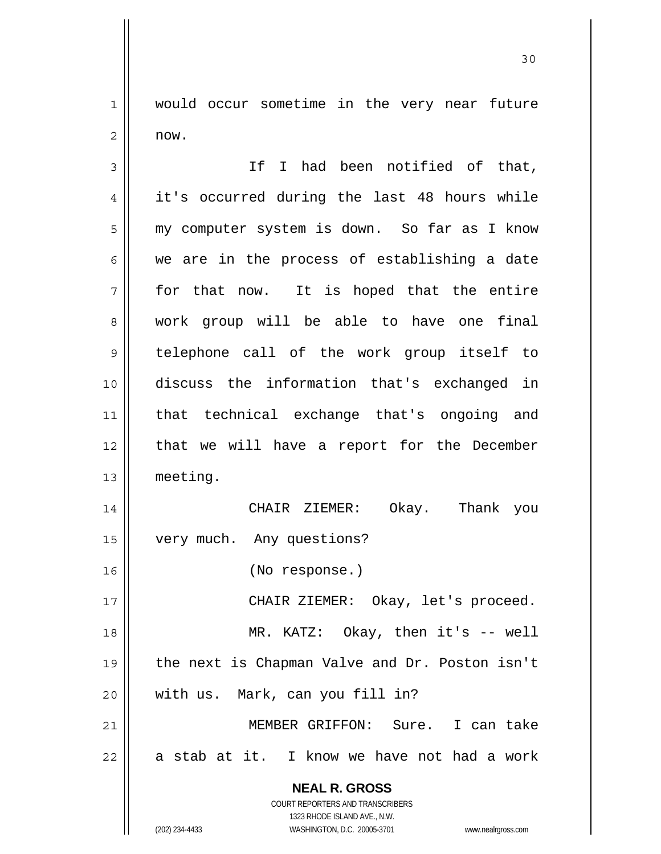1 | would occur sometime in the very near future  $2 \parallel$  now.

 **NEAL R. GROSS** COURT REPORTERS AND TRANSCRIBERS 1323 RHODE ISLAND AVE., N.W. 3 || Thad been notified of that, 4 | it's occurred during the last 48 hours while 5 | my computer system is down. So far as I know  $6 \parallel$  we are in the process of establishing a date  $7 \parallel$  for that now. It is hoped that the entire 8 work group will be able to have one final 9 telephone call of the work group itself to 10 discuss the information that's exchanged in 11 that technical exchange that's ongoing and 12 || that we will have a report for the December 13 meeting. 14 CHAIR ZIEMER: Okay. Thank you 15 | very much. Any questions? 16 (No response.) 17 CHAIR ZIEMER: Okay, let's proceed. 18 || MR. KATZ: Okay, then it's -- well 19 the next is Chapman Valve and Dr. Poston isn't 20 with us. Mark, can you fill in? 21 MEMBER GRIFFON: Sure. I can take  $22 \parallel$  a stab at it. I know we have not had a work

(202) 234-4433 WASHINGTON, D.C. 20005-3701 www.nealrgross.com

30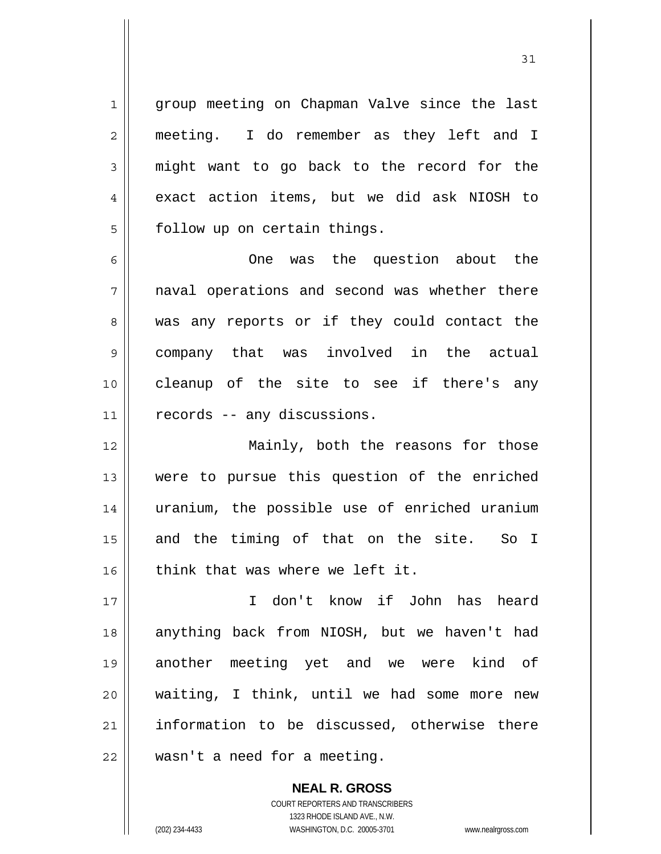1 || group meeting on Chapman Valve since the last 2 meeting. I do remember as they left and I 3 might want to go back to the record for the 4 exact action items, but we did ask NIOSH to  $5 \parallel$  follow up on certain things.

6 One was the question about the 7 || naval operations and second was whether there 8 was any reports or if they could contact the 9 company that was involved in the actual 10 cleanup of the site to see if there's any 11 || records -- any discussions.

12 Mainly, both the reasons for those 13 were to pursue this question of the enriched 14 uranium, the possible use of enriched uranium 15 || and the timing of that on the site. So I 16 || think that was where we left it.

17 I don't know if John has heard 18 || anything back from NIOSH, but we haven't had 19 another meeting yet and we were kind of 20 waiting, I think, until we had some more new 21 || information to be discussed, otherwise there 22 | wasn't a need for a meeting.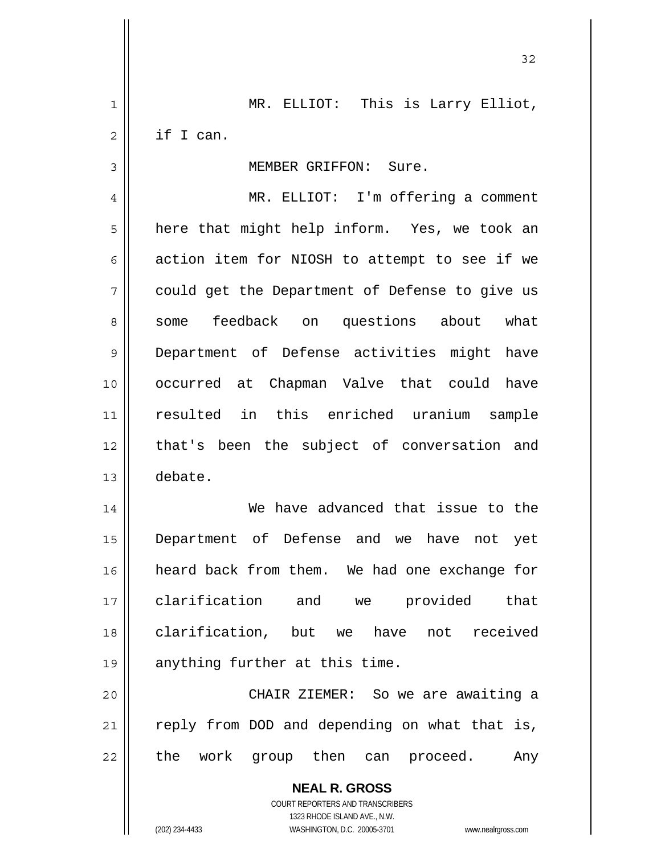**NEAL R. GROSS** COURT REPORTERS AND TRANSCRIBERS 1323 RHODE ISLAND AVE., N.W. 1 MR. ELLIOT: This is Larry Elliot, 2 if I can. 3 | MEMBER GRIFFON: Sure. 4 MR. ELLIOT: I'm offering a comment  $5 \parallel$  here that might help inform. Yes, we took an 6  $\parallel$  action item for NIOSH to attempt to see if we 7 could get the Department of Defense to give us 8 some feedback on questions about what 9 Department of Defense activities might have 10 occurred at Chapman Valve that could have 11 resulted in this enriched uranium sample 12 || that's been the subject of conversation and 13 debate. 14 We have advanced that issue to the 15 Department of Defense and we have not yet 16 heard back from them. We had one exchange for 17 clarification and we provided that 18 clarification, but we have not received 19 || anything further at this time. 20 CHAIR ZIEMER: So we are awaiting a  $21$  reply from DOD and depending on what that is, 22 || the work group then can proceed. Any

32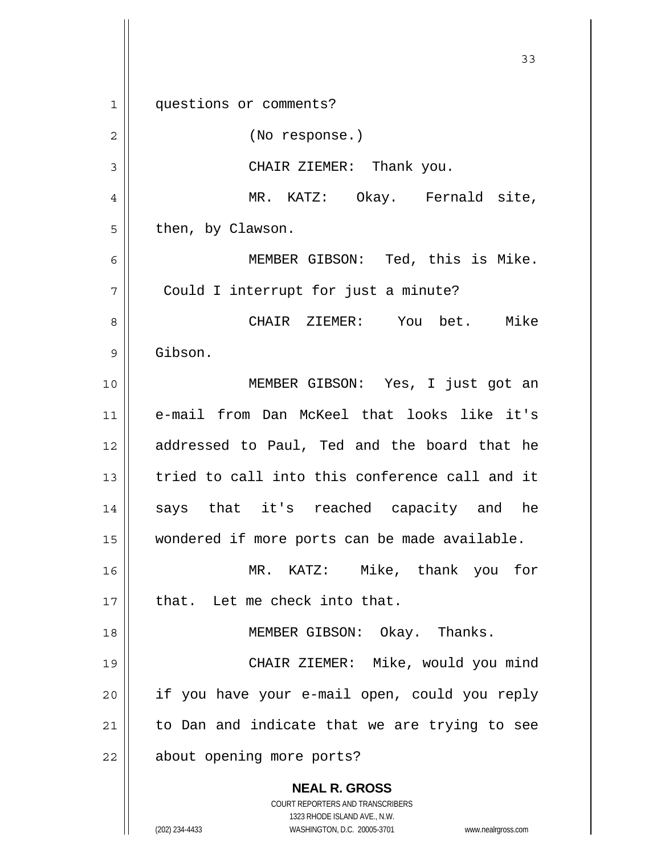**NEAL R. GROSS** COURT REPORTERS AND TRANSCRIBERS 1323 RHODE ISLAND AVE., N.W. (202) 234-4433 WASHINGTON, D.C. 20005-3701 www.nealrgross.com 33 1 || questions or comments? 2 || (No response.) 3 CHAIR ZIEMER: Thank you. 4 MR. KATZ: Okay. Fernald site,  $5 \parallel$  then, by Clawson. 6 MEMBER GIBSON: Ted, this is Mike. 7 || Could I interrupt for just a minute? 8 CHAIR ZIEMER: You bet. Mike 9 Gibson. 10 MEMBER GIBSON: Yes, I just got an 11 e-mail from Dan McKeel that looks like it's 12 || addressed to Paul, Ted and the board that he 13 tried to call into this conference call and it 14 says that it's reached capacity and he 15 wondered if more ports can be made available. 16 MR. KATZ: Mike, thank you for  $17$   $\parallel$  that. Let me check into that. 18 || MEMBER GIBSON: Okay. Thanks. 19 CHAIR ZIEMER: Mike, would you mind  $20$  || if you have your e-mail open, could you reply  $21$  to Dan and indicate that we are trying to see 22 | about opening more ports?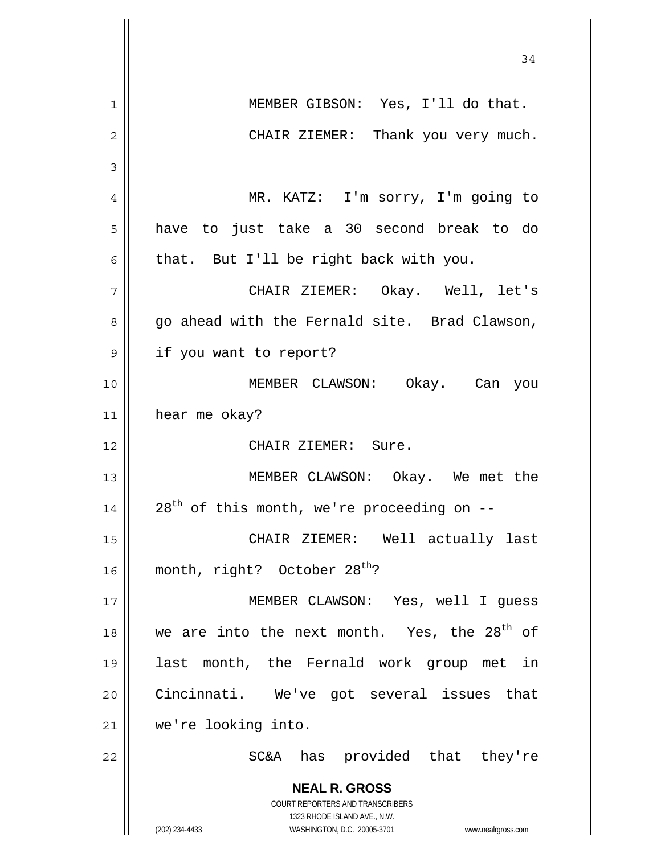|                | 34                                                                                                  |
|----------------|-----------------------------------------------------------------------------------------------------|
| $\mathbf{1}$   | MEMBER GIBSON: Yes, I'll do that.                                                                   |
| $\overline{c}$ | CHAIR ZIEMER: Thank you very much.                                                                  |
| 3              |                                                                                                     |
| 4              | MR. KATZ: I'm sorry, I'm going to                                                                   |
| 5              | have to just take a 30 second break to do                                                           |
| 6              | that. But I'll be right back with you.                                                              |
| 7              | CHAIR ZIEMER: Okay. Well, let's                                                                     |
| 8              | go ahead with the Fernald site. Brad Clawson,                                                       |
| 9              | if you want to report?                                                                              |
| 10             | MEMBER CLAWSON: Okay. Can you                                                                       |
| 11             | hear me okay?                                                                                       |
| 12             | CHAIR ZIEMER: Sure.                                                                                 |
| 13             | MEMBER CLAWSON: Okay. We met the                                                                    |
| 14             | $28th$ of this month, we're proceeding on --                                                        |
| 15             | CHAIR ZIEMER: Well actually last                                                                    |
| 16             | month, right? October 28 <sup>th</sup> ?                                                            |
| 17             | MEMBER CLAWSON: Yes, well I guess                                                                   |
| 18             | we are into the next month. Yes, the 28 <sup>th</sup> of                                            |
| 19             | last month, the Fernald work group met in                                                           |
| 20             | Cincinnati. We've got several issues that                                                           |
| 21             | we're looking into.                                                                                 |
| 22             | SC&A has provided that they're                                                                      |
|                | <b>NEAL R. GROSS</b><br>COURT REPORTERS AND TRANSCRIBERS                                            |
|                | 1323 RHODE ISLAND AVE., N.W.<br>(202) 234-4433<br>WASHINGTON, D.C. 20005-3701<br>www.nealrgross.com |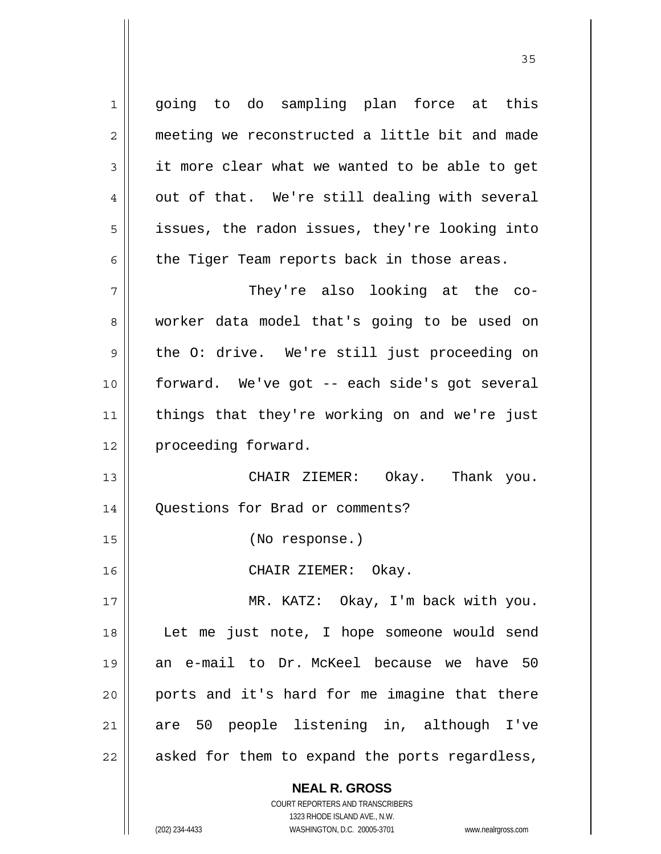1| going to do sampling plan force at this 2 || meeting we reconstructed a little bit and made  $3 \parallel$  it more clear what we wanted to be able to get  $4 \parallel$  out of that. We're still dealing with several 5 || issues, the radon issues, they're looking into  $6 \parallel$  the Tiger Team reports back in those areas. 7 They're also looking at the co-8 worker data model that's going to be used on 9 || the O: drive. We're still just proceeding on 10 forward. We've got -- each side's got several 11 || things that they're working on and we're just 12 | proceeding forward. 13 CHAIR ZIEMER: Okay. Thank you. 14 Questions for Brad or comments? 15 (No response.) 16 CHAIR ZIEMER: Okay. 17 || MR. KATZ: Okay, I'm back with you. 18 Let me just note, I hope someone would send 19 an e-mail to Dr. McKeel because we have 50 20 ports and it's hard for me imagine that there 21 are 50 people listening in, although I've 22 || asked for them to expand the ports regardless,

<u>35</u>

 1323 RHODE ISLAND AVE., N.W. (202) 234-4433 WASHINGTON, D.C. 20005-3701 www.nealrgross.com

 **NEAL R. GROSS** COURT REPORTERS AND TRANSCRIBERS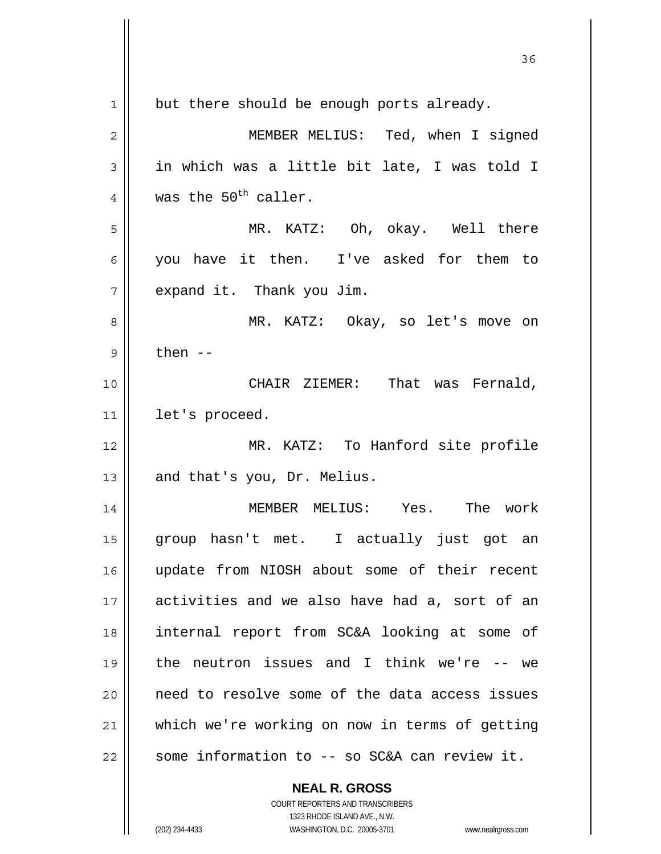|    | 36                                                                  |
|----|---------------------------------------------------------------------|
| 1  | but there should be enough ports already.                           |
| 2  | MEMBER MELIUS: Ted, when I signed                                   |
| 3  | in which was a little bit late, I was told I                        |
| 4  | was the 50 <sup>th</sup> caller.                                    |
| 5  | MR. KATZ: Oh, okay. Well there                                      |
| 6  | you have it then. I've asked for them to                            |
| 7  | expand it. Thank you Jim.                                           |
| 8  | MR. KATZ: Okay, so let's move on                                    |
| 9  | then $--$                                                           |
| 10 | CHAIR ZIEMER: That was Fernald,                                     |
| 11 | let's proceed.                                                      |
| 12 | MR. KATZ: To Hanford site profile                                   |
| 13 | and that's you, Dr. Melius.                                         |
| 14 | MEMBER MELIUS: Yes. The work                                        |
| 15 | group hasn't met. I actually just got an                            |
| 16 | update from NIOSH about some of their recent                        |
| 17 | activities and we also have had a, sort of an                       |
| 18 | internal report from SC&A looking at some of                        |
| 19 | the neutron issues and I think we're -- we                          |
| 20 | need to resolve some of the data access issues                      |
| 21 | which we're working on now in terms of getting                      |
| 22 | some information to -- so SC&A can review it.                       |
|    | <b>NEAL R. GROSS</b><br>COURT REPORTERS AND TRANSCRIBERS            |
|    | 1323 RHODE ISLAND AVE., N.W.                                        |
|    | (202) 234-4433<br>WASHINGTON, D.C. 20005-3701<br>www.nealrgross.com |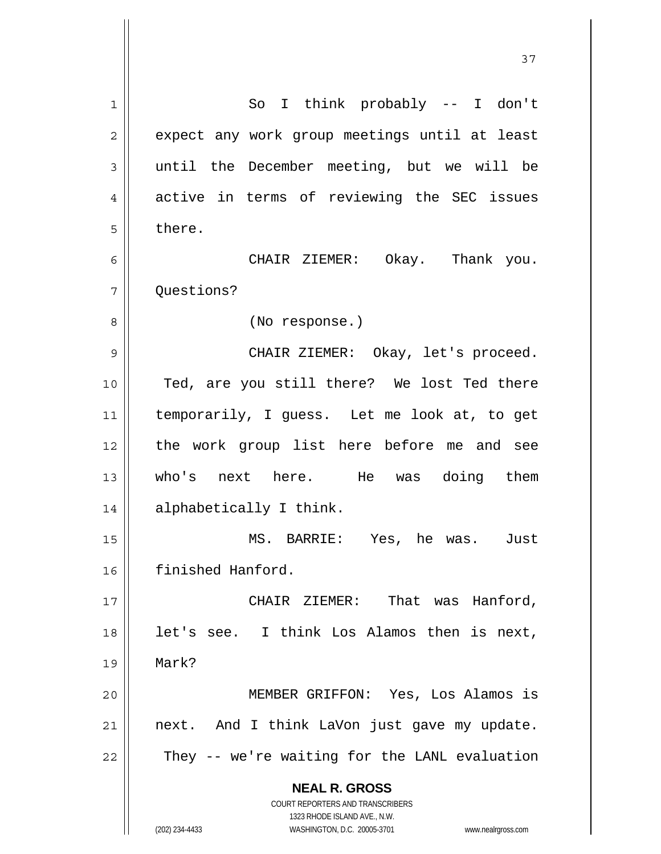**NEAL R. GROSS** COURT REPORTERS AND TRANSCRIBERS 1323 RHODE ISLAND AVE., N.W. (202) 234-4433 WASHINGTON, D.C. 20005-3701 www.nealrgross.com 1 || So I think probably -- I don't 2 | expect any work group meetings until at least 3 until the December meeting, but we will be 4 active in terms of reviewing the SEC issues 5 l there. 6 CHAIR ZIEMER: Okay. Thank you. 7 Ouestions? 8 || (No response.) 9 CHAIR ZIEMER: Okay, let's proceed. 10 Ted, are you still there? We lost Ted there 11 temporarily, I guess. Let me look at, to get 12 the work group list here before me and see 13 who's next here. He was doing them 14 || alphabetically I think. 15 MS. BARRIE: Yes, he was. Just 16 finished Hanford. 17 || CHAIR ZIEMER: That was Hanford,  $18$  | let's see. I think Los Alamos then is next, 19 Mark? 20 MEMBER GRIFFON: Yes, Los Alamos is  $21$  next. And I think LaVon just gave my update.  $22$   $\parallel$  They -- we're waiting for the LANL evaluation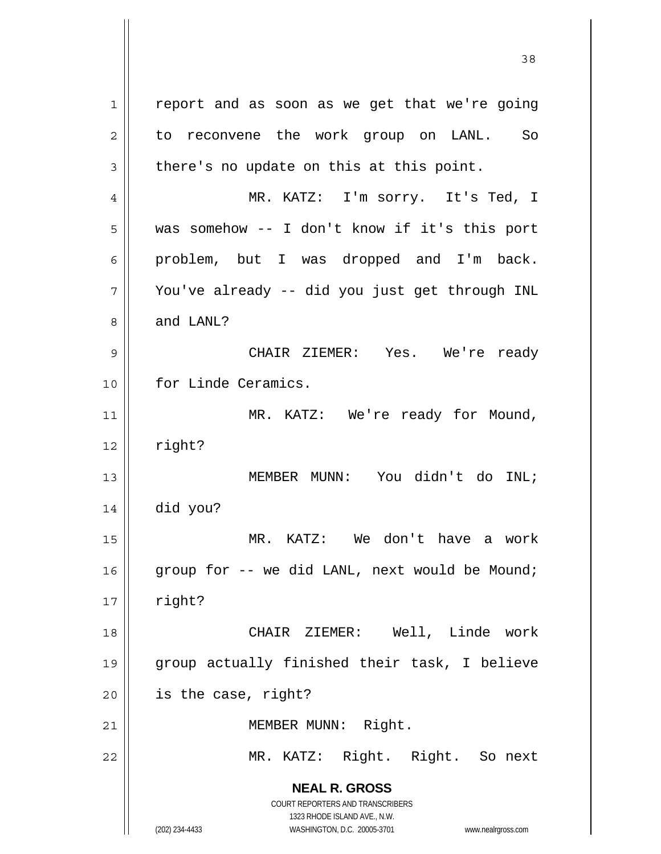**NEAL R. GROSS** COURT REPORTERS AND TRANSCRIBERS 1323 RHODE ISLAND AVE., N.W. (202) 234-4433 WASHINGTON, D.C. 20005-3701 www.nealrgross.com  $1 \parallel$  report and as soon as we get that we're going 2 || to reconvene the work group on LANL. So  $3 \parallel$  there's no update on this at this point. 4 MR. KATZ: I'm sorry. It's Ted, I 5 was somehow -- I don't know if it's this port  $6 \parallel$  problem, but I was dropped and I'm back.  $7$  | You've already -- did you just get through INL 8 and LANL? 9 CHAIR ZIEMER: Yes. We're ready 10 | for Linde Ceramics. 11 || MR. KATZ: We're ready for Mound,  $12 \parallel$  right? 13 MEMBER MUNN: You didn't do INL; 14 did you? 15 MR. KATZ: We don't have a work 16  $\parallel$  group for -- we did LANL, next would be Mound;  $17 \parallel$  right? 18 CHAIR ZIEMER: Well, Linde work 19 group actually finished their task, I believe  $20$  | is the case, right? 21 || MEMBER MUNN: Right. 22 MR. KATZ: Right. Right. So next

<u>38</u>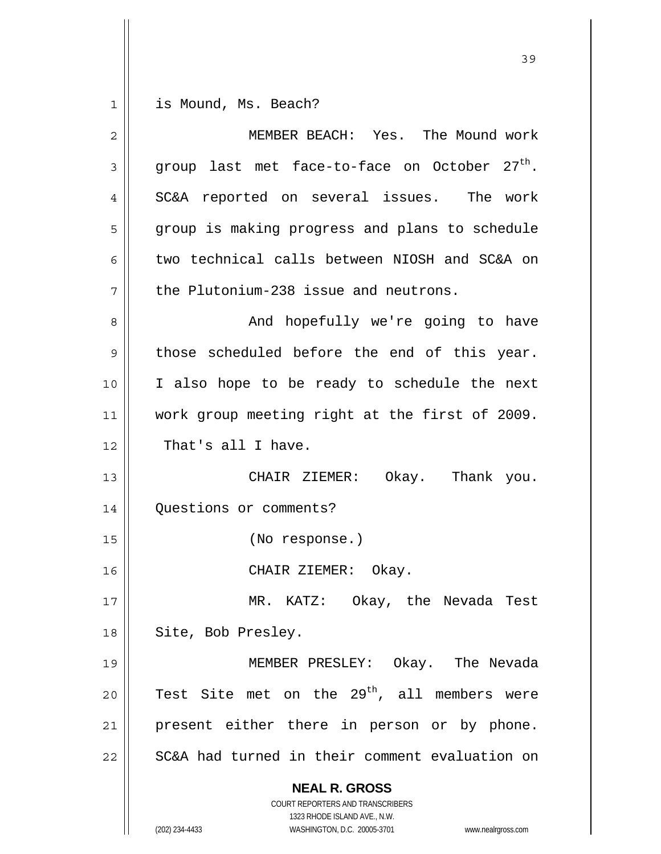$1 \parallel$  is Mound, Ms. Beach?

| 2    | MEMBER BEACH: Yes. The Mound work                                                                   |
|------|-----------------------------------------------------------------------------------------------------|
| 3    | group last met face-to-face on October 27 <sup>th</sup> .                                           |
| 4    | SC&A reported on several issues. The work                                                           |
| 5    | group is making progress and plans to schedule                                                      |
| 6    | two technical calls between NIOSH and SC&A on                                                       |
| 7    | the Plutonium-238 issue and neutrons.                                                               |
| 8    | And hopefully we're going to have                                                                   |
| 9    | those scheduled before the end of this year.                                                        |
| 10   | I also hope to be ready to schedule the next                                                        |
| 11   | work group meeting right at the first of 2009.                                                      |
| 12   | That's all I have.                                                                                  |
| 13   | CHAIR ZIEMER: Okay. Thank you.                                                                      |
| 14   | Questions or comments?                                                                              |
| 15   | (No response.)                                                                                      |
| 16   | CHAIR ZIEMER: Okay.                                                                                 |
| $17$ | MR. KATZ: Okay, the Nevada Test                                                                     |
| 18   | Site, Bob Presley.                                                                                  |
| 19   | MEMBER PRESLEY: Okay. The Nevada                                                                    |
| 20   | Test Site met on the 29 <sup>th</sup> , all members were                                            |
| 21   | present either there in person or by phone.                                                         |
| 22   | SC&A had turned in their comment evaluation on                                                      |
|      | <b>NEAL R. GROSS</b>                                                                                |
|      | COURT REPORTERS AND TRANSCRIBERS                                                                    |
|      | 1323 RHODE ISLAND AVE., N.W.<br>(202) 234-4433<br>WASHINGTON, D.C. 20005-3701<br>www.nealrgross.com |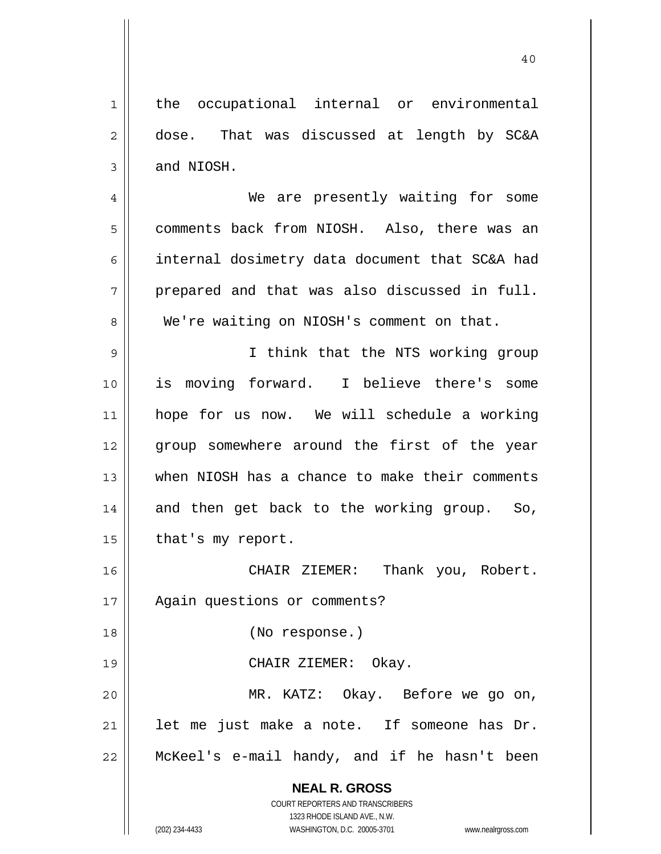**NEAL R. GROSS** COURT REPORTERS AND TRANSCRIBERS 1323 RHODE ISLAND AVE., N.W. 1 | the occupational internal or environmental 2 dose. That was discussed at length by SC&A  $3 \parallel$  and NIOSH. 4 We are presently waiting for some 5 comments back from NIOSH. Also, there was an 6 | internal dosimetry data document that SC&A had  $7 \parallel$  prepared and that was also discussed in full. 8 We're waiting on NIOSH's comment on that. 9 || I think that the NTS working group 10 is moving forward. I believe there's some 11 hope for us now. We will schedule a working 12 group somewhere around the first of the year 13 when NIOSH has a chance to make their comments  $14$  and then get back to the working group. So,  $15$  | that's my report. 16 CHAIR ZIEMER: Thank you, Robert. 17 | Again questions or comments? 18 (No response.) 19 CHAIR ZIEMER: Okay. 20 MR. KATZ: Okay. Before we go on,  $21$  || let me just make a note. If someone has Dr. 22 McKeel's e-mail handy, and if he hasn't been

40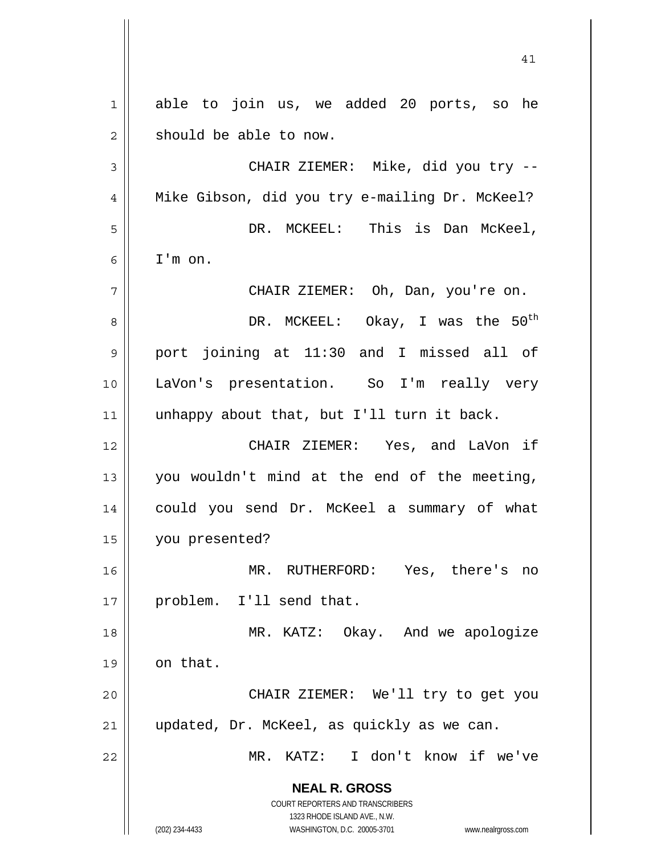**NEAL R. GROSS** COURT REPORTERS AND TRANSCRIBERS 1323 RHODE ISLAND AVE., N.W. (202) 234-4433 WASHINGTON, D.C. 20005-3701 www.nealrgross.com 1 able to join us, we added 20 ports, so he 2 || should be able to now. 3 CHAIR ZIEMER: Mike, did you try -- 4 || Mike Gibson, did you try e-mailing Dr. McKeel? 5 DR. MCKEEL: This is Dan McKeel, 6 I'm on. 7 CHAIR ZIEMER: Oh, Dan, you're on.  $\vert$  8 || DR. MCKEEL: Okay, I was the 50<sup>th</sup> 9 || port joining at 11:30 and I missed all of 10 LaVon's presentation. So I'm really very 11 || unhappy about that, but I'll turn it back. 12 CHAIR ZIEMER: Yes, and LaVon if 13 you wouldn't mind at the end of the meeting, 14 could you send Dr. McKeel a summary of what 15 you presented? 16 MR. RUTHERFORD: Yes, there's no 17 || problem. I'll send that. 18 || MR. KATZ: Okay. And we apologize  $19$  on that. 20 CHAIR ZIEMER: We'll try to get you 21 updated, Dr. McKeel, as quickly as we can. 22 MR. KATZ: I don't know if we've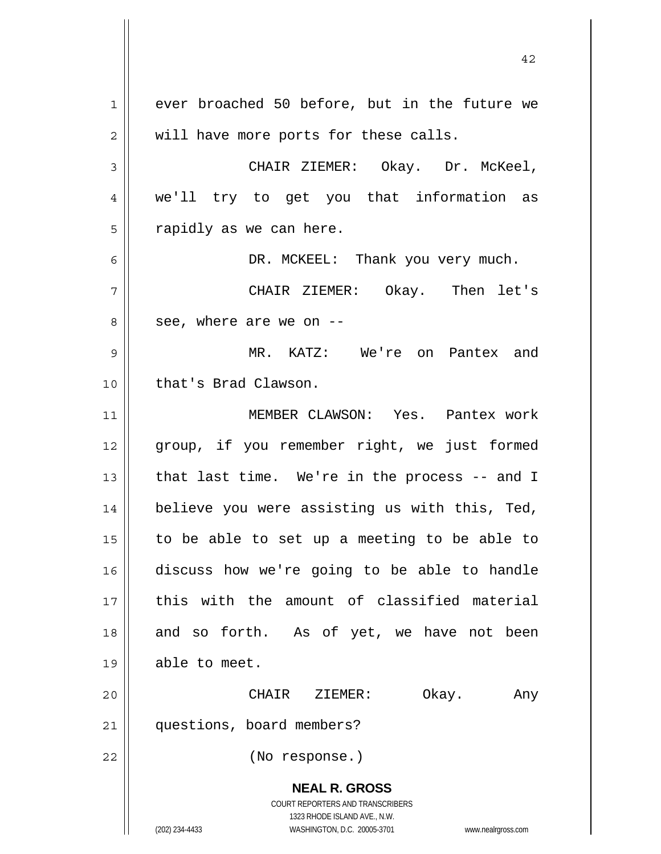**NEAL R. GROSS** COURT REPORTERS AND TRANSCRIBERS 1323 RHODE ISLAND AVE., N.W. (202) 234-4433 WASHINGTON, D.C. 20005-3701 www.nealrgross.com 1 ever broached 50 before, but in the future we  $2 \parallel$  will have more ports for these calls. 3 CHAIR ZIEMER: Okay. Dr. McKeel, 4 we'll try to get you that information as  $5 \parallel$  rapidly as we can here. 6 DR. MCKEEL: Thank you very much. 7 CHAIR ZIEMER: Okay. Then let's  $8 \parallel$  see, where are we on  $-$ 9 MR. KATZ: We're on Pantex and 10 || that's Brad Clawson. 11 MEMBER CLAWSON: Yes. Pantex work 12 || group, if you remember right, we just formed 13  $\parallel$  that last time. We're in the process -- and I 14 || believe you were assisting us with this, Ted,  $15$  to be able to set up a meeting to be able to 16 discuss how we're going to be able to handle 17 || this with the amount of classified material 18 || and so forth. As of yet, we have not been 19 || able to meet. 20 CHAIR ZIEMER: Okay. Any 21 | questions, board members? 22 (No response.)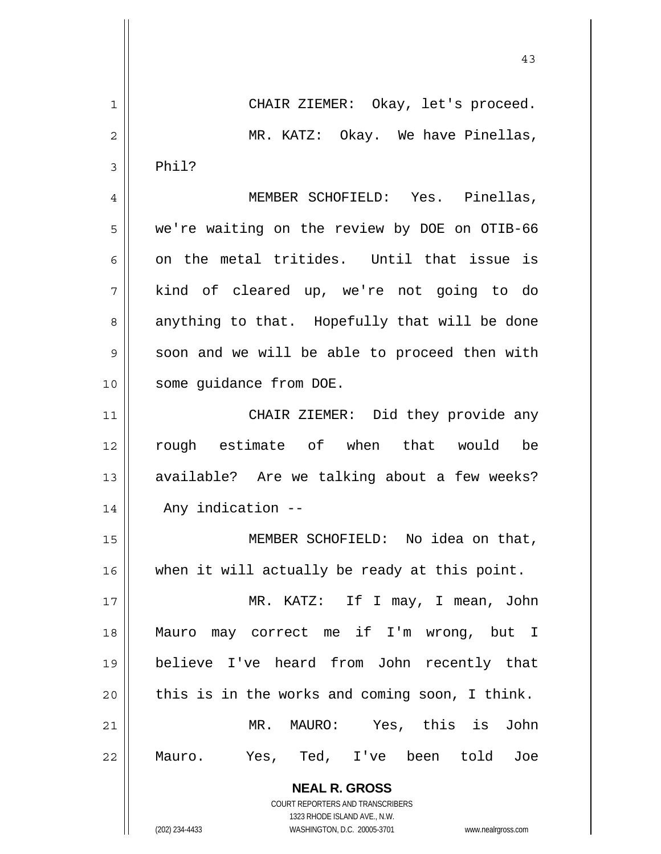|              | 43                                             |
|--------------|------------------------------------------------|
| $\mathbf{1}$ | CHAIR ZIEMER: Okay, let's proceed.             |
| 2            | MR. KATZ: Okay. We have Pinellas,              |
| 3            | Phil?                                          |
| 4            | MEMBER SCHOFIELD: Yes. Pinellas,               |
| 5            | we're waiting on the review by DOE on OTIB-66  |
| 6            | on the metal tritides. Until that issue is     |
| 7            | kind of cleared up, we're not going to do      |
| 8            | anything to that. Hopefully that will be done  |
| 9            | soon and we will be able to proceed then with  |
| 10           | some guidance from DOE.                        |
| 11           | CHAIR ZIEMER: Did they provide any             |
| 12           | rough estimate of when that would be           |
| 13           | available? Are we talking about a few weeks?   |
| 14           | Any indication --                              |
| 15           | MEMBER SCHOFIELD: No idea on that,             |
| 16           | when it will actually be ready at this point.  |
| 17           | MR. KATZ: If I may, I mean, John               |
| 18           | Mauro may correct me if I'm wrong, but I       |
| 19           | believe I've heard from John recently that     |
| 20           | this is in the works and coming soon, I think. |
| 21           | MR. MAURO: Yes, this is John                   |
| 22           | Yes, Ted, I've been told Joe<br>Mauro.         |
|              | <b>NEAL R. GROSS</b>                           |

 COURT REPORTERS AND TRANSCRIBERS 1323 RHODE ISLAND AVE., N.W.

 $\mathbf{\mathsf{I}}$ 

 $\mathsf{I}$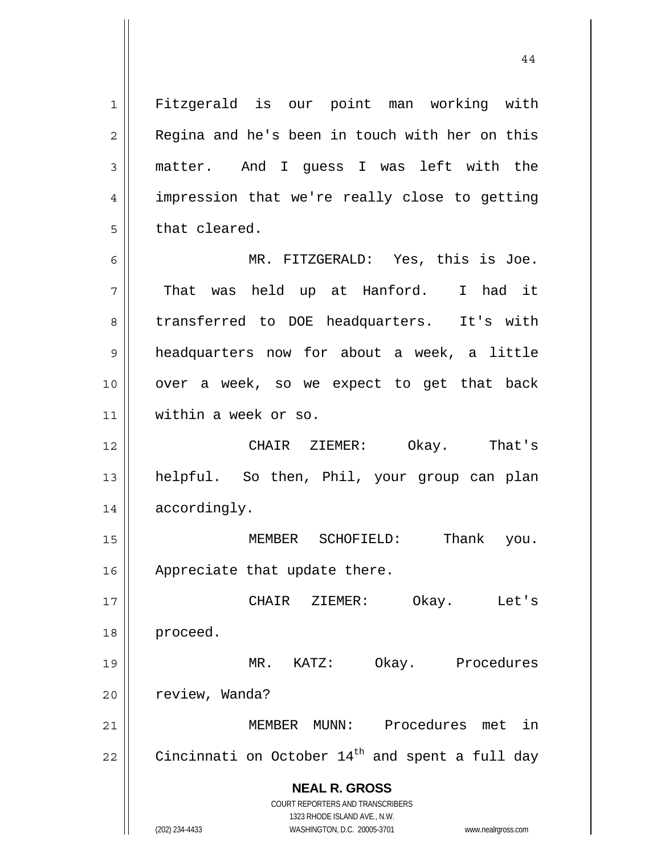**NEAL R. GROSS** COURT REPORTERS AND TRANSCRIBERS 1323 RHODE ISLAND AVE., N.W. 1 | Fitzgerald is our point man working with 2 || Regina and he's been in touch with her on this 3 matter. And I guess I was left with the 4 || impression that we're really close to getting  $5 \parallel$  that cleared. 6 MR. FITZGERALD: Yes, this is Joe. 7 That was held up at Hanford. I had it 8 || transferred to DOE headquarters. It's with 9 headquarters now for about a week, a little 10 over a week, so we expect to get that back 11 within a week or so. 12 CHAIR ZIEMER: Okay. That's 13 helpful. So then, Phil, your group can plan 14 | accordingly. 15 MEMBER SCHOFIELD: Thank you. 16 | Appreciate that update there. 17 CHAIR ZIEMER: Okay. Let's 18 proceed. 19 MR. KATZ: Okay. Procedures 20 | review, Wanda? 21 MEMBER MUNN: Procedures met in 22 Cincinnati on October  $14^{th}$  and spent a full day

44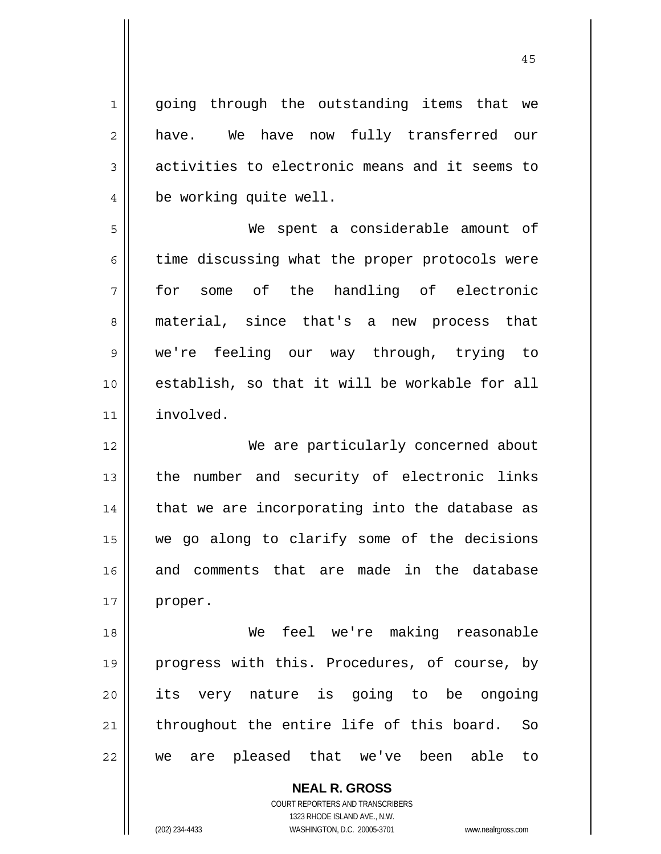1 || going through the outstanding items that we 2 || have. We have now fully transferred our 3 activities to electronic means and it seems to 4 be working quite well. 5 We spent a considerable amount of  $6 \parallel$  time discussing what the proper protocols were 7 for some of the handling of electronic 8 material, since that's a new process that 9 we're feeling our way through, trying to 10 establish, so that it will be workable for all 11 involved. 12 We are particularly concerned about 13 || the number and security of electronic links  $14$  | that we are incorporating into the database as 15 we go along to clarify some of the decisions 16 and comments that are made in the database 17 | proper. 18 We feel we're making reasonable 19 || progress with this. Procedures, of course, by 20 || its very nature is going to be ongoing  $21$  throughout the entire life of this board. So 22 we are pleased that we've been able to

> **NEAL R. GROSS** COURT REPORTERS AND TRANSCRIBERS 1323 RHODE ISLAND AVE., N.W.

(202) 234-4433 WASHINGTON, D.C. 20005-3701 www.nealrgross.com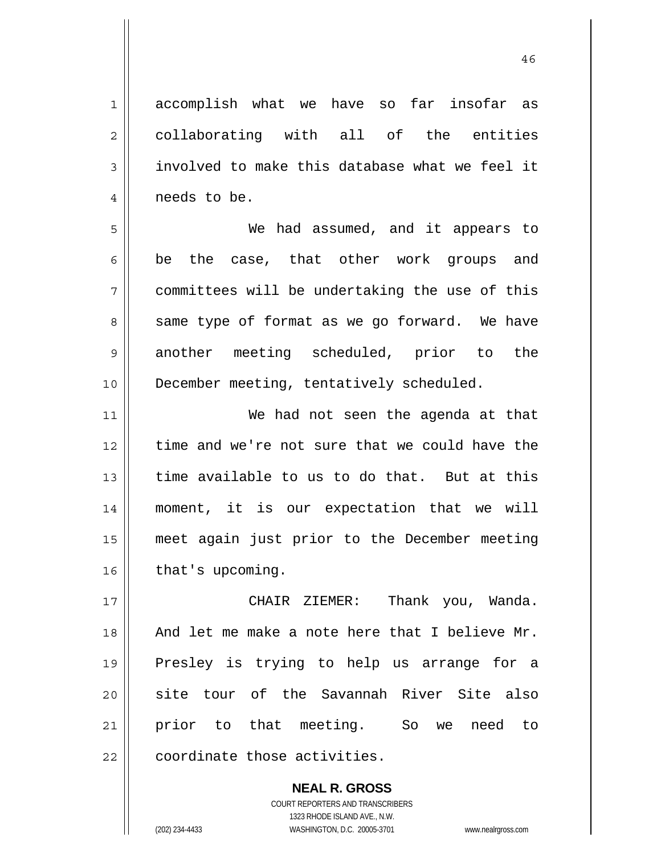1 accomplish what we have so far insofar as 2 collaborating with all of the entities  $3 \parallel$  involved to make this database what we feel it 4 | needs to be.

5 We had assumed, and it appears to  $6 \parallel$  be the case, that other work groups and 7 committees will be undertaking the use of this  $8 \parallel$  same type of format as we go forward. We have 9 another meeting scheduled, prior to the 10 || December meeting, tentatively scheduled.

We had not seen the agenda at that 12 time and we're not sure that we could have the 13 time available to us to do that. But at this moment, it is our expectation that we will meet again just prior to the December meeting | that's upcoming.

CHAIR ZIEMER: Thank you, Wanda. And let me make a note here that I believe Mr. Presley is trying to help us arrange for a 20 || site tour of the Savannah River Site also prior to that meeting. So we need to  $\parallel$  coordinate those activities.

> **NEAL R. GROSS** COURT REPORTERS AND TRANSCRIBERS 1323 RHODE ISLAND AVE., N.W. (202) 234-4433 WASHINGTON, D.C. 20005-3701 www.nealrgross.com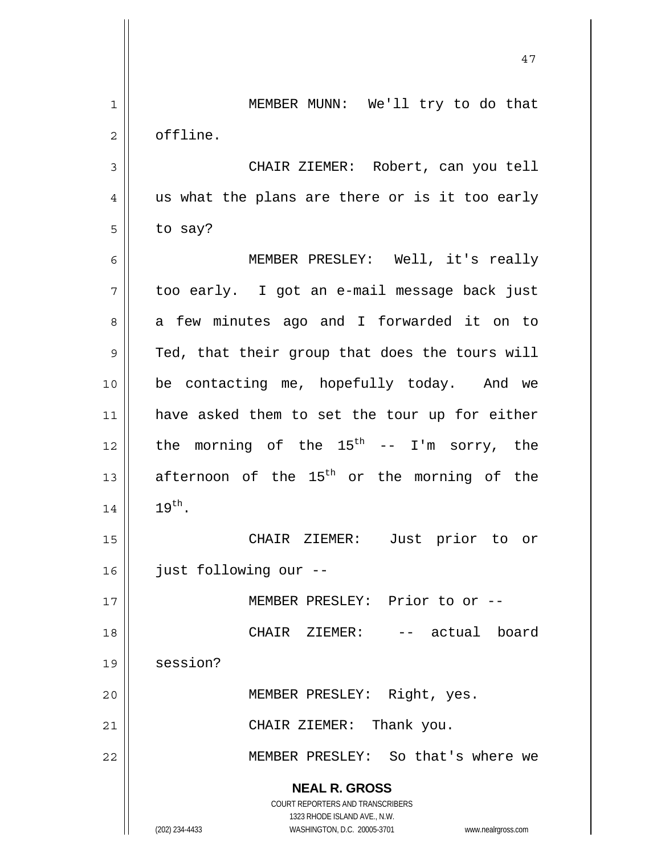|             | 47                                                                  |
|-------------|---------------------------------------------------------------------|
| $\mathbf 1$ | MEMBER MUNN: We'll try to do that                                   |
| 2           | offline.                                                            |
| 3           | CHAIR ZIEMER: Robert, can you tell                                  |
| 4           | us what the plans are there or is it too early                      |
| 5           | to say?                                                             |
| 6           | MEMBER PRESLEY: Well, it's really                                   |
| 7           | too early. I got an e-mail message back just                        |
| 8           | a few minutes ago and I forwarded it on to                          |
| 9           | Ted, that their group that does the tours will                      |
| 10          | be contacting me, hopefully today. And we                           |
| 11          | have asked them to set the tour up for either                       |
| 12          | the morning of the $15^{th}$ -- I'm sorry, the                      |
| 13          | afternoon of the 15 <sup>th</sup> or the morning of the             |
| 14          | $19^{\text{th}}$ .                                                  |
| 15          | CHAIR ZIEMER:<br>Just prior to or                                   |
| 16          | just following our --                                               |
| 17          | MEMBER PRESLEY: Prior to or --                                      |
| 18          | CHAIR ZIEMER:<br>-- actual board                                    |
| 19          | session?                                                            |
| 20          | MEMBER PRESLEY: Right, yes.                                         |
| 21          | CHAIR ZIEMER: Thank you.                                            |
| 22          | MEMBER PRESLEY: So that's where we                                  |
|             | <b>NEAL R. GROSS</b>                                                |
|             | COURT REPORTERS AND TRANSCRIBERS<br>1323 RHODE ISLAND AVE., N.W.    |
|             | (202) 234-4433<br>WASHINGTON, D.C. 20005-3701<br>www.nealrgross.com |

 $\mathsf{I}$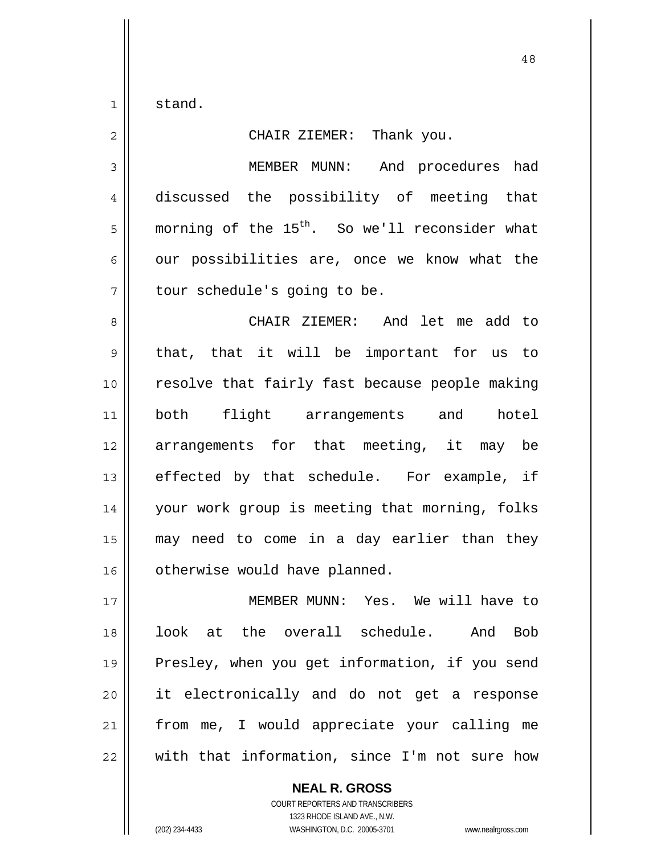1 stand.

2 || CHAIR ZIEMER: Thank you. 3 MEMBER MUNN: And procedures had 4 discussed the possibility of meeting that  $5$  morning of the  $15^{\text{th}}$ . So we'll reconsider what  $6 \parallel$  our possibilities are, once we know what the 7 | tour schedule's going to be. 8 || CHAIR ZIEMER: And let me add to  $9 \parallel$  that, that it will be important for us to 10 resolve that fairly fast because people making 11 both flight arrangements and hotel 12 arrangements for that meeting, it may be  $13$  effected by that schedule. For example, if 14 your work group is meeting that morning, folks 15 may need to come in a day earlier than they 16 | otherwise would have planned.

MEMBER MUNN: Yes. We will have to look at the overall schedule. And Bob 19 || Presley, when you get information, if you send 20 || it electronically and do not get a response from me, I would appreciate your calling me  $\parallel$  with that information, since I'm not sure how

> **NEAL R. GROSS** COURT REPORTERS AND TRANSCRIBERS 1323 RHODE ISLAND AVE., N.W. (202) 234-4433 WASHINGTON, D.C. 20005-3701 www.nealrgross.com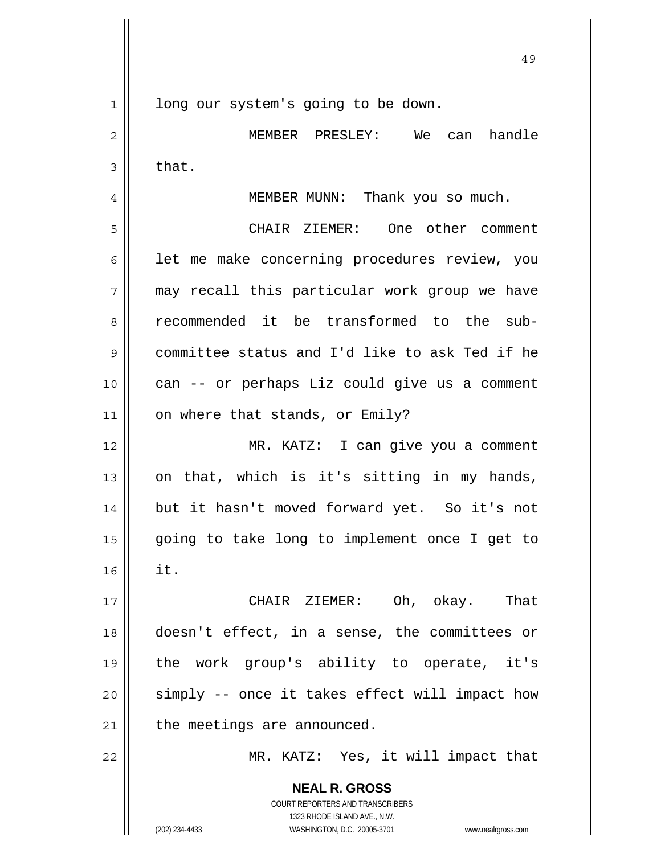1 || long our system's going to be down.

2 MEMBER PRESLEY: We can handle  $3 \parallel$  that.

4 MEMBER MUNN: Thank you so much.

5 CHAIR ZIEMER: One other comment  $6$  | let me make concerning procedures review, you  $7 \parallel$  may recall this particular work group we have 8 recommended it be transformed to the sub-9 committee status and I'd like to ask Ted if he 10 || can -- or perhaps Liz could give us a comment 11 | on where that stands, or Emily?

MR. KATZ: I can give you a comment  $\parallel$  on that, which is it's sitting in my hands, but it hasn't moved forward yet. So it's not going to take long to implement once I get to  $\parallel$  it.

CHAIR ZIEMER: Oh, okay. That doesn't effect, in a sense, the committees or the work group's ability to operate, it's 20 || simply -- once it takes effect will impact how | the meetings are announced.

22 MR. KATZ: Yes, it will impact that

 **NEAL R. GROSS** COURT REPORTERS AND TRANSCRIBERS 1323 RHODE ISLAND AVE., N.W. (202) 234-4433 WASHINGTON, D.C. 20005-3701 www.nealrgross.com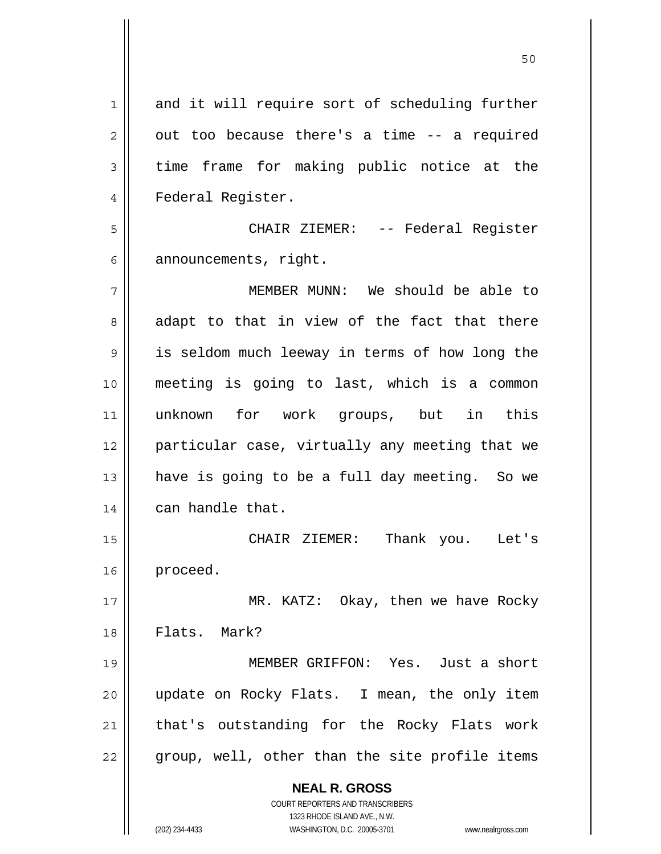| 1  | and it will require sort of scheduling further                      |
|----|---------------------------------------------------------------------|
| 2  | out too because there's a time -- a required                        |
| 3  | time frame for making public notice at the                          |
| 4  | Federal Register.                                                   |
| 5  | CHAIR ZIEMER: -- Federal Register                                   |
| 6  | announcements, right.                                               |
| 7  | MEMBER MUNN: We should be able to                                   |
| 8  | adapt to that in view of the fact that there                        |
| 9  | is seldom much leeway in terms of how long the                      |
| 10 | meeting is going to last, which is a common                         |
| 11 | unknown for work groups, but in this                                |
| 12 | particular case, virtually any meeting that we                      |
| 13 | have is going to be a full day meeting. So we                       |
| 14 | can handle that.                                                    |
| 15 | CHAIR ZIEMER:<br>Thank you. Let's                                   |
| 16 | proceed.                                                            |
| 17 | MR. KATZ: Okay, then we have Rocky                                  |
| 18 | Flats. Mark?                                                        |
| 19 | MEMBER GRIFFON: Yes. Just a short                                   |
| 20 | update on Rocky Flats. I mean, the only item                        |
| 21 | that's outstanding for the Rocky Flats work                         |
| 22 | group, well, other than the site profile items                      |
|    | <b>NEAL R. GROSS</b>                                                |
|    | <b>COURT REPORTERS AND TRANSCRIBERS</b>                             |
|    | 1323 RHODE ISLAND AVE., N.W.                                        |
|    | (202) 234-4433<br>WASHINGTON, D.C. 20005-3701<br>www.nealrgross.com |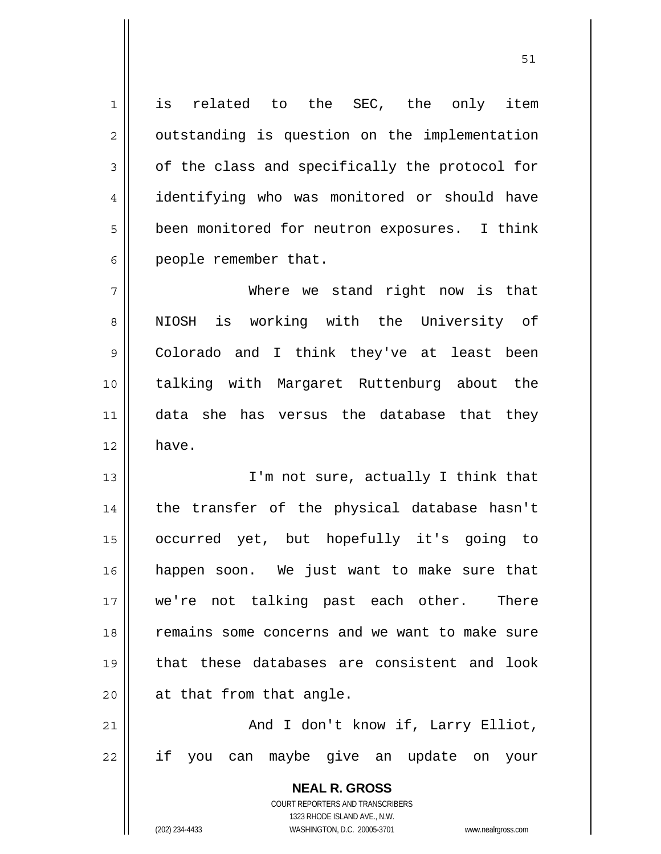1 || is related to the SEC, the only item 2 | outstanding is question on the implementation  $3 \parallel$  of the class and specifically the protocol for 4 | identifying who was monitored or should have 5 | been monitored for neutron exposures. I think 6 | people remember that.

7 Where we stand right now is that 8 || NIOSH is working with the University of 9 Colorado and I think they've at least been 10 talking with Margaret Ruttenburg about the 11 data she has versus the database that they  $12 \parallel$  have.

13 || I'm not sure, actually I think that 14 || the transfer of the physical database hasn't occurred yet, but hopefully it's going to happen soon. We just want to make sure that we're not talking past each other. There remains some concerns and we want to make sure that these databases are consistent and look || at that from that angle.

21 || And I don't know if, Larry Elliot, 22 if you can maybe give an update on your

> **NEAL R. GROSS** COURT REPORTERS AND TRANSCRIBERS 1323 RHODE ISLAND AVE., N.W. (202) 234-4433 WASHINGTON, D.C. 20005-3701 www.nealrgross.com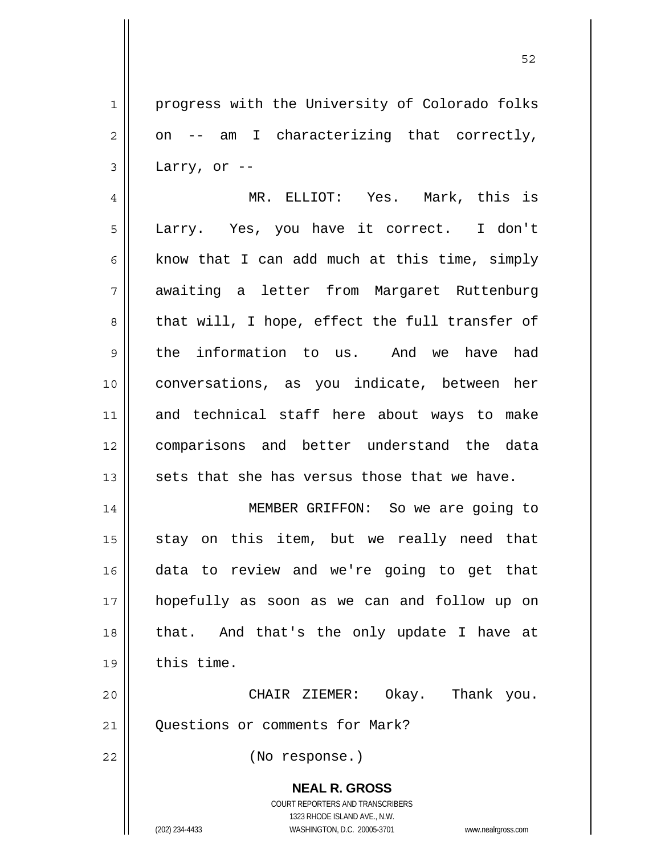1 | progress with the University of Colorado folks  $2 \parallel$  on -- am I characterizing that correctly,  $3 \parallel$  Larry, or --

4 MR. ELLIOT: Yes. Mark, this is 5 || Larry. Yes, you have it correct. I don't  $6 \parallel$  know that I can add much at this time, simply 7 awaiting a letter from Margaret Ruttenburg 8 that will, I hope, effect the full transfer of 9 the information to us. And we have had 10 conversations, as you indicate, between her 11 and technical staff here about ways to make 12 comparisons and better understand the data  $13$  sets that she has versus those that we have.

MEMBER GRIFFON: So we are going to stay on this item, but we really need that data to review and we're going to get that hopefully as soon as we can and follow up on 18 || that. And that's the only update I have at  $\parallel$  this time.

20 CHAIR ZIEMER: Okay. Thank you. 21 | Ouestions or comments for Mark?

22 (No response.)

 **NEAL R. GROSS** COURT REPORTERS AND TRANSCRIBERS 1323 RHODE ISLAND AVE., N.W.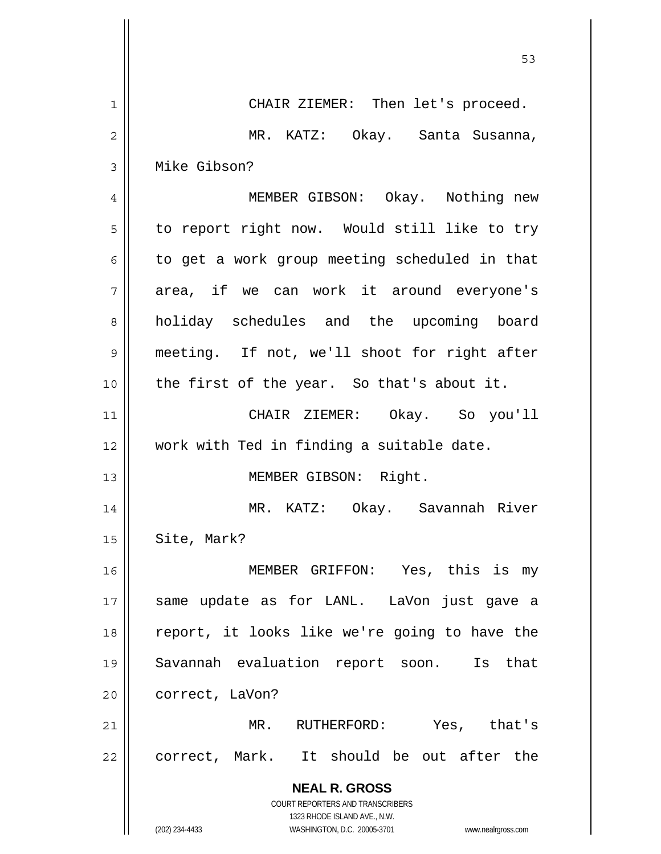|                | 53                                                                                                  |
|----------------|-----------------------------------------------------------------------------------------------------|
| 1              | CHAIR ZIEMER: Then let's proceed.                                                                   |
| $\overline{2}$ | MR. KATZ: Okay. Santa Susanna,                                                                      |
| 3              | Mike Gibson?                                                                                        |
| 4              | MEMBER GIBSON: Okay. Nothing new                                                                    |
| 5              | to report right now. Would still like to try                                                        |
| 6              | to get a work group meeting scheduled in that                                                       |
| 7              | area, if we can work it around everyone's                                                           |
| 8              | holiday schedules and the upcoming board                                                            |
| 9              | meeting. If not, we'll shoot for right after                                                        |
| 10             | the first of the year. So that's about it.                                                          |
| 11             | CHAIR ZIEMER: Okay. So you'll                                                                       |
| 12             | work with Ted in finding a suitable date.                                                           |
| 13             | MEMBER GIBSON: Right.                                                                               |
| 14             | MR. KATZ: Okay. Savannah River                                                                      |
| 15             | Site, Mark?                                                                                         |
| 16             | MEMBER GRIFFON: Yes, this is my                                                                     |
| 17             | same update as for LANL. LaVon just gave a                                                          |
| 18             | report, it looks like we're going to have the                                                       |
| 19             | Savannah evaluation report soon.<br>Is that                                                         |
| 20             | correct, LaVon?                                                                                     |
| 21             | MR. RUTHERFORD:<br>Yes, that's                                                                      |
| 22             | correct, Mark. It should be out after the                                                           |
|                | <b>NEAL R. GROSS</b>                                                                                |
|                | COURT REPORTERS AND TRANSCRIBERS                                                                    |
|                | 1323 RHODE ISLAND AVE., N.W.<br>(202) 234-4433<br>WASHINGTON, D.C. 20005-3701<br>www.nealrgross.com |

 $\overline{\phantom{a}}$ 

 $\mathsf{l}$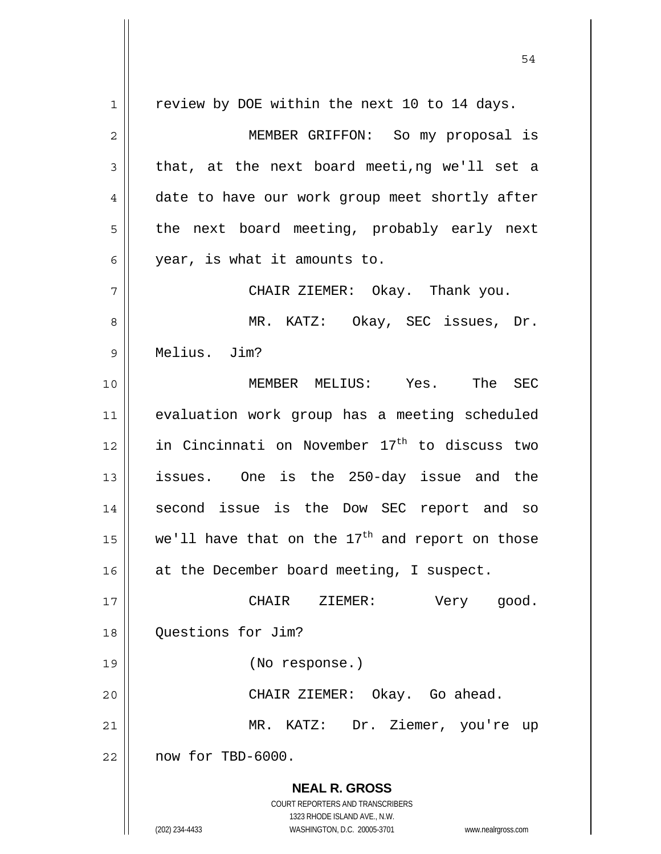**NEAL R. GROSS** COURT REPORTERS AND TRANSCRIBERS 1323 RHODE ISLAND AVE., N.W. (202) 234-4433 WASHINGTON, D.C. 20005-3701 www.nealrgross.com 1 || review by DOE within the next 10 to 14 days. 2 MEMBER GRIFFON: So my proposal is  $3 \parallel$  that, at the next board meeti,ng we'll set a 4 date to have our work group meet shortly after  $5 \parallel$  the next board meeting, probably early next 6 year, is what it amounts to. 7 CHAIR ZIEMER: Okay. Thank you. 8 MR. KATZ: Okay, SEC issues, Dr. 9 Melius. Jim? 10 MEMBER MELIUS: Yes. The SEC 11 evaluation work group has a meeting scheduled 12  $\parallel$  in Cincinnati on November 17<sup>th</sup> to discuss two 13 issues. One is the 250-day issue and the 14 || second issue is the Dow SEC report and so 15  $\parallel$  we'll have that on the 17<sup>th</sup> and report on those 16 || at the December board meeting, I suspect. 17 || CHAIR ZIEMER: Very good. 18 **Questions** for Jim? 19 (No response.) 20 CHAIR ZIEMER: Okay. Go ahead. 21 MR. KATZ: Dr. Ziemer, you're up  $22$  | now for TBD-6000.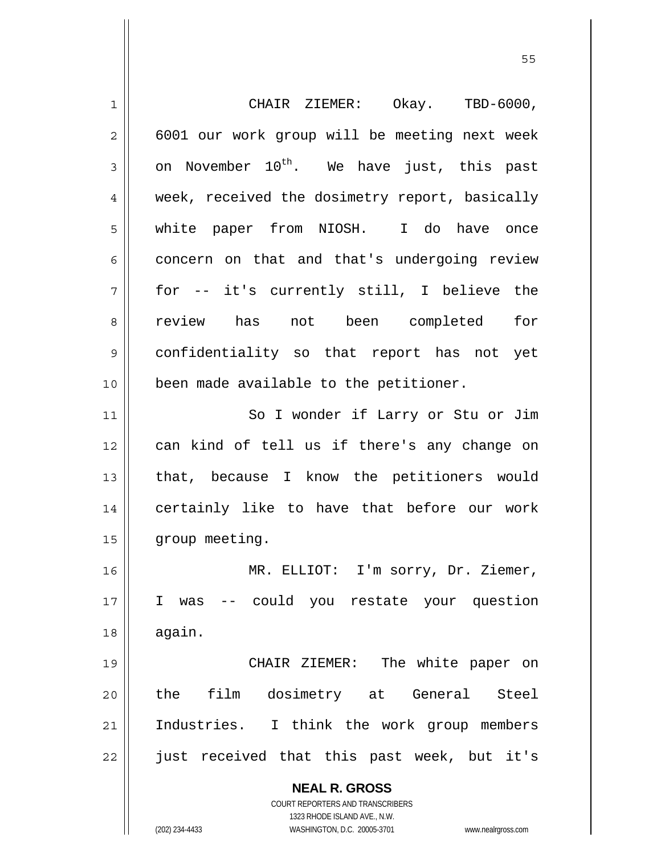| 1              | CHAIR ZIEMER: Okay. TBD-6000,                                       |
|----------------|---------------------------------------------------------------------|
| $\overline{c}$ | 6001 our work group will be meeting next week                       |
| 3              | on November 10 <sup>th</sup> . We have just, this past              |
| 4              | week, received the dosimetry report, basically                      |
| 5              | white paper from NIOSH. I do have once                              |
| 6              | concern on that and that's undergoing review                        |
| 7              | for -- it's currently still, I believe the                          |
| 8              | review has not been completed for                                   |
| 9              | confidentiality so that report has not yet                          |
| 10             | been made available to the petitioner.                              |
| 11             | So I wonder if Larry or Stu or Jim                                  |
| 12             | can kind of tell us if there's any change on                        |
| 13             | that, because I know the petitioners would                          |
| 14             | certainly like to have that before our work                         |
| 15             | group meeting.                                                      |
| 16             | MR. ELLIOT: I'm sorry, Dr. Ziemer,                                  |
| 17             | I<br>-- could you restate your question<br>was                      |
| 18             | again.                                                              |
| 19             | CHAIR ZIEMER: The white paper on                                    |
| 20             | dosimetry at General<br>film<br>the<br>Steel                        |
| 21             | Industries. I think the work group members                          |
| 22             | just received that this past week, but it's                         |
|                | <b>NEAL R. GROSS</b>                                                |
|                | <b>COURT REPORTERS AND TRANSCRIBERS</b>                             |
|                | 1323 RHODE ISLAND AVE., N.W.                                        |
|                | (202) 234-4433<br>WASHINGTON, D.C. 20005-3701<br>www.nealrgross.com |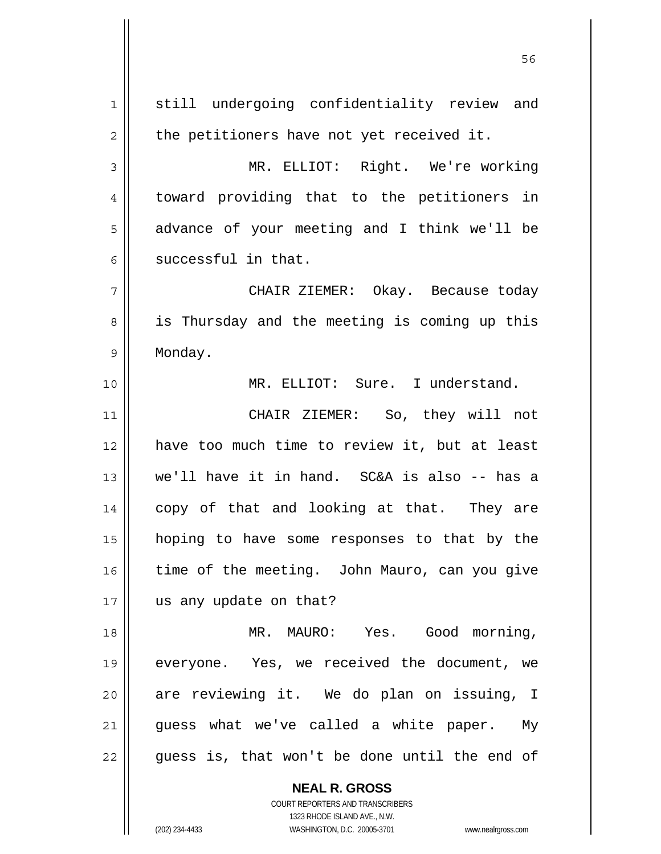**NEAL R. GROSS** 1 still undergoing confidentiality review and  $2 \parallel$  the petitioners have not yet received it. 3 MR. ELLIOT: Right. We're working 4 || toward providing that to the petitioners in 5 || advance of your meeting and I think we'll be  $6 \parallel$  successful in that. 7 CHAIR ZIEMER: Okay. Because today 8 || is Thursday and the meeting is coming up this 9 Monday. 10 MR. ELLIOT: Sure. I understand. 11 CHAIR ZIEMER: So, they will not 12 have too much time to review it, but at least 13 we'll have it in hand. SC&A is also -- has a 14 || copy of that and looking at that. They are 15 hoping to have some responses to that by the 16 time of the meeting. John Mauro, can you give 17 || us any update on that? 18 MR. MAURO: Yes. Good morning, 19 everyone. Yes, we received the document, we 20 || are reviewing it. We do plan on issuing, I  $21$  guess what we've called a white paper. My  $22$  || guess is, that won't be done until the end of

 $56$ 

 COURT REPORTERS AND TRANSCRIBERS 1323 RHODE ISLAND AVE., N.W.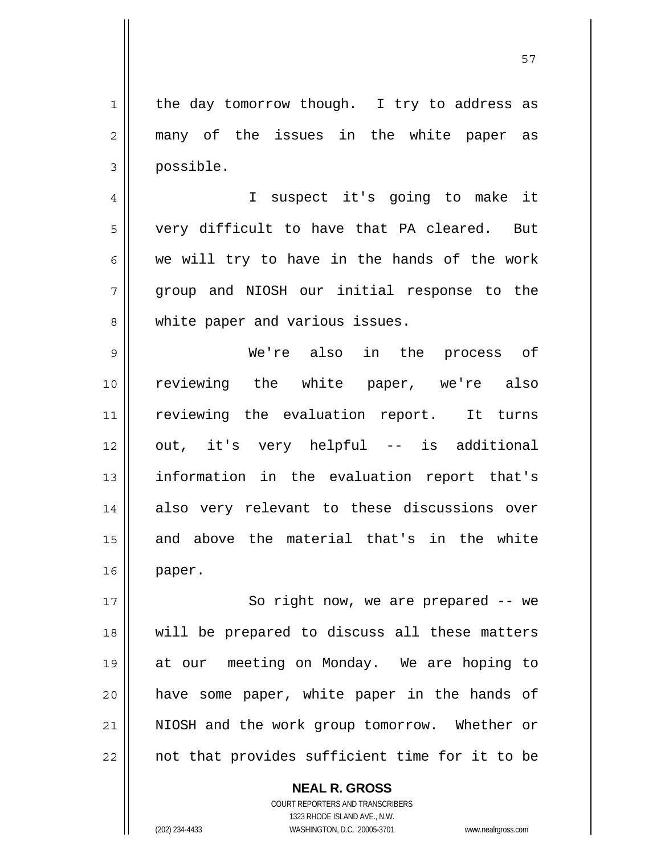57

 $1$  the day tomorrow though. I try to address as 2 || many of the issues in the white paper as 3 possible. 4 || I suspect it's going to make it  $5 \parallel$  very difficult to have that PA cleared. But  $6 \parallel$  we will try to have in the hands of the work 7 group and NIOSH our initial response to the 8 White paper and various issues. 9 We're also in the process of 10 reviewing the white paper, we're also 11 reviewing the evaluation report. It turns 12 out, it's very helpful -- is additional 13 information in the evaluation report that's 14 also very relevant to these discussions over 15 and above the material that's in the white 16 paper. 17 || So right now, we are prepared -- we 18 will be prepared to discuss all these matters 19 at our meeting on Monday. We are hoping to 20 || have some paper, white paper in the hands of 21 NIOSH and the work group tomorrow. Whether or 22 || not that provides sufficient time for it to be

> **NEAL R. GROSS** COURT REPORTERS AND TRANSCRIBERS

 1323 RHODE ISLAND AVE., N.W. (202) 234-4433 WASHINGTON, D.C. 20005-3701 www.nealrgross.com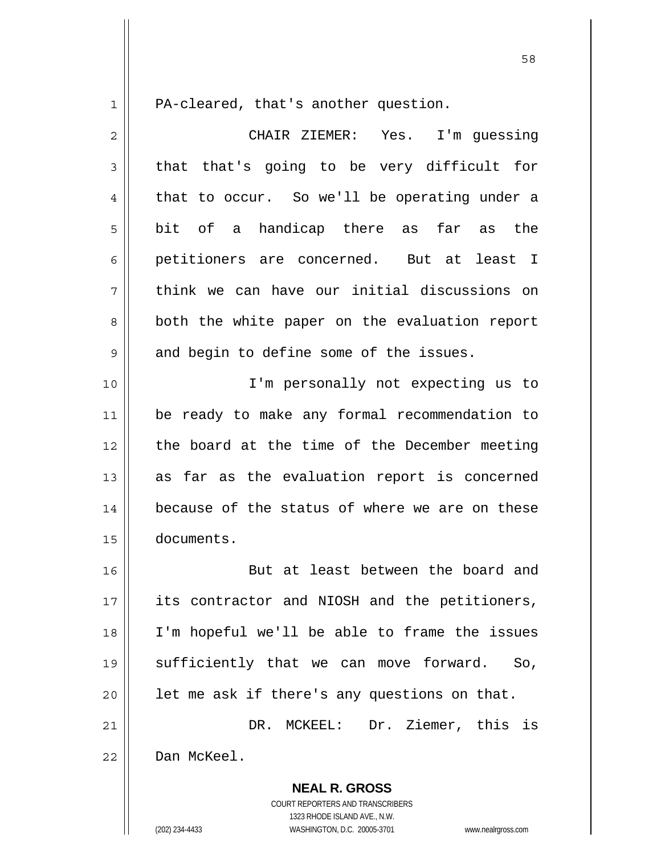1 | PA-cleared, that's another question.

| $\overline{2}$ | CHAIR ZIEMER: Yes. I'm guessing                |
|----------------|------------------------------------------------|
| 3              | that that's going to be very difficult for     |
| 4              | that to occur. So we'll be operating under a   |
| 5              | bit of a handicap there as far<br>as the       |
| 6              | petitioners are concerned. But at<br>least I   |
| 7              | think we can have our initial discussions on   |
| 8              | both the white paper on the evaluation report  |
| 9              | and begin to define some of the issues.        |
| 10             | I'm personally not expecting us to             |
| 11             | be ready to make any formal recommendation to  |
| 12             | the board at the time of the December meeting  |
| 13             | as far as the evaluation report is concerned   |
| 14             | because of the status of where we are on these |
| 15             | documents.                                     |
| 16             | But at least between the board and             |
| 17             | its contractor and NIOSH and the petitioners,  |
| 18             | I'm hopeful we'll be able to frame the issues  |
| 19             | sufficiently that we can move forward. So,     |
| 20             | let me ask if there's any questions on that.   |
| 21             | DR. MCKEEL: Dr. Ziemer, this is                |
| 22             | Dan McKeel.                                    |
|                | <b>NEAL R. GROSS</b>                           |

 COURT REPORTERS AND TRANSCRIBERS 1323 RHODE ISLAND AVE., N.W.

(202) 234-4433 WASHINGTON, D.C. 20005-3701 www.nealrgross.com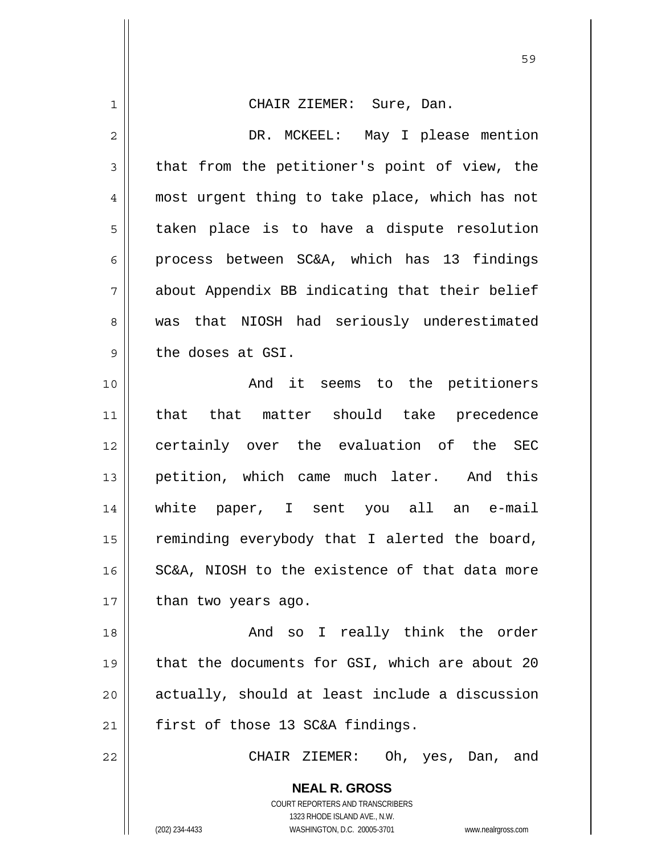| $\mathbf 1$  | CHAIR ZIEMER: Sure, Dan.                                                                            |
|--------------|-----------------------------------------------------------------------------------------------------|
| $\mathbf{2}$ | DR. MCKEEL: May I please mention                                                                    |
| 3            | that from the petitioner's point of view, the                                                       |
| 4            | most urgent thing to take place, which has not                                                      |
| 5            | taken place is to have a dispute resolution                                                         |
| 6            | process between SC&A, which has 13 findings                                                         |
| 7            | about Appendix BB indicating that their belief                                                      |
| 8            | was that NIOSH had seriously underestimated                                                         |
| 9            | the doses at GSI.                                                                                   |
| 10           | And it seems to the petitioners                                                                     |
| 11           | that that matter should take precedence                                                             |
| 12           | certainly over the evaluation of the SEC                                                            |
| 13           | petition, which came much later. And this                                                           |
| 14           | white paper, I sent you all an e-mail                                                               |
| 15           | reminding everybody that I alerted the board,                                                       |
| 16           | SC&A, NIOSH to the existence of that data more                                                      |
| 17           | than two years ago.                                                                                 |
| 18           | And so I really think the order                                                                     |
| 19           | that the documents for GSI, which are about 20                                                      |
| 20           | actually, should at least include a discussion                                                      |
| 21           | first of those 13 SC&A findings.                                                                    |
| 22           | CHAIR ZIEMER: Oh, yes, Dan, and                                                                     |
|              | <b>NEAL R. GROSS</b>                                                                                |
|              | COURT REPORTERS AND TRANSCRIBERS                                                                    |
|              | 1323 RHODE ISLAND AVE., N.W.<br>(202) 234-4433<br>WASHINGTON, D.C. 20005-3701<br>www.nealrgross.com |
|              |                                                                                                     |

 $\mathsf{I}$ 

<u>59 September 2005 September 2005 September 2005 September 2005 September 2005 September 2005 September 2005 S</u>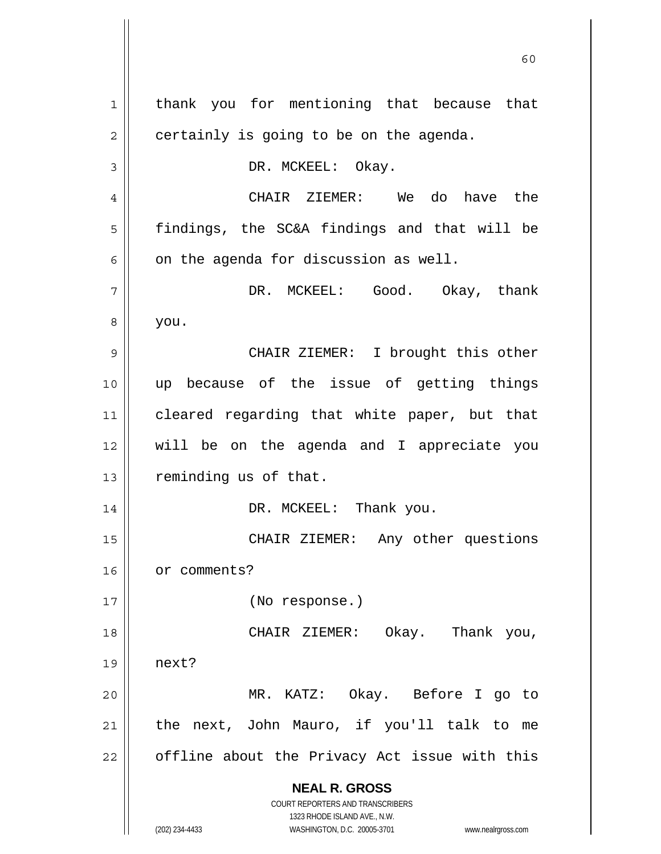**NEAL R. GROSS** COURT REPORTERS AND TRANSCRIBERS 1323 RHODE ISLAND AVE., N.W. (202) 234-4433 WASHINGTON, D.C. 20005-3701 www.nealrgross.com 1 || thank you for mentioning that because that  $2 \parallel$  certainly is going to be on the agenda. 3 || DR. MCKEEL: Okay. 4 CHAIR ZIEMER: We do have the 5 || findings, the SC&A findings and that will be  $6 \parallel$  on the agenda for discussion as well. 7 DR. MCKEEL: Good. Okay, thank  $8 \mid$  you. 9 CHAIR ZIEMER: I brought this other 10 up because of the issue of getting things 11 cleared regarding that white paper, but that 12 will be on the agenda and I appreciate you 13 | reminding us of that. 14 DR. MCKEEL: Thank you. 15 CHAIR ZIEMER: Any other questions 16 | or comments? 17 (No response.) 18 CHAIR ZIEMER: Okay. Thank you,  $19 \parallel$  next? 20 MR. KATZ: Okay. Before I go to  $21$  | the next, John Mauro, if you'll talk to me  $22$  | offline about the Privacy Act issue with this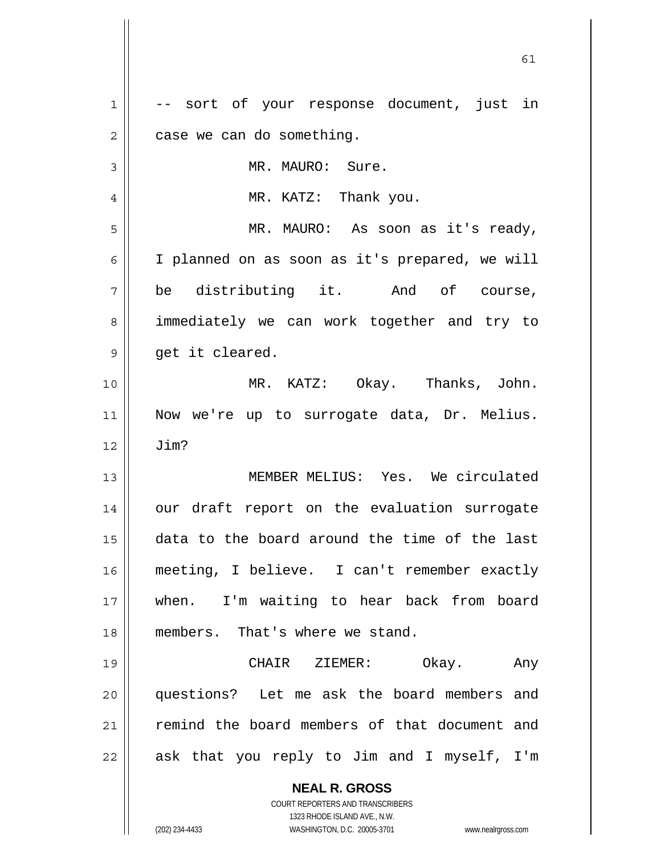| $\mathbf 1$    | -- sort of your response document, just in                          |
|----------------|---------------------------------------------------------------------|
| $\overline{c}$ | case we can do something.                                           |
| 3              | MR. MAURO: Sure.                                                    |
| 4              | MR. KATZ: Thank you.                                                |
| 5              | MR. MAURO: As soon as it's ready,                                   |
| 6              | I planned on as soon as it's prepared, we will                      |
| 7              | be distributing it. And of course,                                  |
| 8              | immediately we can work together and try to                         |
| 9              | get it cleared.                                                     |
| 10             | MR. KATZ: Okay. Thanks, John.                                       |
| 11             | Now we're up to surrogate data, Dr. Melius.                         |
| 12             | Jim?                                                                |
| 13             | MEMBER MELIUS: Yes. We circulated                                   |
| 14             | our draft report on the evaluation surrogate                        |
| 15             | data to the board around the time of the last                       |
| 16             | meeting, I believe. I can't remember exactly                        |
| 17             | when. I'm waiting to hear back from board                           |
| 18             | members. That's where we stand.                                     |
| 19             | Okay. Any<br>CHAIR ZIEMER:                                          |
| 20             | questions? Let me ask the board members and                         |
| 21             | remind the board members of that document and                       |
| 22             | ask that you reply to Jim and I myself, I'm                         |
|                | <b>NEAL R. GROSS</b>                                                |
|                | <b>COURT REPORTERS AND TRANSCRIBERS</b>                             |
|                | 1323 RHODE ISLAND AVE., N.W.                                        |
|                | (202) 234-4433<br>WASHINGTON, D.C. 20005-3701<br>www.nealrgross.com |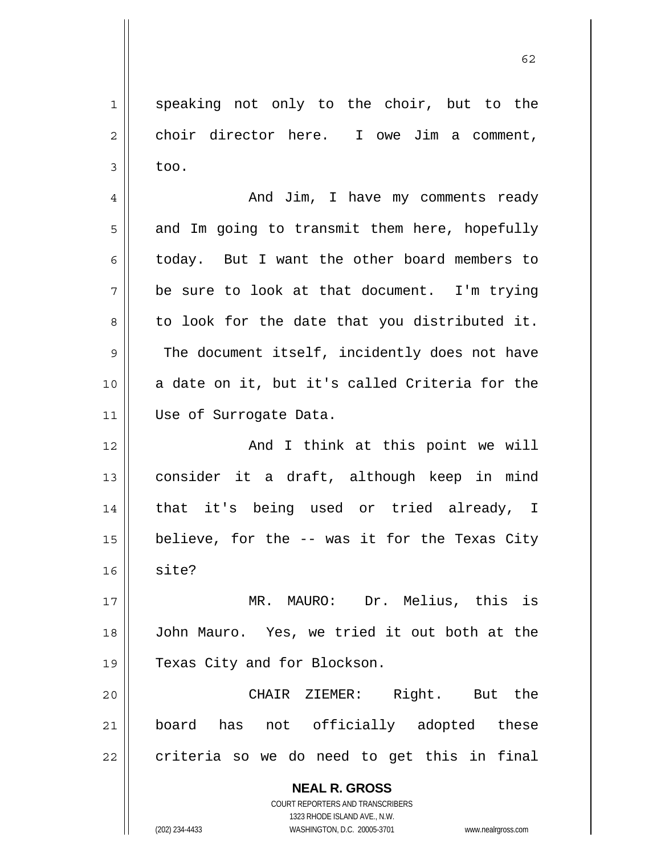1 speaking not only to the choir, but to the  $2 \parallel$  choir director here. I owe Jim a comment,  $3 \parallel$  too.

4 And Jim, I have my comments ready  $5 \parallel$  and Im going to transmit them here, hopefully 6 today. But I want the other board members to  $7 \parallel$  be sure to look at that document. I'm trying  $8 \parallel$  to look for the date that you distributed it. 9 The document itself, incidently does not have 10 a date on it, but it's called Criteria for the 11 | Use of Surrogate Data.

12 || And I think at this point we will 13 consider it a draft, although keep in mind 14 || that it's being used or tried already, I 15  $\parallel$  believe, for the -- was it for the Texas City  $16 \parallel$  site?

17 || MR. MAURO: Dr. Melius, this is 18 John Mauro. Yes, we tried it out both at the 19 || Texas City and for Blockson.

20 CHAIR ZIEMER: Right. But the 21 board has not officially adopted these  $22 \parallel$  criteria so we do need to get this in final

> **NEAL R. GROSS** COURT REPORTERS AND TRANSCRIBERS 1323 RHODE ISLAND AVE., N.W. (202) 234-4433 WASHINGTON, D.C. 20005-3701 www.nealrgross.com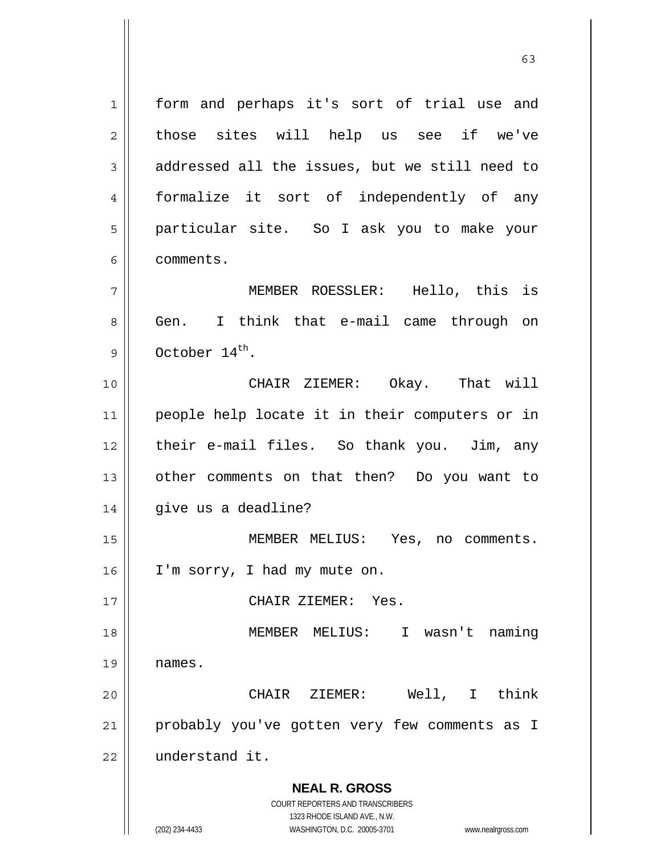**NEAL R. GROSS** COURT REPORTERS AND TRANSCRIBERS 1323 RHODE ISLAND AVE., N.W. (202) 234-4433 WASHINGTON, D.C. 20005-3701 www.nealrgross.com 1 || form and perhaps it's sort of trial use and 2 || those sites will help us see if we've  $3 \parallel$  addressed all the issues, but we still need to 4 formalize it sort of independently of any 5 particular site. So I ask you to make your 6 comments. 7 MEMBER ROESSLER: Hello, this is 8 Gen. I think that e-mail came through on 9  $\parallel$  October 14<sup>th</sup>. 10 CHAIR ZIEMER: Okay. That will 11 people help locate it in their computers or in 12 their e-mail files. So thank you. Jim, any 13 other comments on that then? Do you want to 14 | give us a deadline? 15 MEMBER MELIUS: Yes, no comments. 16 | I'm sorry, I had my mute on. 17 CHAIR ZIEMER: Yes. 18 MEMBER MELIUS: I wasn't naming  $19$  | names. 20 CHAIR ZIEMER: Well, I think 21 probably you've gotten very few comments as I 22 understand it.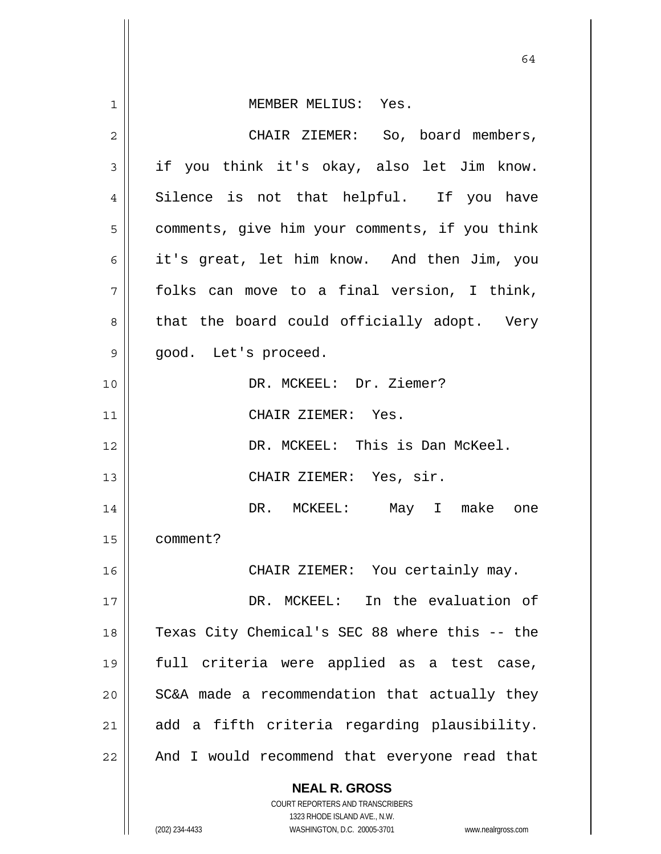|    | 64                                                                  |
|----|---------------------------------------------------------------------|
| 1  | MEMBER MELIUS: Yes.                                                 |
| 2  | CHAIR ZIEMER: So, board members,                                    |
| 3  | if you think it's okay, also let Jim know.                          |
| 4  | Silence is not that helpful. If you have                            |
| 5  | comments, give him your comments, if you think                      |
| 6  | it's great, let him know. And then Jim, you                         |
| 7  | folks can move to a final version, I think,                         |
| 8  | that the board could officially adopt. Very                         |
| 9  | good. Let's proceed.                                                |
| 10 | DR. MCKEEL: Dr. Ziemer?                                             |
| 11 | CHAIR ZIEMER: Yes.                                                  |
| 12 | DR. MCKEEL: This is Dan McKeel.                                     |
| 13 | CHAIR ZIEMER: Yes, sir.                                             |
| 14 | DR. MCKEEL: May I make<br>one                                       |
| 15 | comment?                                                            |
| 16 | CHAIR ZIEMER: You certainly may.                                    |
| 17 | In the evaluation of<br>DR. MCKEEL:                                 |
| 18 | Texas City Chemical's SEC 88 where this -- the                      |
| 19 | full criteria were applied as a test case,                          |
| 20 | SC&A made a recommendation that actually they                       |
| 21 | add a fifth criteria regarding plausibility.                        |
| 22 | And I would recommend that everyone read that                       |
|    | <b>NEAL R. GROSS</b>                                                |
|    | COURT REPORTERS AND TRANSCRIBERS<br>1323 RHODE ISLAND AVE., N.W.    |
|    | (202) 234-4433<br>WASHINGTON, D.C. 20005-3701<br>www.nealrgross.com |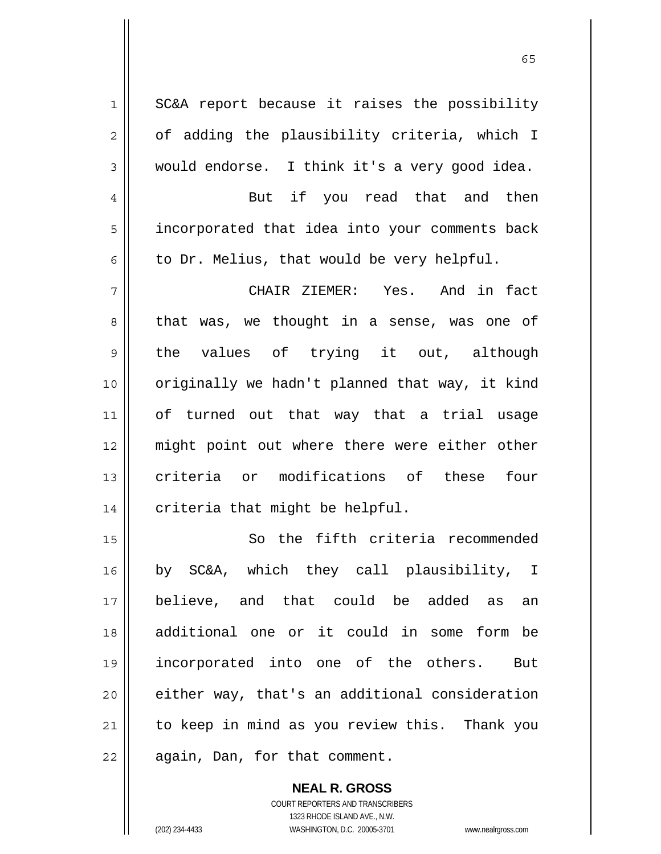1 || SC&A report because it raises the possibility  $2 \parallel$  of adding the plausibility criteria, which I  $3 \parallel$  would endorse. I think it's a very good idea. 4 || But if you read that and then 5 || incorporated that idea into your comments back  $6 \parallel$  to Dr. Melius, that would be very helpful. 7 CHAIR ZIEMER: Yes. And in fact 8 || that was, we thought in a sense, was one of 9 || the values of trying it out, although 10 || originally we hadn't planned that way, it kind 11 of turned out that way that a trial usage 12 might point out where there were either other 13 criteria or modifications of these four  $14$  | criteria that might be helpful. 15 || So the fifth criteria recommended 16 by SC&A, which they call plausibility, I 17 believe, and that could be added as an 18 additional one or it could in some form be 19 incorporated into one of the others. But 20 either way, that's an additional consideration  $21$  to keep in mind as you review this. Thank you  $22$  | again, Dan, for that comment.

> **NEAL R. GROSS** COURT REPORTERS AND TRANSCRIBERS 1323 RHODE ISLAND AVE., N.W. (202) 234-4433 WASHINGTON, D.C. 20005-3701 www.nealrgross.com

 $\sim$  65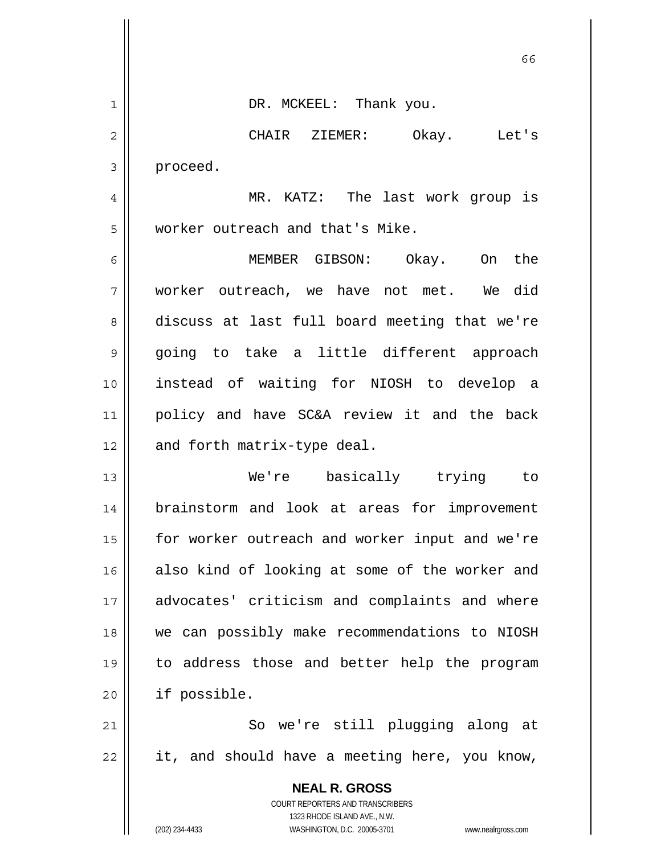|                | 66                                                                                                  |
|----------------|-----------------------------------------------------------------------------------------------------|
| $\mathbf 1$    | DR. MCKEEL: Thank you.                                                                              |
| $\overline{2}$ | CHAIR ZIEMER:<br>Okay. Let's                                                                        |
| 3              | proceed.                                                                                            |
| 4              | MR. KATZ: The last work group is                                                                    |
| 5              | worker outreach and that's Mike.                                                                    |
| 6              | MEMBER GIBSON: Okay.<br>On the                                                                      |
| 7              | worker outreach, we have not met. We did                                                            |
| 8              | discuss at last full board meeting that we're                                                       |
| 9              | going to take a little different approach                                                           |
| 10             | instead of waiting for NIOSH to develop a                                                           |
| 11             | policy and have SC&A review it and the back                                                         |
| 12             | and forth matrix-type deal.                                                                         |
| 13             | We're basically trying to                                                                           |
| 14             | brainstorm and look at areas for improvement                                                        |
| 15             | for worker outreach and worker input and we're                                                      |
| 16             | also kind of looking at some of the worker and                                                      |
| 17             | advocates' criticism and complaints and where                                                       |
| 18             | we can possibly make recommendations to NIOSH                                                       |
| 19             | to address those and better help the program                                                        |
| 20             | if possible.                                                                                        |
| 21             | So we're still plugging along at                                                                    |
| 22             | it, and should have a meeting here, you know,                                                       |
|                | <b>NEAL R. GROSS</b><br>COURT REPORTERS AND TRANSCRIBERS                                            |
|                | 1323 RHODE ISLAND AVE., N.W.<br>(202) 234-4433<br>WASHINGTON, D.C. 20005-3701<br>www.nealrgross.com |

 $\mathsf{I}$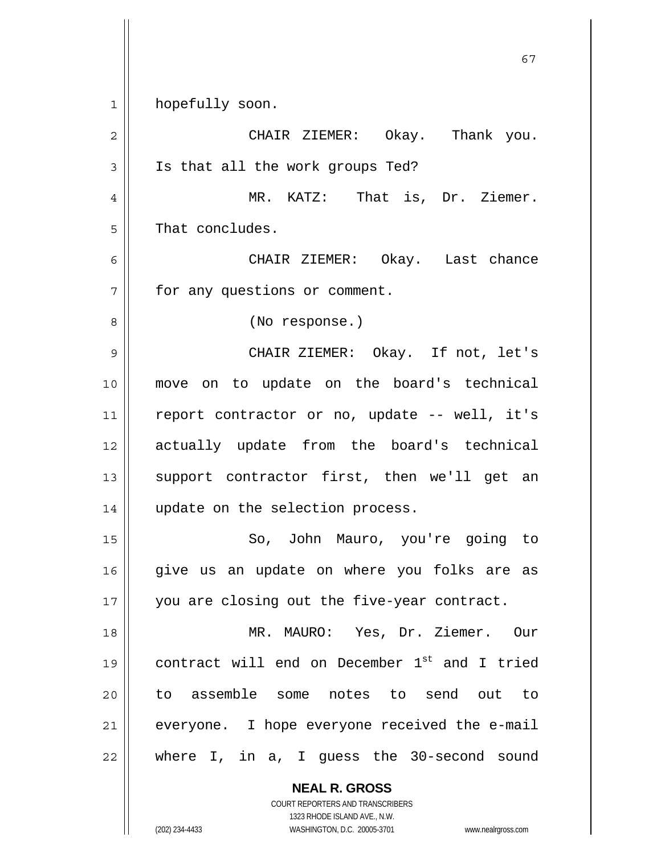1 | hopefully soon.

2 CHAIR ZIEMER: Okay. Thank you. 3 || Is that all the work groups Ted? 4 || MR. KATZ: That is, Dr. Ziemer.  $5 \parallel$  That concludes. 6 CHAIR ZIEMER: Okay. Last chance 7 | for any questions or comment. 8 || (No response.) 9 CHAIR ZIEMER: Okay. If not, let's 10 move on to update on the board's technical 11 || report contractor or no, update -- well, it's 12 actually update from the board's technical 13 || support contractor first, then we'll get an 14 || update on the selection process. 15 || So, John Mauro, you're going to 16 give us an update on where you folks are as 17 || you are closing out the five-year contract. 18 MR. MAURO: Yes, Dr. Ziemer. Our 19  $\parallel$  contract will end on December 1st and I tried 20 to assemble some notes to send out to  $21$  everyone. I hope everyone received the e-mail  $22$  || where I, in a, I guess the 30-second sound

 **NEAL R. GROSS**

 COURT REPORTERS AND TRANSCRIBERS 1323 RHODE ISLAND AVE., N.W. (202) 234-4433 WASHINGTON, D.C. 20005-3701 www.nealrgross.com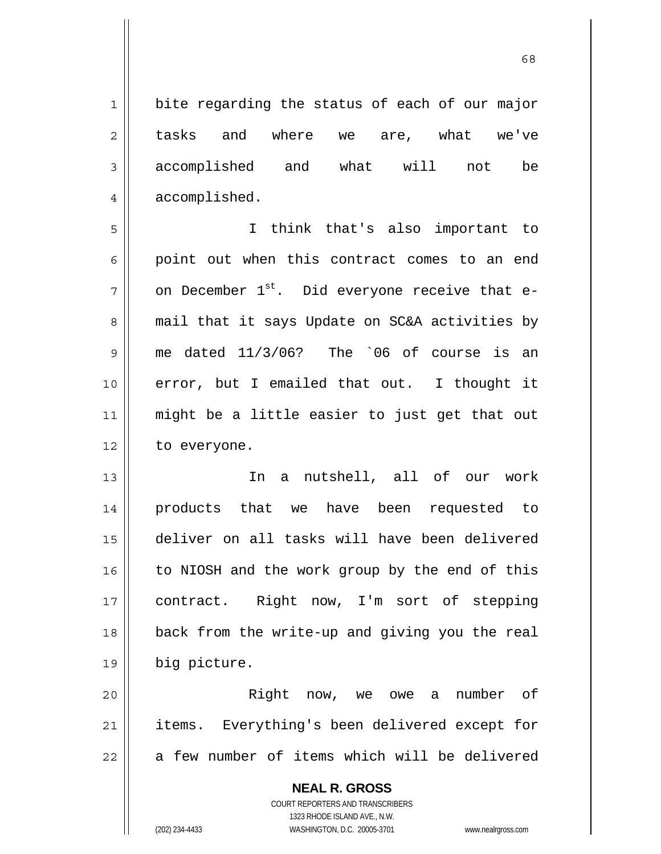$\sim$  68

| $\mathbf 1$    | bite regarding the status of each of our major                                                      |
|----------------|-----------------------------------------------------------------------------------------------------|
| 2              | tasks and where we are, what we've                                                                  |
| $\mathfrak{Z}$ | accomplished and what will<br>not<br>be                                                             |
| 4              | accomplished.                                                                                       |
| 5              | I think that's also important to                                                                    |
| 6              | point out when this contract comes to an end                                                        |
| 7              | on December 1 <sup>st</sup> . Did everyone receive that e-                                          |
| 8              | mail that it says Update on SC&A activities by                                                      |
| 9              | me dated $11/3/06$ ? The $06$ of course is an                                                       |
| 10             | error, but I emailed that out. I thought it                                                         |
| 11             | might be a little easier to just get that out                                                       |
| 12             | to everyone.                                                                                        |
| 13             | In a nutshell, all of our work                                                                      |
| 14             | products that we have been requested to                                                             |
| 15             | deliver on all tasks will have been delivered                                                       |
| 16             | to NIOSH and the work group by the end of this                                                      |
| 17             | contract. Right now, I'm sort of stepping                                                           |
| 18             | back from the write-up and giving you the real                                                      |
| 19             | big picture.                                                                                        |
| 20             | Right now, we owe a<br>number<br>of.                                                                |
| 21             | items. Everything's been delivered except for                                                       |
| 22             | a few number of items which will be delivered                                                       |
|                | <b>NEAL R. GROSS</b>                                                                                |
|                | COURT REPORTERS AND TRANSCRIBERS                                                                    |
|                | 1323 RHODE ISLAND AVE., N.W.<br>(202) 234-4433<br>WASHINGTON, D.C. 20005-3701<br>www.nealrgross.com |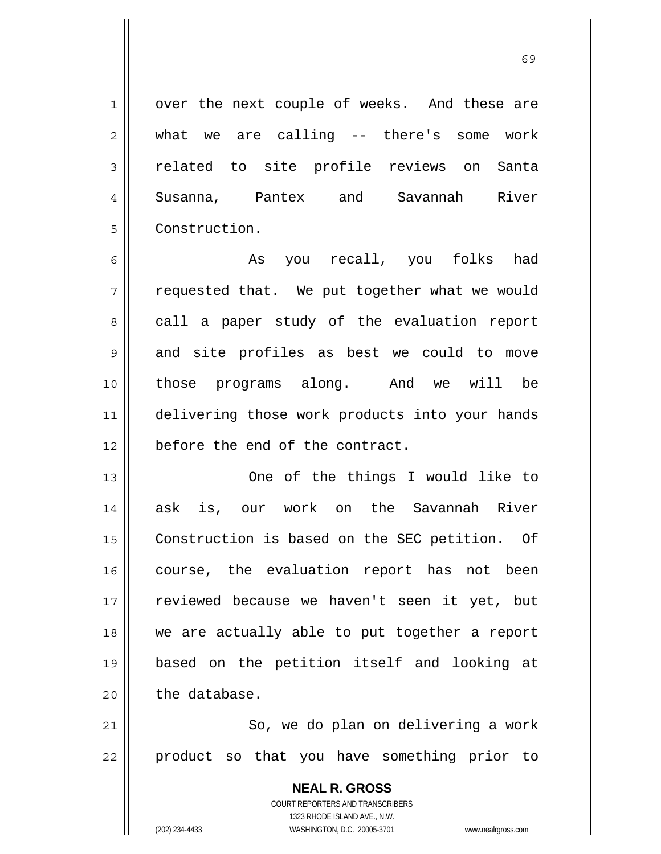1 | over the next couple of weeks. And these are

 $2 \parallel$  what we are calling -- there's some work 3 || related to site profile reviews on Santa 4 Susanna, Pantex and Savannah River 5 Construction.

6 As you recall, you folks had  $7 \parallel$  requested that. We put together what we would 8 call a paper study of the evaluation report 9 and site profiles as best we could to move 10 those programs along. And we will be 11 || delivering those work products into your hands 12 **before the end of the contract.** 

13 || One of the things I would like to 14 || ask is, our work on the Savannah River 15 | Construction is based on the SEC petition. Of 16 || course, the evaluation report has not been 17 || reviewed because we haven't seen it yet, but 18 we are actually able to put together a report 19 based on the petition itself and looking at  $20$  | the database.

21 || So, we do plan on delivering a work  $22$  || product so that you have something prior to

> **NEAL R. GROSS** COURT REPORTERS AND TRANSCRIBERS 1323 RHODE ISLAND AVE., N.W. (202) 234-4433 WASHINGTON, D.C. 20005-3701 www.nealrgross.com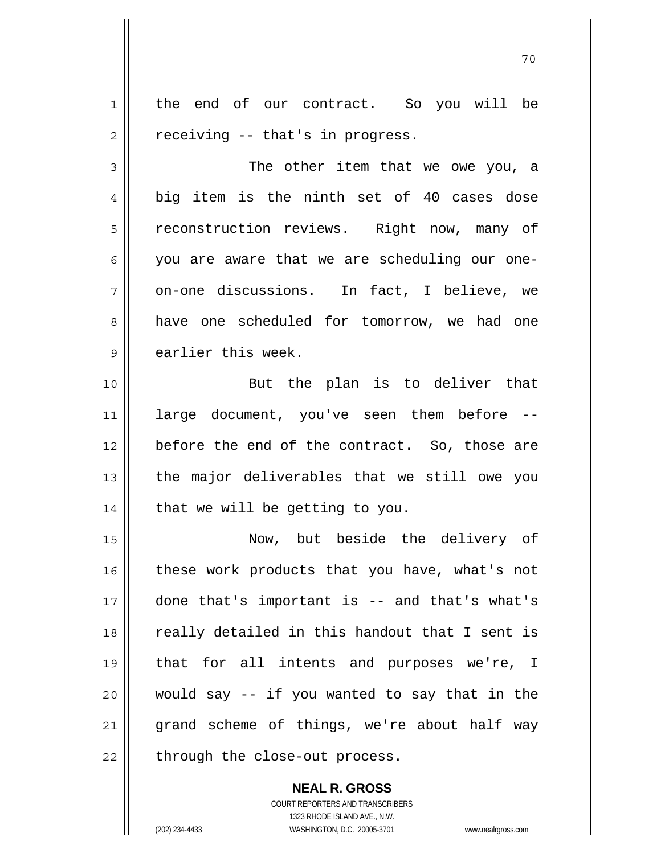1 || the end of our contract. So you will be  $2 \parallel$  receiving -- that's in progress.

70

3 The other item that we owe you, a 4 big item is the ninth set of 40 cases dose 5 | reconstruction reviews. Right now, many of 6 you are aware that we are scheduling our one- $7 \parallel$  on-one discussions. In fact, I believe, we 8 | have one scheduled for tomorrow, we had one 9 earlier this week.

10 || But the plan is to deliver that 11 large document, you've seen them before -- 12 || before the end of the contract. So, those are  $13$  || the major deliverables that we still owe you  $14$  | that we will be getting to you.

Now, but beside the delivery of 16 || these work products that you have, what's not done that's important is -- and that's what's 18 || really detailed in this handout that I sent is that for all intents and purposes we're, I would say -- if you wanted to say that in the grand scheme of things, we're about half way | through the close-out process.

> **NEAL R. GROSS** COURT REPORTERS AND TRANSCRIBERS 1323 RHODE ISLAND AVE., N.W. (202) 234-4433 WASHINGTON, D.C. 20005-3701 www.nealrgross.com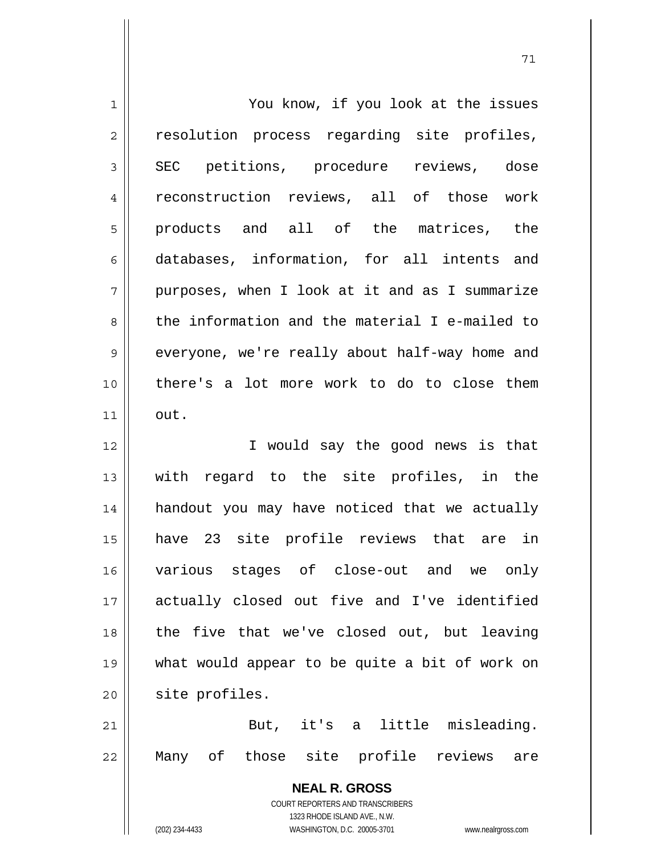| $\mathbf 1$ | You know, if you look at the issues                                                                 |
|-------------|-----------------------------------------------------------------------------------------------------|
| 2           | resolution process regarding site profiles,                                                         |
| 3           | SEC petitions, procedure reviews, dose                                                              |
| 4           | reconstruction reviews, all of those work                                                           |
| 5           | products and all of the matrices, the                                                               |
| 6           | databases, information, for all intents and                                                         |
| 7           | purposes, when I look at it and as I summarize                                                      |
| 8           | the information and the material I e-mailed to                                                      |
| 9           | everyone, we're really about half-way home and                                                      |
| 10          | there's a lot more work to do to close them                                                         |
| 11          | out.                                                                                                |
| 12          | I would say the good news is that                                                                   |
| 13          | regard to the site profiles, in the<br>with                                                         |
| 14          | handout you may have noticed that we actually                                                       |
| 15          | have 23 site profile reviews that are in                                                            |
| 16          | various stages of close-out and we only                                                             |
| 17          | actually closed out five and I've identified                                                        |
| 18          | the five that we've closed out, but leaving                                                         |
| 19          | what would appear to be quite a bit of work on                                                      |
| 20          | site profiles.                                                                                      |
| 21          | But, it's a little misleading.                                                                      |
| 22          | those site profile reviews<br>Many of<br>are                                                        |
|             | <b>NEAL R. GROSS</b>                                                                                |
|             | <b>COURT REPORTERS AND TRANSCRIBERS</b>                                                             |
|             | 1323 RHODE ISLAND AVE., N.W.<br>(202) 234-4433<br>WASHINGTON, D.C. 20005-3701<br>www.nealrgross.com |
|             |                                                                                                     |

 $\mathsf{I}$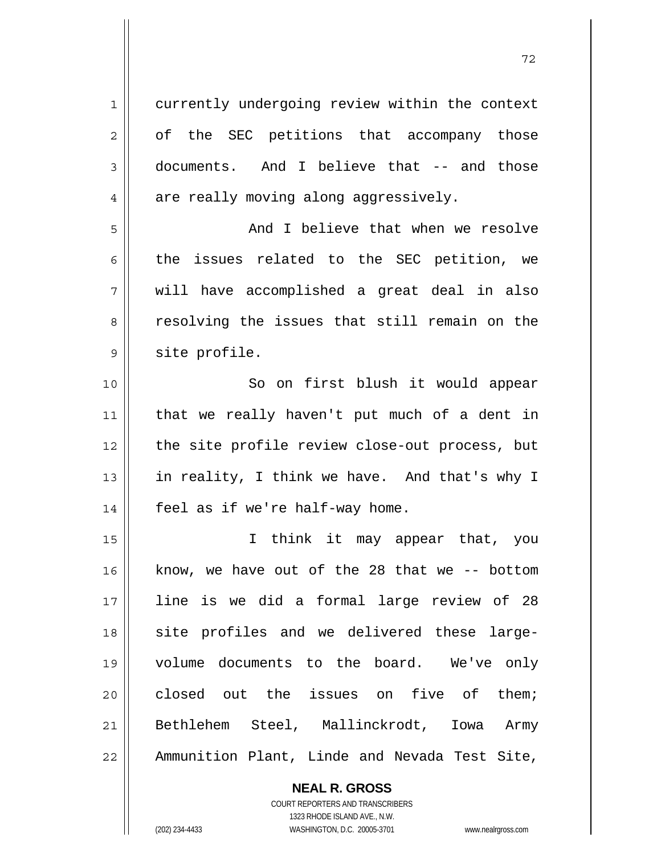1 || currently undergoing review within the context 2 of the SEC petitions that accompany those 3 documents. And I believe that -- and those  $4 \parallel$  are really moving along aggressively. 5 And I believe that when we resolve 6 the issues related to the SEC petition, we 7 will have accomplished a great deal in also 8 || resolving the issues that still remain on the 9 | site profile. 10 || So on first blush it would appear 11 that we really haven't put much of a dent in 12 the site profile review close-out process, but 13  $\parallel$  in reality, I think we have. And that's why I  $14$  | feel as if we're half-way home. 15 I think it may appear that, you 16 know, we have out of the 28 that we -- bottom 17 line is we did a formal large review of 28 18 || site profiles and we delivered these large-19 volume documents to the board. We've only 20 closed out the issues on five of them; 21 Bethlehem Steel, Mallinckrodt, Iowa Army 22 | Ammunition Plant, Linde and Nevada Test Site,

72

 **NEAL R. GROSS** COURT REPORTERS AND TRANSCRIBERS

 1323 RHODE ISLAND AVE., N.W. (202) 234-4433 WASHINGTON, D.C. 20005-3701 www.nealrgross.com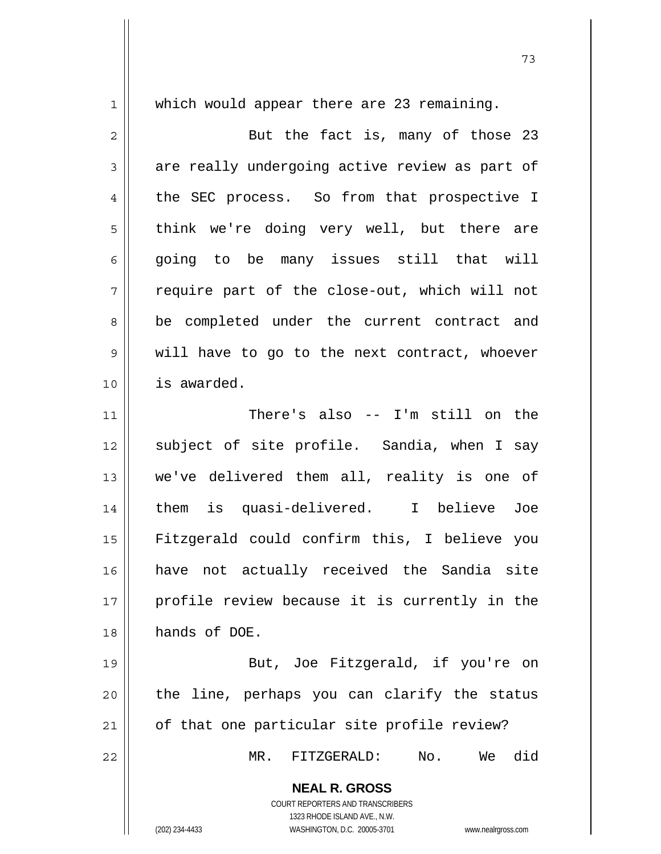1 || which would appear there are 23 remaining.

2 || But the fact is, many of those 23  $3 \parallel$  are really undergoing active review as part of 4 the SEC process. So from that prospective I 5 || think we're doing very well, but there are  $6 \parallel$  going to be many issues still that will  $7 \parallel$  require part of the close-out, which will not 8 || be completed under the current contract and 9 || will have to go to the next contract, whoever 10 is awarded. 11 There's also -- I'm still on the 12 || subject of site profile. Sandia, when I say 13 || we've delivered them all, reality is one of 14 them is quasi-delivered. I believe Joe 15 Fitzgerald could confirm this, I believe you 16 have not actually received the Sandia site 17 || profile review because it is currently in the 18 hands of DOE. 19 || But, Joe Fitzgerald, if you're on

 $21$  | of that one particular site profile review?

22 MR. FITZGERALD: No. We did

 **NEAL R. GROSS** COURT REPORTERS AND TRANSCRIBERS

 $20$  || the line, perhaps you can clarify the status

 1323 RHODE ISLAND AVE., N.W. (202) 234-4433 WASHINGTON, D.C. 20005-3701 www.nealrgross.com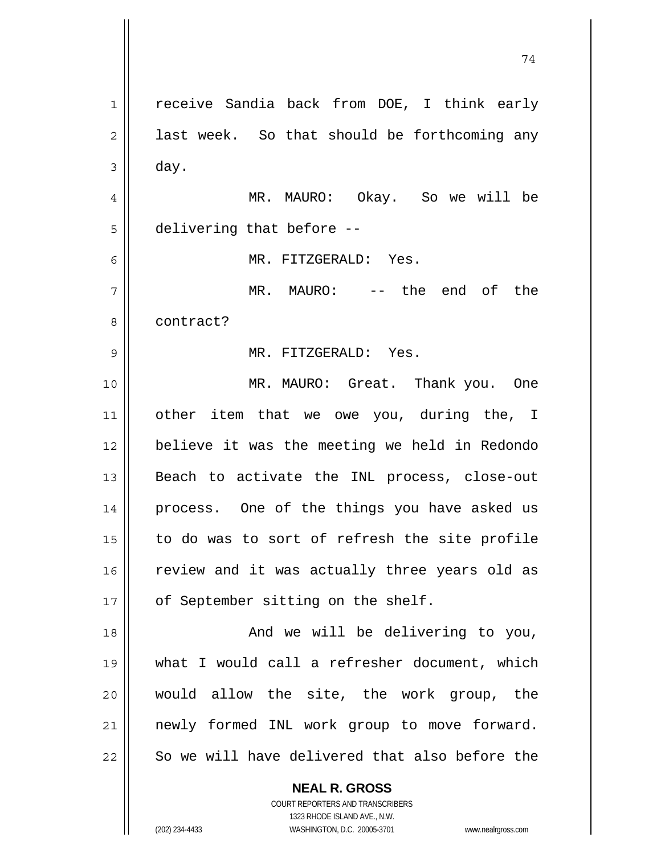**NEAL R. GROSS** 1 | receive Sandia back from DOE, I think early  $2 \parallel$  last week. So that should be forthcoming any  $3 \parallel$  day. 4 MR. MAURO: Okay. So we will be 5 | delivering that before --6 MR. FITZGERALD: Yes. 7 MR. MAURO: -- the end of the 8 l contract? 9 MR. FITZGERALD: Yes. 10 MR. MAURO: Great. Thank you. One 11 || other item that we owe you, during the, I 12 believe it was the meeting we held in Redondo 13 || Beach to activate the INL process, close-out 14 || process. One of the things you have asked us  $15$  to do was to sort of refresh the site profile 16 || review and it was actually three years old as 17 | of September sitting on the shelf. 18 And we will be delivering to you, 19 what I would call a refresher document, which 20 would allow the site, the work group, the 21 newly formed INL work group to move forward. 22 || So we will have delivered that also before the

74

 COURT REPORTERS AND TRANSCRIBERS 1323 RHODE ISLAND AVE., N.W.

(202) 234-4433 WASHINGTON, D.C. 20005-3701 www.nealrgross.com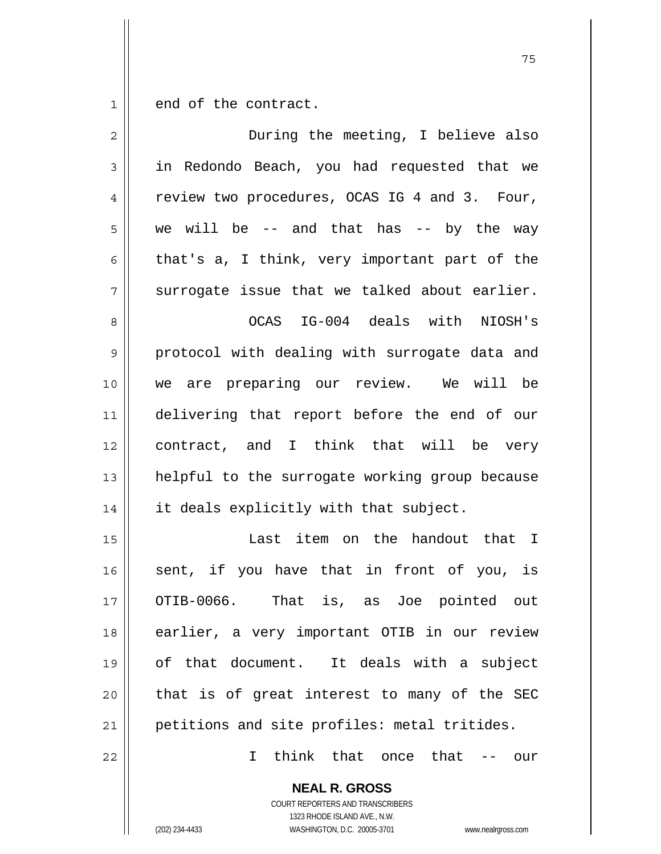$1 \parallel$  end of the contract.

| $\overline{2}$ | During the meeting, I believe also             |
|----------------|------------------------------------------------|
| $\mathfrak{Z}$ | in Redondo Beach, you had requested that we    |
| 4              | review two procedures, OCAS IG 4 and 3. Four,  |
| 5              | we will be $-$ and that has $-$ by the way     |
| 6              | that's a, I think, very important part of the  |
| 7              | surrogate issue that we talked about earlier.  |
| 8              | OCAS IG-004 deals with NIOSH's                 |
| 9              | protocol with dealing with surrogate data and  |
| 10             | we are preparing our review. We will be        |
| 11             | delivering that report before the end of our   |
| 12             | contract, and I think that will be very        |
| 13             | helpful to the surrogate working group because |
| 14             | it deals explicitly with that subject.         |
| 15             | Last item on the handout that I                |
| 16             | sent, if you have that in front of you, is     |
| 17             | OTIB-0066. That is, as Joe pointed out         |
| 18             | earlier, a very important OTIB in our review   |
| 19             | of that document. It deals with a subject      |
| 20             | that is of great interest to many of the SEC   |
| 21             | petitions and site profiles: metal tritides.   |
| 22             | think that once that<br>I.<br>our              |
|                | <b>NEAL R. GROSS</b>                           |

 COURT REPORTERS AND TRANSCRIBERS 1323 RHODE ISLAND AVE., N.W.

(202) 234-4433 WASHINGTON, D.C. 20005-3701 www.nealrgross.com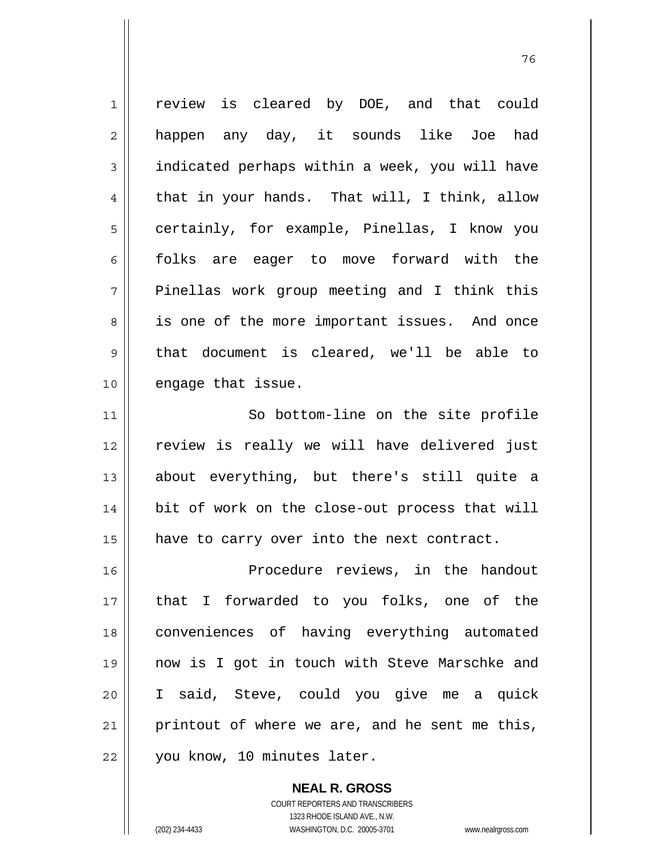| $\mathbf 1$ | review is cleared by DOE, and that could       |
|-------------|------------------------------------------------|
| 2           | happen any day, it sounds like Joe had         |
| 3           | indicated perhaps within a week, you will have |
| 4           | that in your hands. That will, I think, allow  |
| 5           | certainly, for example, Pinellas, I know you   |
| 6           | folks are eager to move forward with the       |
| 7           | Pinellas work group meeting and I think this   |
| 8           | is one of the more important issues. And once  |
| $\mathsf 9$ | that document is cleared, we'll be able to     |
| 10          | engage that issue.                             |
| 11          | So bottom-line on the site profile             |
| 12          | review is really we will have delivered just   |
| 13          | about everything, but there's still quite a    |
| 14          | bit of work on the close-out process that will |
| 15          | have to carry over into the next contract.     |
| 16          | Procedure reviews, in the handout              |
| 17          | that I forwarded to you folks, one of the      |
| 18          | conveniences of having everything automated    |
| 19          | now is I got in touch with Steve Marschke and  |
| 20          | I said, Steve, could you give me a quick       |
| 21          | printout of where we are, and he sent me this, |
| 22          | you know, 10 minutes later.                    |

и процесс в политическиот производство в село в 1968 године. В 1968 године при представление при предлагает пр<br>В 1968 године представляет представляет представительно представительно представительно представительно предст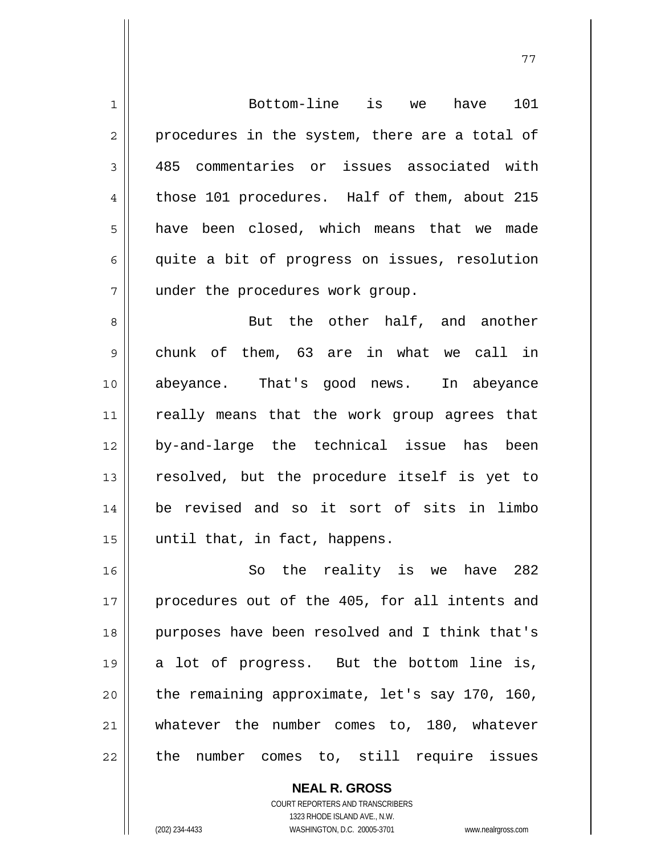| $\mathbf 1$ | Bottom-line is we<br>101<br>have               |
|-------------|------------------------------------------------|
| 2           | procedures in the system, there are a total of |
| 3           | 485 commentaries or issues associated with     |
| 4           | those 101 procedures. Half of them, about 215  |
| 5           | have been closed, which means that we<br>made  |
| 6           | quite a bit of progress on issues, resolution  |
| 7           | under the procedures work group.               |
| 8           | But the other half, and another                |
| 9           | chunk of them, 63 are in what we call in       |
| 10          | abeyance. That's good news. In abeyance        |
| 11          | really means that the work group agrees that   |
| 12          | by-and-large the technical issue has been      |
| 13          | resolved, but the procedure itself is yet to   |
| 14          | be revised and so it sort of sits in limbo     |
| 15          | until that, in fact, happens.                  |
| 16          | So the reality is we have 282                  |
| 17          | procedures out of the 405, for all intents and |
| 18          | purposes have been resolved and I think that's |
| 19          | a lot of progress. But the bottom line is,     |
| 20          | the remaining approximate, let's say 170, 160, |
| 21          | whatever the number comes to, 180, whatever    |
| 22          | the number comes to, still require issues      |

 COURT REPORTERS AND TRANSCRIBERS 1323 RHODE ISLAND AVE., N.W. (202) 234-4433 WASHINGTON, D.C. 20005-3701 www.nealrgross.com

 **NEAL R. GROSS**

 $\mathsf{II}$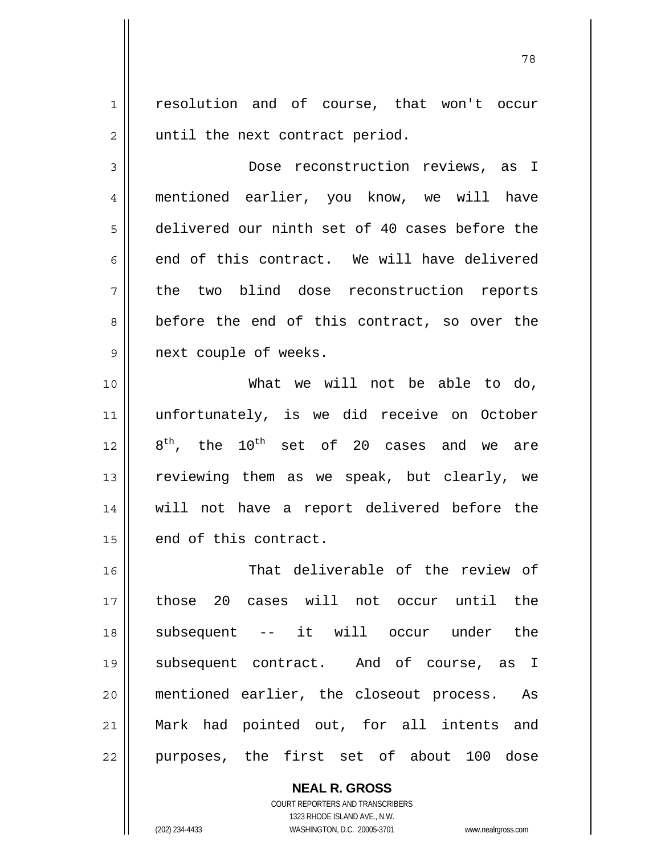1 || resolution and of course, that won't occur  $2 \parallel$  until the next contract period.

3 Dose reconstruction reviews, as I 4 mentioned earlier, you know, we will have 5 delivered our ninth set of 40 cases before the  $6 \parallel$  end of this contract. We will have delivered 7 the two blind dose reconstruction reports  $8 \parallel$  before the end of this contract, so over the 9 || next couple of weeks.

What we will not be able to do, unfortunately, is we did receive on October  $8^{th}$ , the  $10^{th}$  set of 20 cases and we are 13 || reviewing them as we speak, but clearly, we will not have a report delivered before the | end of this contract.

16 || That deliverable of the review of those 20 cases will not occur until the subsequent -- it will occur under the subsequent contract. And of course, as I mentioned earlier, the closeout process. As Mark had pointed out, for all intents and 22 || purposes, the first set of about 100 dose

> **NEAL R. GROSS** COURT REPORTERS AND TRANSCRIBERS 1323 RHODE ISLAND AVE., N.W. (202) 234-4433 WASHINGTON, D.C. 20005-3701 www.nealrgross.com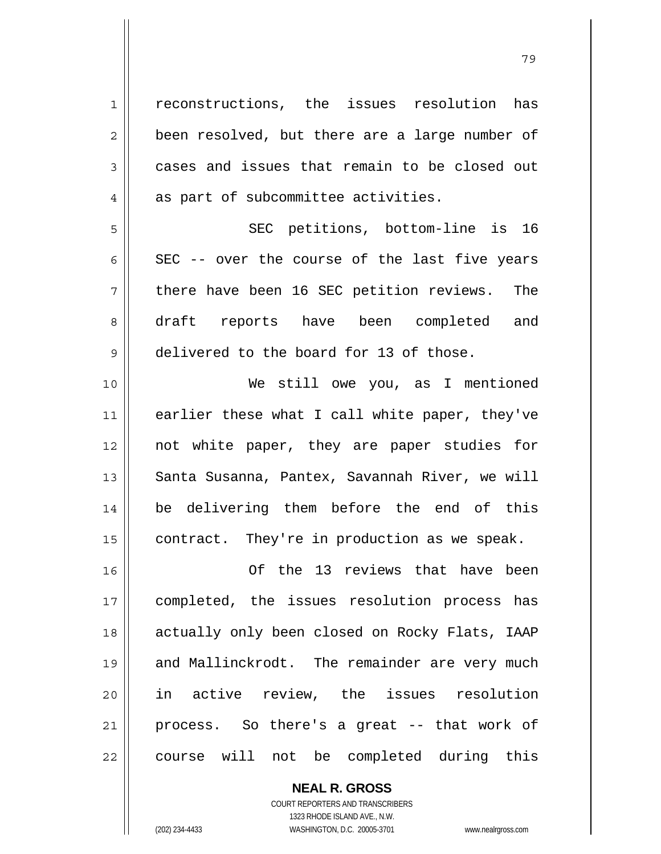| $\mathbf 1$    | reconstructions, the issues resolution<br>has  |
|----------------|------------------------------------------------|
| $\overline{2}$ | been resolved, but there are a large number of |
| 3              | cases and issues that remain to be closed out  |
| 4              | as part of subcommittee activities.            |
| 5              | SEC petitions, bottom-line is 16               |
| 6              | SEC -- over the course of the last five years  |
| 7              | there have been 16 SEC petition reviews. The   |
| 8              | draft reports have been completed and          |
| 9              | delivered to the board for 13 of those.        |
| 10             | We still owe you, as I mentioned               |
| 11             | earlier these what I call white paper, they've |
| 12             | not white paper, they are paper studies for    |
| 13             | Santa Susanna, Pantex, Savannah River, we will |
| 14             | be delivering them before the end of this      |
| 15             | contract. They're in production as we speak.   |
| 16             | Of the 13 reviews that have been               |
| 17             | completed, the issues resolution process has   |
| 18             | actually only been closed on Rocky Flats, IAAP |
| 19             | and Mallinckrodt. The remainder are very much  |
| 20             | in active review, the issues resolution        |
| 21             | process. So there's a great -- that work of    |
| 22             | course will not be completed during this       |

 **NEAL R. GROSS** COURT REPORTERS AND TRANSCRIBERS 1323 RHODE ISLAND AVE., N.W. (202) 234-4433 WASHINGTON, D.C. 20005-3701 www.nealrgross.com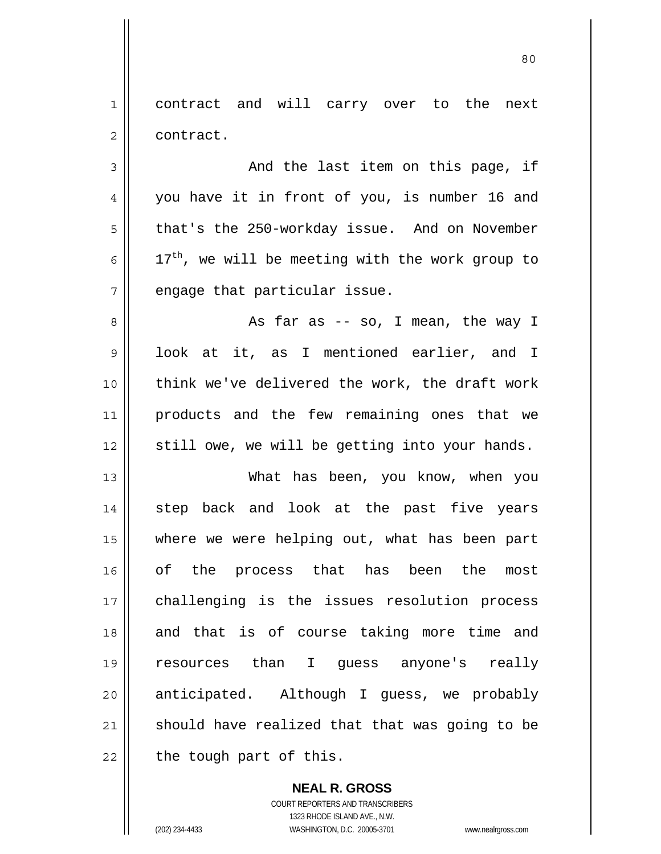1 contract and will carry over to the next 2 | contract.

 $3 \parallel$  and the last item on this page, if 4 you have it in front of you, is number 16 and  $5 \parallel$  that's the 250-workday issue. And on November 6  $\parallel$  17<sup>th</sup>, we will be meeting with the work group to  $7$  || engage that particular issue.

As far as -- so, I mean, the way I look at it, as I mentioned earlier, and I think we've delivered the work, the draft work products and the few remaining ones that we still owe, we will be getting into your hands.

13 What has been, you know, when you 14 || step back and look at the past five years 15 where we were helping out, what has been part 16 of the process that has been the most 17 challenging is the issues resolution process 18 || and that is of course taking more time and 19 resources than I guess anyone's really 20 || anticipated. Although I guess, we probably  $21$  should have realized that that was going to be  $22$  | the tough part of this.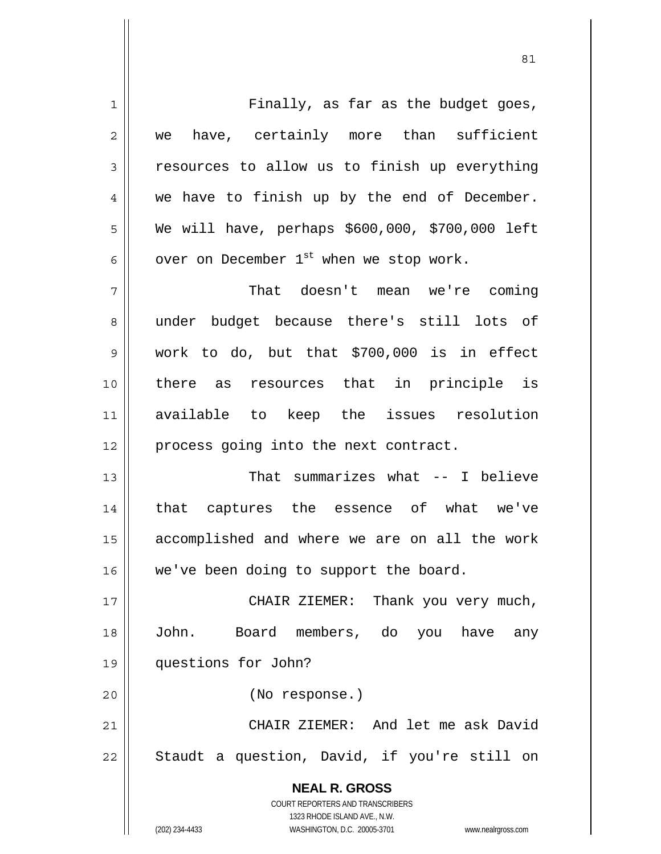**NEAL R. GROSS** COURT REPORTERS AND TRANSCRIBERS 1323 RHODE ISLAND AVE., N.W. (202) 234-4433 WASHINGTON, D.C. 20005-3701 www.nealrgross.com 1 Finally, as far as the budget goes, 2 we have, certainly more than sufficient  $3 \parallel$  resources to allow us to finish up everything  $4 \parallel$  we have to finish up by the end of December. 5 We will have, perhaps \$600,000, \$700,000 left  $6 \parallel$  over on December 1<sup>st</sup> when we stop work. 7 That doesn't mean we're coming 8 under budget because there's still lots of 9 work to do, but that \$700,000 is in effect 10 there as resources that in principle is 11 available to keep the issues resolution 12 || process going into the next contract. 13 That summarizes what -- I believe 14 || that captures the essence of what we've 15 accomplished and where we are on all the work 16 | we've been doing to support the board. 17 || CHAIR ZIEMER: Thank you very much, 18 John. Board members, do you have any 19 questions for John? 20 (No response.) 21 CHAIR ZIEMER: And let me ask David  $22$  || Staudt a question, David, if you're still on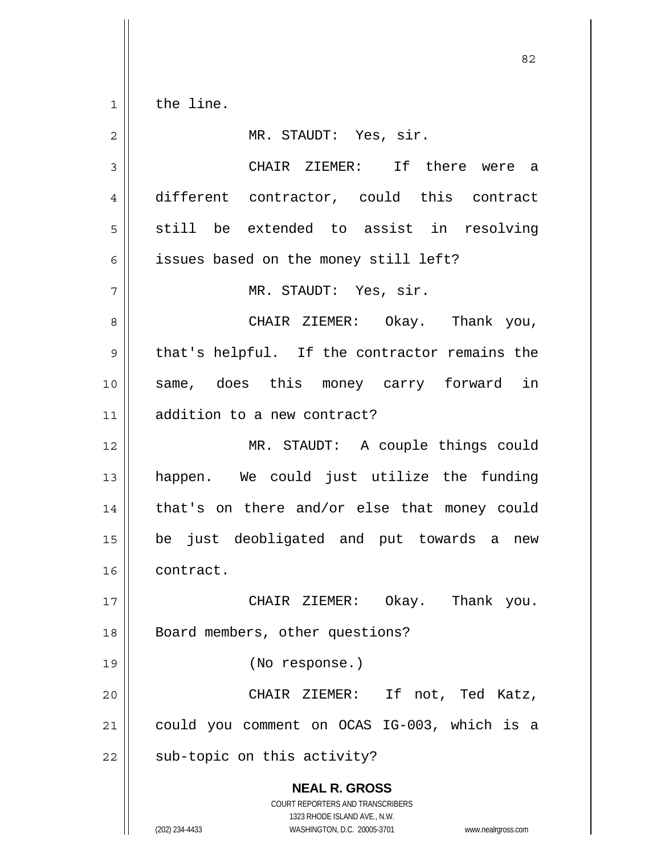1 | the line.

 **NEAL R. GROSS** COURT REPORTERS AND TRANSCRIBERS 1323 RHODE ISLAND AVE., N.W. (202) 234-4433 WASHINGTON, D.C. 20005-3701 www.nealrgross.com 2 MR. STAUDT: Yes, sir. 3 CHAIR ZIEMER: If there were a 4 different contractor, could this contract  $5 \parallel$  still be extended to assist in resolving 6 | issues based on the money still left? 7 || MR. STAUDT: Yes, sir. 8 CHAIR ZIEMER: Okay. Thank you,  $9 \parallel$  that's helpful. If the contractor remains the 10 || same, does this money carry forward in 11 addition to a new contract? 12 || MR. STAUDT: A couple things could 13 happen. We could just utilize the funding 14 || that's on there and/or else that money could 15 be just deobligated and put towards a new 16 contract. 17 CHAIR ZIEMER: Okay. Thank you. 18 || Board members, other questions? 19 (No response.) 20 CHAIR ZIEMER: If not, Ted Katz, 21 could you comment on OCAS IG-003, which is a  $22 \parallel$  sub-topic on this activity?

<u>82</u>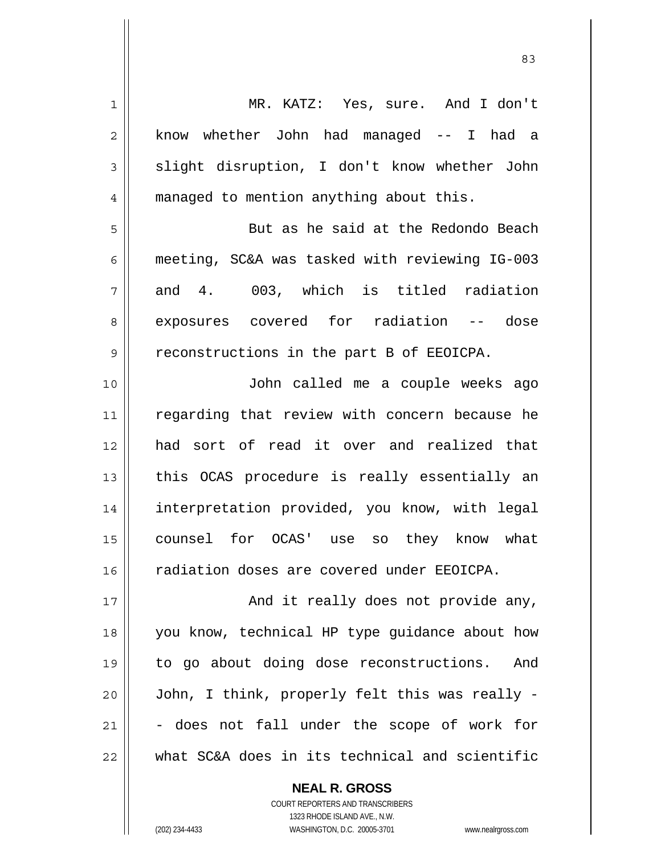| $\mathbf 1$ | MR. KATZ: Yes, sure. And I don't               |
|-------------|------------------------------------------------|
| 2           | know whether John had managed -- I had a       |
| 3           | slight disruption, I don't know whether John   |
| 4           | managed to mention anything about this.        |
| 5           | But as he said at the Redondo Beach            |
| 6           | meeting, SC&A was tasked with reviewing IG-003 |
| 7           | and 4. 003, which is titled radiation          |
| 8           | exposures covered for radiation -- dose        |
| 9           | reconstructions in the part B of EEOICPA.      |
| 10          | John called me a couple weeks ago              |
| 11          | regarding that review with concern because he  |
| 12          | had sort of read it over and realized that     |
| 13          | this OCAS procedure is really essentially an   |
| 14          | interpretation provided, you know, with legal  |
| 15          | counsel for OCAS' use so they know what        |
| 16          | radiation doses are covered under EEOICPA.     |
| 17          | And it really does not provide any,            |
| 18          | you know, technical HP type guidance about how |
| 19          | to go about doing dose reconstructions.<br>And |
| 20          | John, I think, properly felt this was really - |
| 21          | - does not fall under the scope of work for    |
| 22          | what SC&A does in its technical and scientific |

 **NEAL R. GROSS** COURT REPORTERS AND TRANSCRIBERS 1323 RHODE ISLAND AVE., N.W. (202) 234-4433 WASHINGTON, D.C. 20005-3701 www.nealrgross.com

<u>83</u>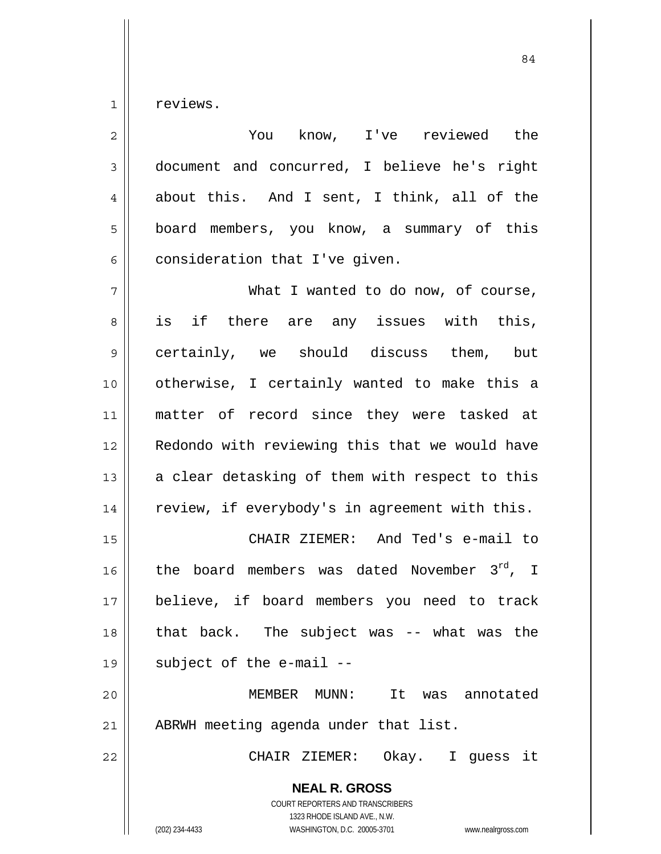$1 \parallel$  reviews.

| $\overline{c}$ | You know, I've reviewed the                                                                                                                                            |
|----------------|------------------------------------------------------------------------------------------------------------------------------------------------------------------------|
| $\mathfrak{Z}$ | document and concurred, I believe he's right                                                                                                                           |
| $\overline{4}$ | about this. And I sent, I think, all of the                                                                                                                            |
| 5              | board members, you know, a summary of this                                                                                                                             |
| 6              | consideration that I've given.                                                                                                                                         |
| 7              | What I wanted to do now, of course,                                                                                                                                    |
| 8              | is if there are any issues with this,                                                                                                                                  |
| $\mathsf 9$    | certainly, we should discuss them, but                                                                                                                                 |
| 10             | otherwise, I certainly wanted to make this a                                                                                                                           |
| 11             | matter of record since they were tasked at                                                                                                                             |
| 12             | Redondo with reviewing this that we would have                                                                                                                         |
| 13             | a clear detasking of them with respect to this                                                                                                                         |
| 14             | review, if everybody's in agreement with this.                                                                                                                         |
| 15             | CHAIR ZIEMER: And Ted's e-mail to                                                                                                                                      |
| 16             | the board members was dated November 3rd, I                                                                                                                            |
| 17             | believe, if board members you need to track                                                                                                                            |
| 18             | that back. The subject was -- what was the                                                                                                                             |
| 19             | subject of the e-mail --                                                                                                                                               |
| 20             | MEMBER MUNN: It<br>was annotated                                                                                                                                       |
| 21             | ABRWH meeting agenda under that list.                                                                                                                                  |
| 22             | CHAIR ZIEMER:<br>Okay.<br>I guess it                                                                                                                                   |
|                | <b>NEAL R. GROSS</b><br><b>COURT REPORTERS AND TRANSCRIBERS</b><br>1323 RHODE ISLAND AVE., N.W.<br>(202) 234-4433<br>WASHINGTON, D.C. 20005-3701<br>www.nealrgross.com |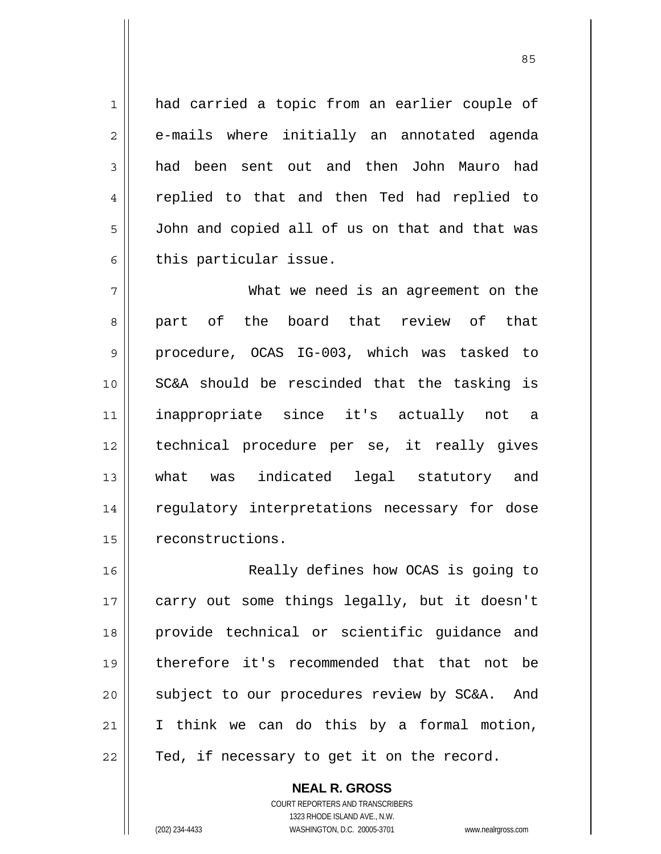1 || had carried a topic from an earlier couple of 2 e-mails where initially an annotated agenda 3 had been sent out and then John Mauro had 4 || replied to that and then Ted had replied to 5 | John and copied all of us on that and that was  $6 \parallel$  this particular issue.

<u>85 and 2001 and 2001 and 2001 and 2001 and 2001 and 2001 and 2001 and 2001 and 2001 and 2001 and 2001 and 200</u>

7 What we need is an agreement on the 8 || part of the board that review of that 9 procedure, OCAS IG-003, which was tasked to 10 SC&A should be rescinded that the tasking is 11 inappropriate since it's actually not a 12 technical procedure per se, it really gives 13 || what was indicated legal statutory and 14 || regulatory interpretations necessary for dose 15 | reconstructions.

16 Really defines how OCAS is going to 17 || carry out some things legally, but it doesn't 18 provide technical or scientific guidance and 19 therefore it's recommended that that not be 20 || subject to our procedures review by SC&A. And 21 || I think we can do this by a formal motion,  $22$  | Ted, if necessary to get it on the record.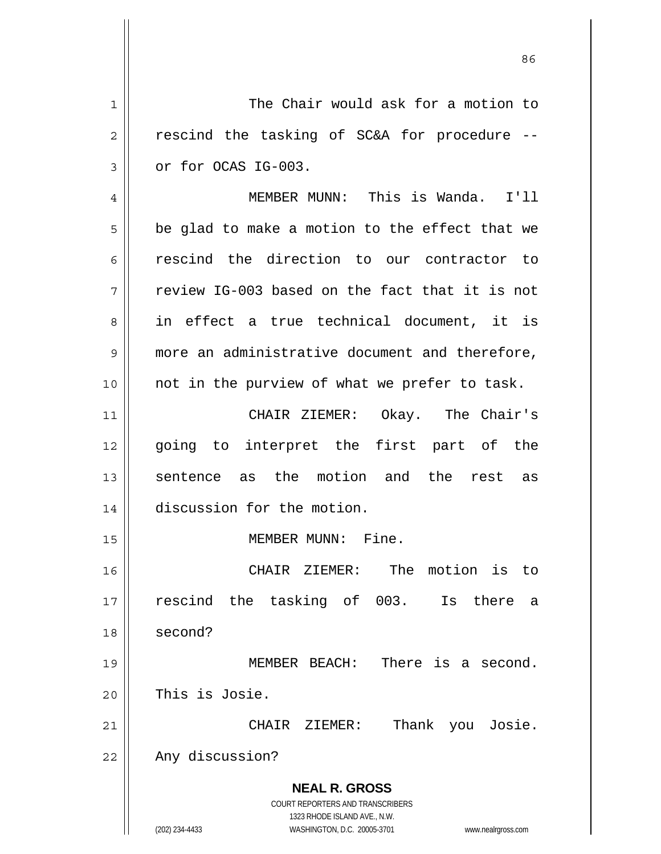**NEAL R. GROSS** COURT REPORTERS AND TRANSCRIBERS 1323 RHODE ISLAND AVE., N.W. (202) 234-4433 WASHINGTON, D.C. 20005-3701 www.nealrgross.com 1 The Chair would ask for a motion to  $2 \parallel$  rescind the tasking of SC&A for procedure -- $3 \parallel$  or for OCAS IG-003. 4 MEMBER MUNN: This is Wanda. I'll  $5 \parallel$  be glad to make a motion to the effect that we 6 rescind the direction to our contractor to  $7 \parallel$  review IG-003 based on the fact that it is not 8 || in effect a true technical document, it is 9 more an administrative document and therefore,  $10$  | not in the purview of what we prefer to task. 11 CHAIR ZIEMER: Okay. The Chair's 12 || going to interpret the first part of the 13 sentence as the motion and the rest as 14 discussion for the motion. 15 || MEMBER MUNN: Fine. 16 CHAIR ZIEMER: The motion is to 17 || rescind the tasking of 003. Is there a 18 second? 19 MEMBER BEACH: There is a second. 20 This is Josie. 21 CHAIR ZIEMER: Thank you Josie. 22 | Any discussion?

<u>86 and 2001 and 2002 and 2003 and 2003 and 2003 and 2003 and 2003 and 2003 and 2003 and 2003 and 2003 and 200</u>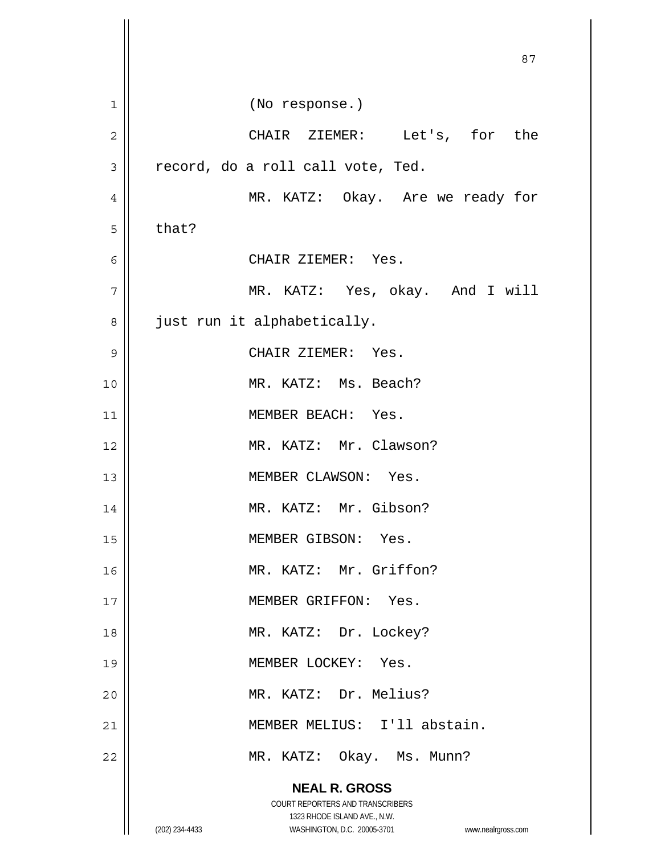|                | 87                                                                                                                                                              |
|----------------|-----------------------------------------------------------------------------------------------------------------------------------------------------------------|
| 1              | (No response.)                                                                                                                                                  |
| $\overline{2}$ | CHAIR ZIEMER: Let's, for the                                                                                                                                    |
| 3              | record, do a roll call vote, Ted.                                                                                                                               |
| 4              | MR. KATZ: Okay. Are we ready for                                                                                                                                |
| 5              | that?                                                                                                                                                           |
| 6              | CHAIR ZIEMER: Yes.                                                                                                                                              |
| 7              | MR. KATZ: Yes, okay. And I will                                                                                                                                 |
| 8              | just run it alphabetically.                                                                                                                                     |
| 9              | CHAIR ZIEMER: Yes.                                                                                                                                              |
| 10             | MR. KATZ: Ms. Beach?                                                                                                                                            |
| 11             | MEMBER BEACH: Yes.                                                                                                                                              |
| 12             | MR. KATZ: Mr. Clawson?                                                                                                                                          |
| 13             | MEMBER CLAWSON: Yes.                                                                                                                                            |
| 14             | MR. KATZ: Mr. Gibson?                                                                                                                                           |
| 15             | MEMBER GIBSON: Yes.                                                                                                                                             |
| 16             | MR. KATZ: Mr. Griffon?                                                                                                                                          |
| 17             | MEMBER GRIFFON: Yes.                                                                                                                                            |
| 18             | MR. KATZ: Dr. Lockey?                                                                                                                                           |
| 19             | MEMBER LOCKEY: Yes.                                                                                                                                             |
| 20             | MR. KATZ: Dr. Melius?                                                                                                                                           |
| 21             | MEMBER MELIUS: I'll abstain.                                                                                                                                    |
| 22             | MR. KATZ: Okay. Ms. Munn?                                                                                                                                       |
|                | <b>NEAL R. GROSS</b><br>COURT REPORTERS AND TRANSCRIBERS<br>1323 RHODE ISLAND AVE., N.W.<br>WASHINGTON, D.C. 20005-3701<br>(202) 234-4433<br>www.nealrgross.com |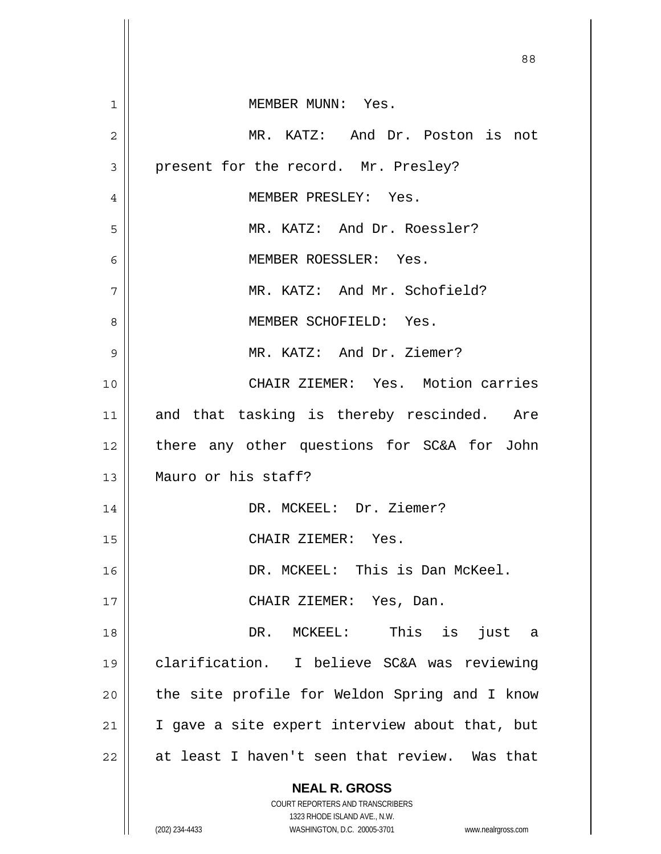|    | 88                                                                  |
|----|---------------------------------------------------------------------|
| 1  | MEMBER MUNN: Yes.                                                   |
| 2  | MR. KATZ: And Dr. Poston is not                                     |
| 3  | present for the record. Mr. Presley?                                |
| 4  | MEMBER PRESLEY: Yes.                                                |
| 5  | MR. KATZ: And Dr. Roessler?                                         |
| 6  | MEMBER ROESSLER: Yes.                                               |
| 7  | MR. KATZ: And Mr. Schofield?                                        |
| 8  | MEMBER SCHOFIELD: Yes.                                              |
| 9  | MR. KATZ: And Dr. Ziemer?                                           |
| 10 | CHAIR ZIEMER: Yes. Motion carries                                   |
| 11 | and that tasking is thereby rescinded. Are                          |
| 12 | there any other questions for SC&A for John                         |
| 13 | Mauro or his staff?                                                 |
| 14 | DR. MCKEEL: Dr. Ziemer?                                             |
| 15 | CHAIR ZIEMER: Yes.                                                  |
| 16 | DR. MCKEEL: This is Dan McKeel.                                     |
| 17 | CHAIR ZIEMER: Yes, Dan.                                             |
| 18 | DR. MCKEEL: This is just a                                          |
| 19 | clarification. I believe SC&A was reviewing                         |
| 20 | the site profile for Weldon Spring and I know                       |
| 21 | I gave a site expert interview about that, but                      |
| 22 | at least I haven't seen that review. Was that                       |
|    | <b>NEAL R. GROSS</b><br>COURT REPORTERS AND TRANSCRIBERS            |
|    | 1323 RHODE ISLAND AVE., N.W.                                        |
|    | (202) 234-4433<br>WASHINGTON, D.C. 20005-3701<br>www.nealrgross.com |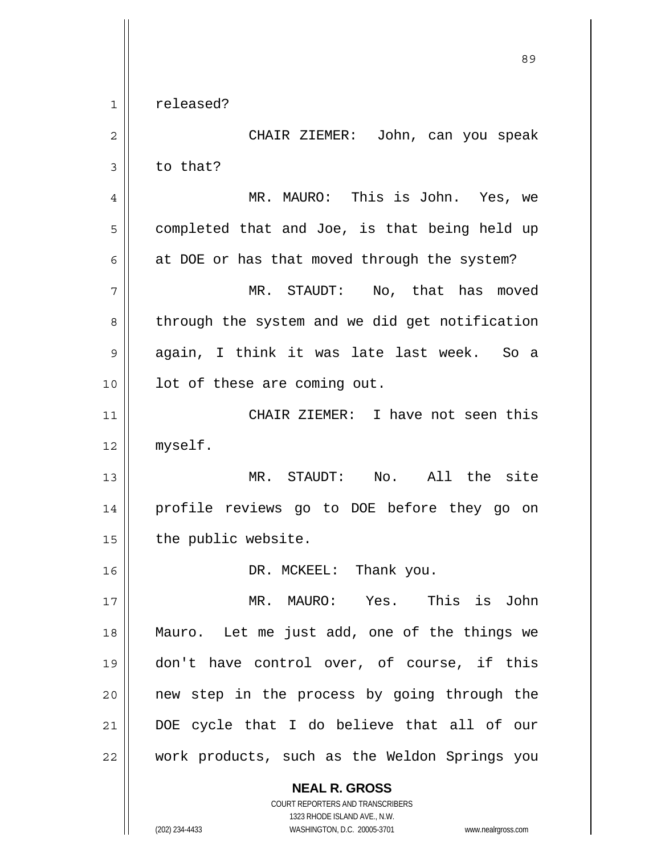1 released?

 **NEAL R. GROSS** 2 CHAIR ZIEMER: John, can you speak  $3 \parallel$  to that? 4 MR. MAURO: This is John. Yes, we  $5 \parallel$  completed that and Joe, is that being held up  $6 \parallel$  at DOE or has that moved through the system? 7 MR. STAUDT: No, that has moved 8 || through the system and we did get notification 9 again, I think it was late last week. So a 10 || lot of these are coming out. 11 CHAIR ZIEMER: I have not seen this 12 myself. 13 MR. STAUDT: No. All the site 14 profile reviews go to DOE before they go on  $15$  | the public website. 16 || DR. MCKEEL: Thank you. 17 MR. MAURO: Yes. This is John 18 Mauro. Let me just add, one of the things we 19 don't have control over, of course, if this 20 || new step in the process by going through the 21 DOE cycle that I do believe that all of our 22 || work products, such as the Weldon Springs you

 1323 RHODE ISLAND AVE., N.W. (202) 234-4433 WASHINGTON, D.C. 20005-3701 www.nealrgross.com

COURT REPORTERS AND TRANSCRIBERS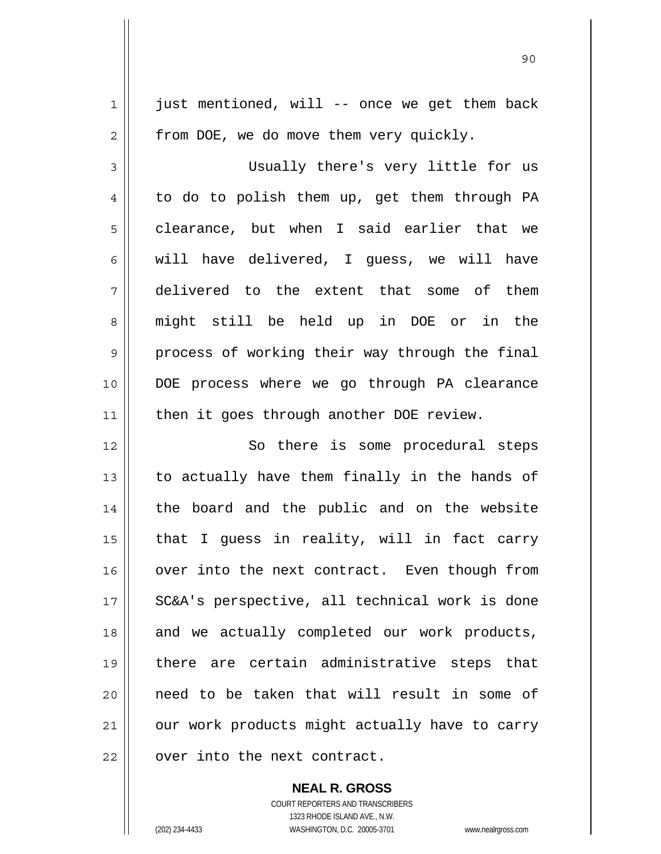$1 \parallel$  just mentioned, will -- once we get them back  $2 \parallel$  from DOE, we do move them very quickly. 3 Usually there's very little for us  $4 \parallel$  to do to polish them up, get them through PA  $5 \parallel$  clearance, but when I said earlier that we  $6 \parallel$  will have delivered, I guess, we will have 7 delivered to the extent that some of them 8 might still be held up in DOE or in the  $9 \parallel$  process of working their way through the final 10 DOE process where we go through PA clearance 11 || then it goes through another DOE review. 12 || So there is some procedural steps  $13$  || to actually have them finally in the hands of 14 || the board and the public and on the website 15  $\parallel$  that I guess in reality, will in fact carry 16 || over into the next contract. Even though from 17 || SC&A's perspective, all technical work is done 18 || and we actually completed our work products, 19 there are certain administrative steps that 20 || need to be taken that will result in some of 21 | our work products might actually have to carry  $22$   $\parallel$  over into the next contract.

90

 COURT REPORTERS AND TRANSCRIBERS 1323 RHODE ISLAND AVE., N.W. (202) 234-4433 WASHINGTON, D.C. 20005-3701 www.nealrgross.com

 **NEAL R. GROSS**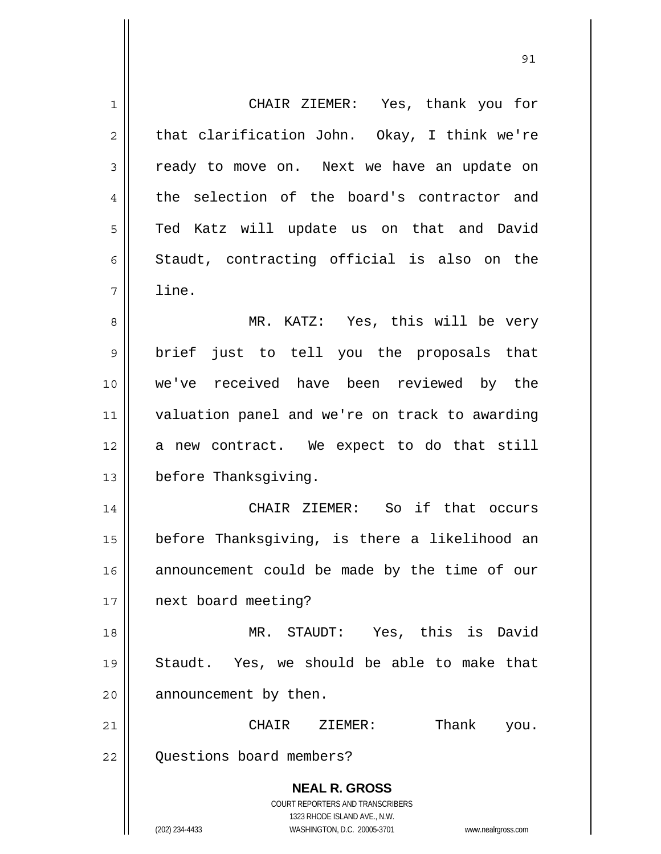**NEAL R. GROSS** COURT REPORTERS AND TRANSCRIBERS 1323 RHODE ISLAND AVE., N.W. (202) 234-4433 WASHINGTON, D.C. 20005-3701 www.nealrgross.com 1 CHAIR ZIEMER: Yes, thank you for  $2 \parallel$  that clarification John. Okay, I think we're 3 || ready to move on. Next we have an update on 4 the selection of the board's contractor and 5 || Ted Katz will update us on that and David  $6 \parallel$  Staudt, contracting official is also on the  $7 \parallel$  line. 8 MR. KATZ: Yes, this will be very 9 || brief just to tell you the proposals that 10 we've received have been reviewed by the 11 valuation panel and we're on track to awarding 12 a new contract. We expect to do that still 13 | before Thanksgiving. 14 CHAIR ZIEMER: So if that occurs 15 before Thanksgiving, is there a likelihood an 16 || announcement could be made by the time of our 17 | next board meeting? 18 MR. STAUDT: Yes, this is David 19 Staudt. Yes, we should be able to make that 20 | announcement by then. 21 CHAIR ZIEMER: Thank you. 22 | Ouestions board members?

<u>91</u>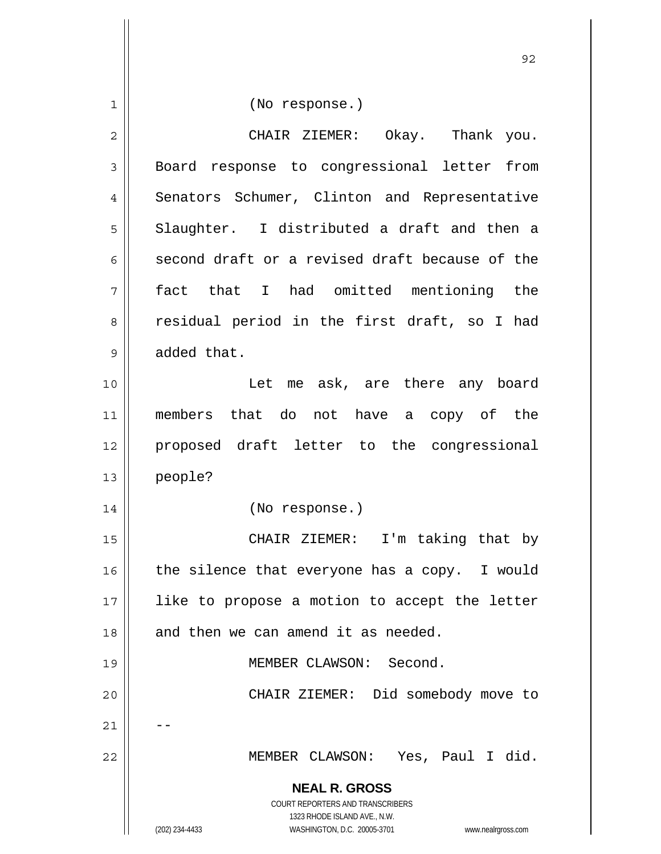**NEAL R. GROSS** COURT REPORTERS AND TRANSCRIBERS 1323 RHODE ISLAND AVE., N.W. (202) 234-4433 WASHINGTON, D.C. 20005-3701 www.nealrgross.com 1 || (No response.) 2 CHAIR ZIEMER: Okay. Thank you. 3 Board response to congressional letter from 4 | Senators Schumer, Clinton and Representative  $5 \parallel$  Slaughter. I distributed a draft and then a 6 second draft or a revised draft because of the 7 fact that I had omitted mentioning the 8 || residual period in the first draft, so I had  $9 \parallel$  added that. 10 Let me ask, are there any board 11 members that do not have a copy of the 12 proposed draft letter to the congressional 13 people? 14 (No response.) 15 || CHAIR ZIEMER: I'm taking that by 16  $\parallel$  the silence that everyone has a copy. I would 17 || like to propose a motion to accept the letter  $18$  || and then we can amend it as needed. 19 MEMBER CLAWSON: Second. 20 CHAIR ZIEMER: Did somebody move to  $21$ 22 MEMBER CLAWSON: Yes, Paul I did.

<u>92 and 2014 and 2014 and 2014 and 2014 and 2014 and 2014 and 2014 and 2014 and 2014 and 2014 and 2014 and 201</u>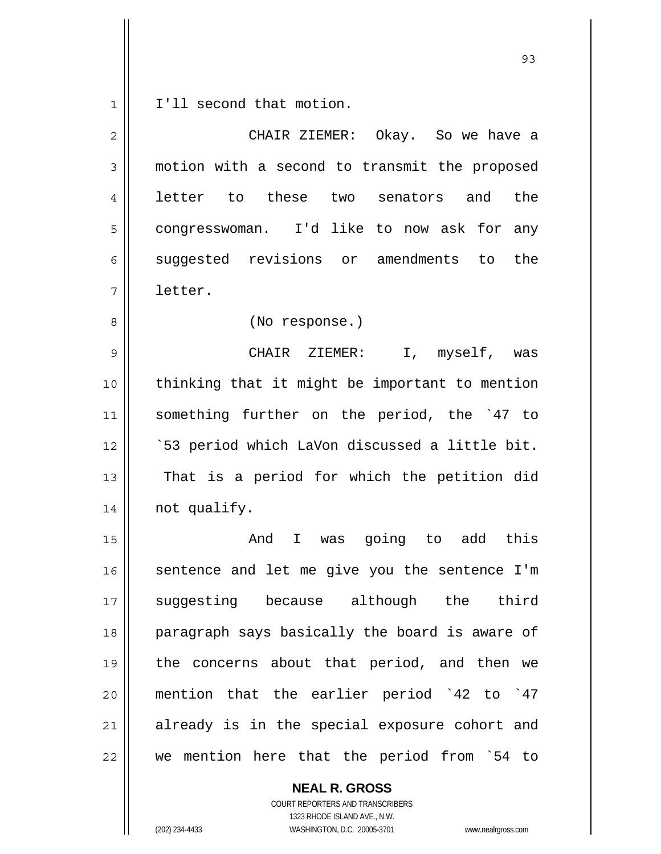1 | I'll second that motion.

| $\overline{2}$ | CHAIR ZIEMER: Okay. So we have a               |
|----------------|------------------------------------------------|
| 3              | motion with a second to transmit the proposed  |
| 4              | letter to<br>these two senators and<br>the     |
| 5              | congresswoman. I'd like to now ask for any     |
| 6              | suggested revisions or amendments to<br>the    |
| 7              | letter.                                        |
| 8              | (No response.)                                 |
| 9              | CHAIR ZIEMER:<br>I, myself, was                |
| 10             | thinking that it might be important to mention |
| 11             | something further on the period, the '47 to    |
| 12             | `53 period which LaVon discussed a little bit. |
| 13             | That is a period for which the petition did    |
| 14             | not qualify.                                   |
| 15             | I was going to add this<br>And                 |
| 16             | sentence and let me give you the sentence I'm  |
| 17             | suggesting because although the third          |
| 18             | paragraph says basically the board is aware of |
| 19             | the concerns about that period, and then we    |
| 20             | mention that the earlier period `42 to `47     |
| 21             | already is in the special exposure cohort and  |
| 22             | we mention here that the period from `54 to    |

 **NEAL R. GROSS**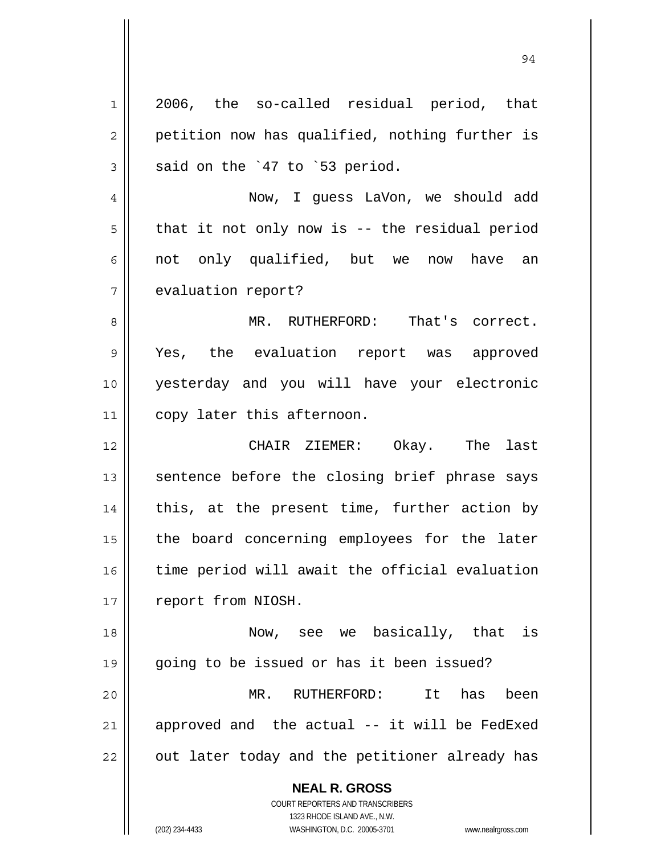**NEAL R. GROSS** COURT REPORTERS AND TRANSCRIBERS 1 2006, the so-called residual period, that 2 || petition now has qualified, nothing further is  $3 \parallel$  said on the `47 to `53 period. 4 Now, I guess LaVon, we should add  $5 \parallel$  that it not only now is -- the residual period 6 || not only qualified, but we now have an 7 | evaluation report? 8 MR. RUTHERFORD: That's correct. 9 Yes, the evaluation report was approved 10 yesterday and you will have your electronic 11 | copy later this afternoon. 12 CHAIR ZIEMER: Okay. The last  $13$  sentence before the closing brief phrase says  $14$  || this, at the present time, further action by 15 || the board concerning employees for the later 16 || time period will await the official evaluation 17 | report from NIOSH. 18 Now, see we basically, that is 19 going to be issued or has it been issued? 20 MR. RUTHERFORD: It has been  $21$  approved and the actual  $-$  it will be FedExed  $22$  || out later today and the petitioner already has

94

1323 RHODE ISLAND AVE., N.W.

(202) 234-4433 WASHINGTON, D.C. 20005-3701 www.nealrgross.com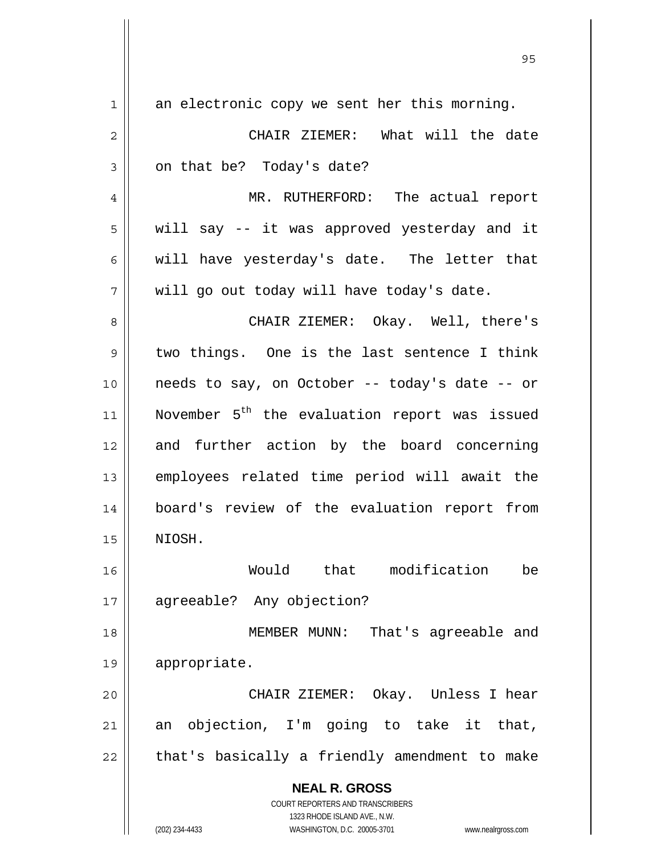| 1  | an electronic copy we sent her this morning.                                                        |
|----|-----------------------------------------------------------------------------------------------------|
| 2  | CHAIR ZIEMER: What will the date                                                                    |
| 3  | on that be? Today's date?                                                                           |
| 4  | MR. RUTHERFORD: The actual report                                                                   |
| 5  | will say -- it was approved yesterday and it                                                        |
| 6  | will have yesterday's date. The letter that                                                         |
| 7  | will go out today will have today's date.                                                           |
| 8  | CHAIR ZIEMER: Okay. Well, there's                                                                   |
| 9  | two things. One is the last sentence I think                                                        |
| 10 | needs to say, on October -- today's date -- or                                                      |
| 11 | November 5 <sup>th</sup> the evaluation report was issued                                           |
| 12 | and further action by the board concerning                                                          |
| 13 | employees related time period will await the                                                        |
| 14 | board's review of the evaluation report from                                                        |
| 15 | NIOSH.                                                                                              |
| 16 | Would that modification<br>be                                                                       |
| 17 | agreeable? Any objection?                                                                           |
| 18 | MEMBER MUNN:<br>That's agreeable and                                                                |
| 19 | appropriate.                                                                                        |
| 20 | CHAIR ZIEMER: Okay. Unless I hear                                                                   |
| 21 | an objection, I'm going to take it that,                                                            |
| 22 | that's basically a friendly amendment to make                                                       |
|    | <b>NEAL R. GROSS</b>                                                                                |
|    | <b>COURT REPORTERS AND TRANSCRIBERS</b>                                                             |
|    | 1323 RHODE ISLAND AVE., N.W.<br>(202) 234-4433<br>WASHINGTON, D.C. 20005-3701<br>www.nealrgross.com |

 $\mathsf{I}$ 

<u>95 and 2001 and 2001 and 2001 and 2001 and 2001 and 2001 and 2001 and 2001 and 2001 and 2001 and 2001 and 200</u>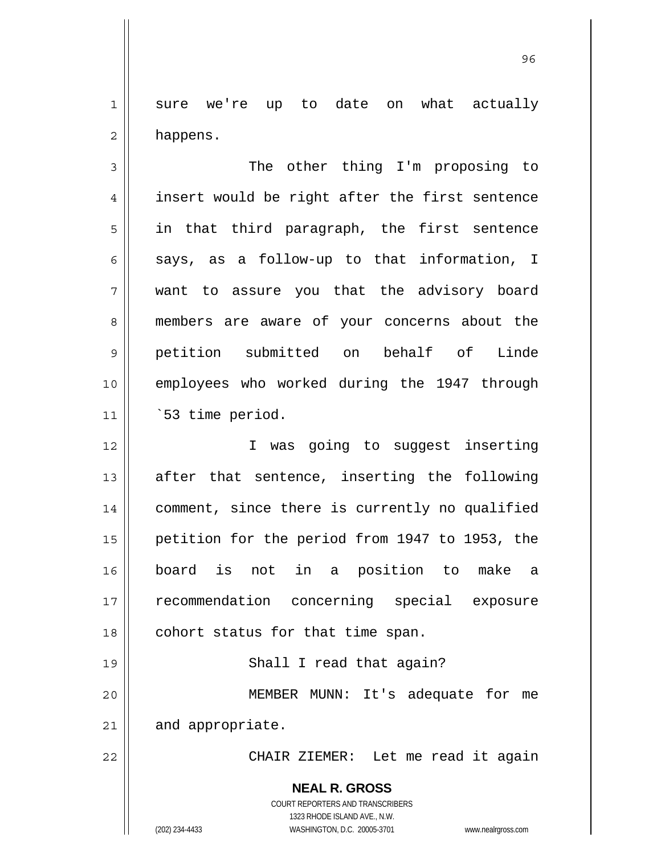1 sure we're up to date on what actually 2 | happens.

3 || The other thing I'm proposing to 4 | insert would be right after the first sentence  $5 \parallel$  in that third paragraph, the first sentence 6  $\parallel$  says, as a follow-up to that information, I 7 want to assure you that the advisory board 8 members are aware of your concerns about the 9 petition submitted on behalf of Linde 10 || employees who worked during the 1947 through 11 `53 time period.

I was going to suggest inserting after that sentence, inserting the following 14 || comment, since there is currently no qualified petition for the period from 1947 to 1953, the board is not in a position to make a recommendation concerning special exposure || cohort status for that time span.

20 MEMBER MUNN: It's adequate for me

 $21$  and appropriate.

19 || Shall I read that again?

22 CHAIR ZIEMER: Let me read it again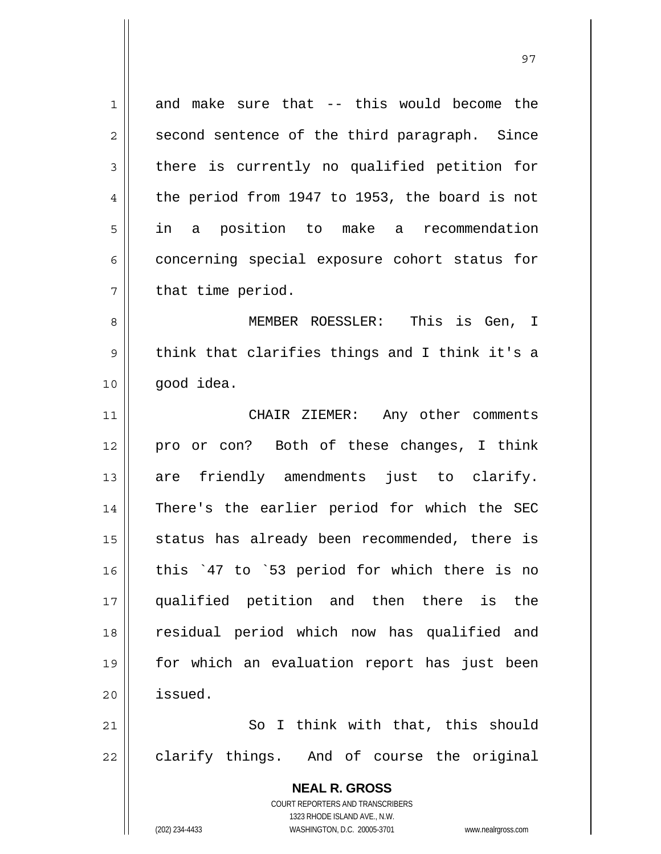1 and make sure that -- this would become the  $2 \parallel$  second sentence of the third paragraph. Since  $3 \parallel$  there is currently no qualified petition for 4  $\parallel$  the period from 1947 to 1953, the board is not 5 || in a position to make a recommendation 6 concerning special exposure cohort status for  $7$  || that time period.

8 MEMBER ROESSLER: This is Gen, I  $9 \parallel$  think that clarifies things and I think it's a  $10$  |  $qood$  idea.

11 || CHAIR ZIEMER: Any other comments 12 pro or con? Both of these changes, I think 13 are friendly amendments just to clarify. 14 There's the earlier period for which the SEC  $15$  status has already been recommended, there is 16 || this '47 to '53 period for which there is no 17 qualified petition and then there is the 18 residual period which now has qualified and 19 for which an evaluation report has just been 20 issued.

21 || So I think with that, this should  $22$  || clarify things. And of course the original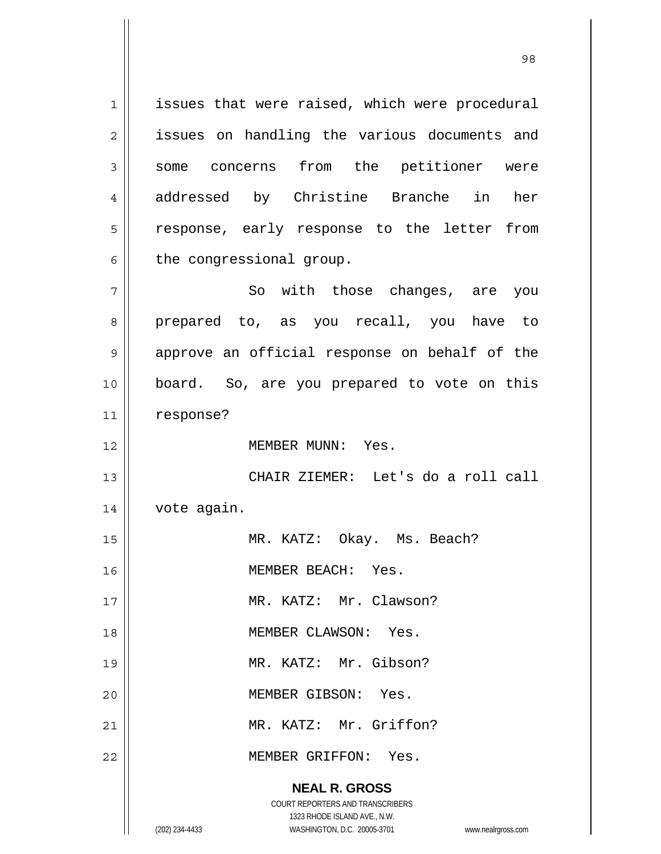**NEAL R. GROSS** COURT REPORTERS AND TRANSCRIBERS 1323 RHODE ISLAND AVE., N.W. (202) 234-4433 WASHINGTON, D.C. 20005-3701 www.nealrgross.com 1 issues that were raised, which were procedural 2 || issues on handling the various documents and 3 Some concerns from the petitioner were 4 addressed by Christine Branche in her 5 || response, early response to the letter from  $6 \parallel$  the congressional group. 7 So with those changes, are you 8 prepared to, as you recall, you have to 9 || approve an official response on behalf of the 10 board. So, are you prepared to vote on this 11 | response? 12 MEMBER MUNN: Yes. 13 || CHAIR ZIEMER: Let's do a roll call 14 vote again. 15 || MR. KATZ: Okay. Ms. Beach? 16 | **MEMBER BEACH:** Yes. 17 || MR. KATZ: Mr. Clawson? 18 MEMBER CLAWSON: Yes. 19 MR. KATZ: Mr. Gibson? 20 MEMBER GIBSON: Yes. 21 || MR. KATZ: Mr. Griffon? 22 MEMBER GRIFFON: Yes.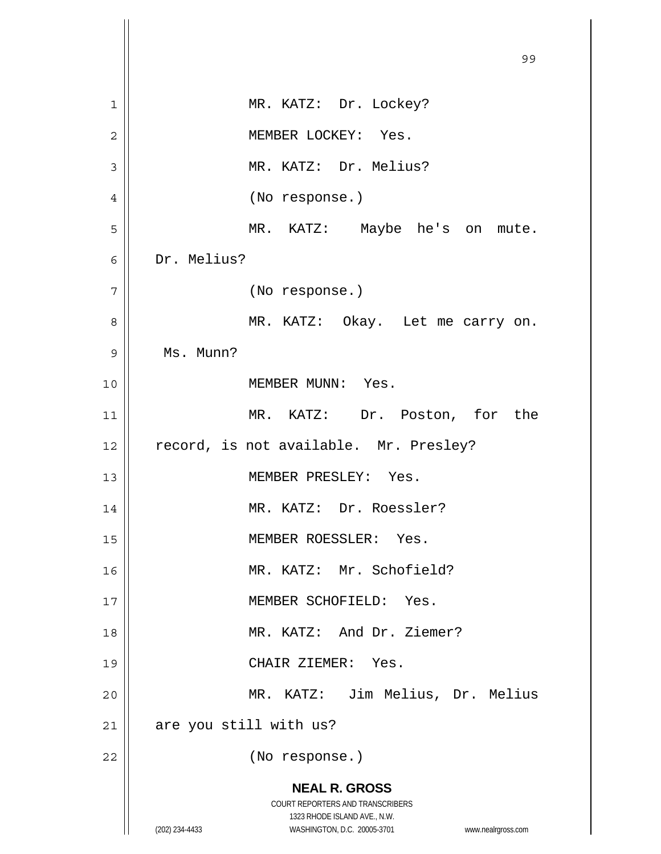|                | 99                                                                                                                                                              |
|----------------|-----------------------------------------------------------------------------------------------------------------------------------------------------------------|
| 1              | MR. KATZ: Dr. Lockey?                                                                                                                                           |
| $\overline{2}$ | MEMBER LOCKEY: Yes.                                                                                                                                             |
| 3              | MR. KATZ: Dr. Melius?                                                                                                                                           |
| 4              | (No response.)                                                                                                                                                  |
| 5              | MR. KATZ: Maybe he's on mute.                                                                                                                                   |
| 6              | Dr. Melius?                                                                                                                                                     |
| 7              | (No response.)                                                                                                                                                  |
| 8              | MR. KATZ: Okay. Let me carry on.                                                                                                                                |
| 9              | Ms. Munn?                                                                                                                                                       |
| 10             | MEMBER MUNN: Yes.                                                                                                                                               |
| 11             | MR. KATZ: Dr. Poston, for the                                                                                                                                   |
| 12             | record, is not available. Mr. Presley?                                                                                                                          |
| 13             | MEMBER PRESLEY: Yes.                                                                                                                                            |
| 14             | MR. KATZ: Dr. Roessler?                                                                                                                                         |
| 15             | MEMBER ROESSLER: Yes.                                                                                                                                           |
| 16             | MR. KATZ: Mr. Schofield?                                                                                                                                        |
| 17             | MEMBER SCHOFIELD: Yes.                                                                                                                                          |
| 18             | MR. KATZ: And Dr. Ziemer?                                                                                                                                       |
| 19             | CHAIR ZIEMER: Yes.                                                                                                                                              |
| 20             | MR. KATZ: Jim Melius, Dr. Melius                                                                                                                                |
| 21             | are you still with us?                                                                                                                                          |
| 22             | (No response.)                                                                                                                                                  |
|                | <b>NEAL R. GROSS</b><br>COURT REPORTERS AND TRANSCRIBERS<br>1323 RHODE ISLAND AVE., N.W.<br>WASHINGTON, D.C. 20005-3701<br>(202) 234-4433<br>www.nealrgross.com |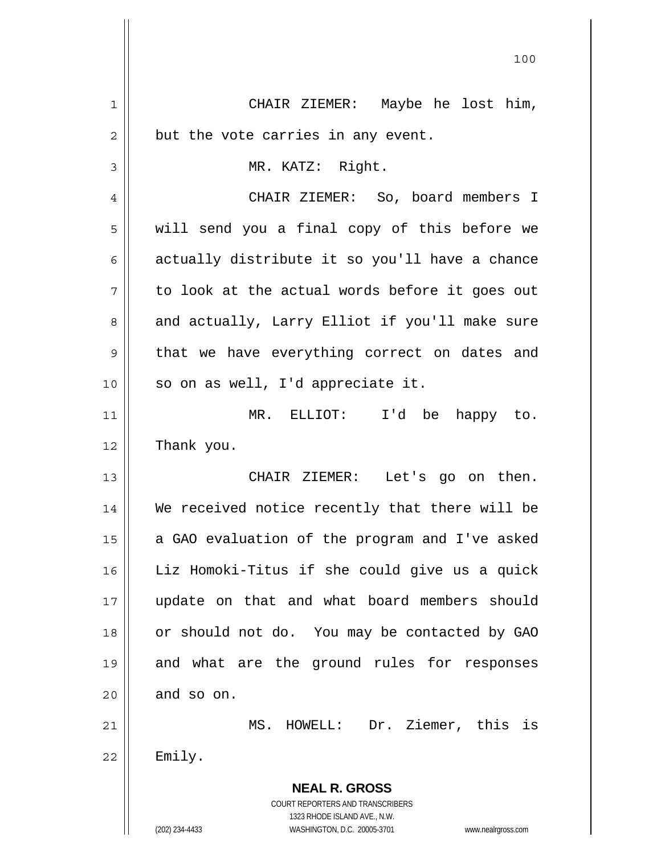**NEAL R. GROSS** COURT REPORTERS AND TRANSCRIBERS 1323 RHODE ISLAND AVE., N.W. (202) 234-4433 WASHINGTON, D.C. 20005-3701 www.nealrgross.com 1 CHAIR ZIEMER: Maybe he lost him,  $2 \parallel$  but the vote carries in any event. 3 MR. KATZ: Right. 4 CHAIR ZIEMER: So, board members I  $5 \parallel$  will send you a final copy of this before we 6  $\parallel$  actually distribute it so you'll have a chance  $7 \parallel$  to look at the actual words before it goes out 8 and actually, Larry Elliot if you'll make sure  $9 \parallel$  that we have everything correct on dates and  $10$  | so on as well, I'd appreciate it. 11 MR. ELLIOT: I'd be happy to. 12 | Thank you. 13 CHAIR ZIEMER: Let's go on then. 14 We received notice recently that there will be 15  $\parallel$  a GAO evaluation of the program and I've asked 16 Liz Homoki-Titus if she could give us a quick 17 update on that and what board members should 18 || or should not do. You may be contacted by GAO 19 and what are the ground rules for responses  $20$  and so on. 21 || MS. HOWELL: Dr. Ziemer, this is  $22$  | Emily.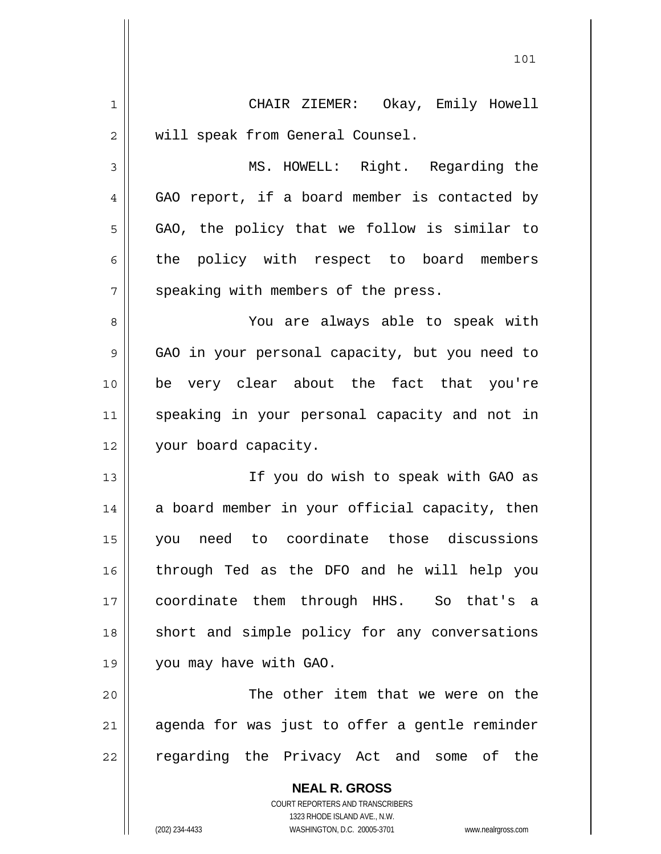| 1  | CHAIR ZIEMER: Okay, Emily Howell                         |
|----|----------------------------------------------------------|
| 2  | will speak from General Counsel.                         |
| 3  | MS. HOWELL: Right. Regarding the                         |
| 4  | GAO report, if a board member is contacted by            |
| 5  | GAO, the policy that we follow is similar to             |
| 6  | the policy with respect to board members                 |
| 7  | speaking with members of the press.                      |
| 8  | You are always able to speak with                        |
| 9  | GAO in your personal capacity, but you need to           |
| 10 | be very clear about the fact that you're                 |
| 11 | speaking in your personal capacity and not in            |
| 12 | your board capacity.                                     |
| 13 | If you do wish to speak with GAO as                      |
| 14 | a board member in your official capacity, then           |
| 15 | need to coordinate those discussions<br>you              |
| 16 | through Ted as the DFO and he will help you              |
| 17 | coordinate them through HHS. So that's a                 |
| 18 | short and simple policy for any conversations            |
| 19 | you may have with GAO.                                   |
| 20 | The other item that we were on the                       |
| 21 | agenda for was just to offer a gentle reminder           |
| 22 | regarding the Privacy Act and some of the                |
|    | <b>NEAL R. GROSS</b><br>COURT REPORTERS AND TRANSCRIBERS |

1323 RHODE ISLAND AVE., N.W.

 $\prod$ 

(202) 234-4433 WASHINGTON, D.C. 20005-3701 www.nealrgross.com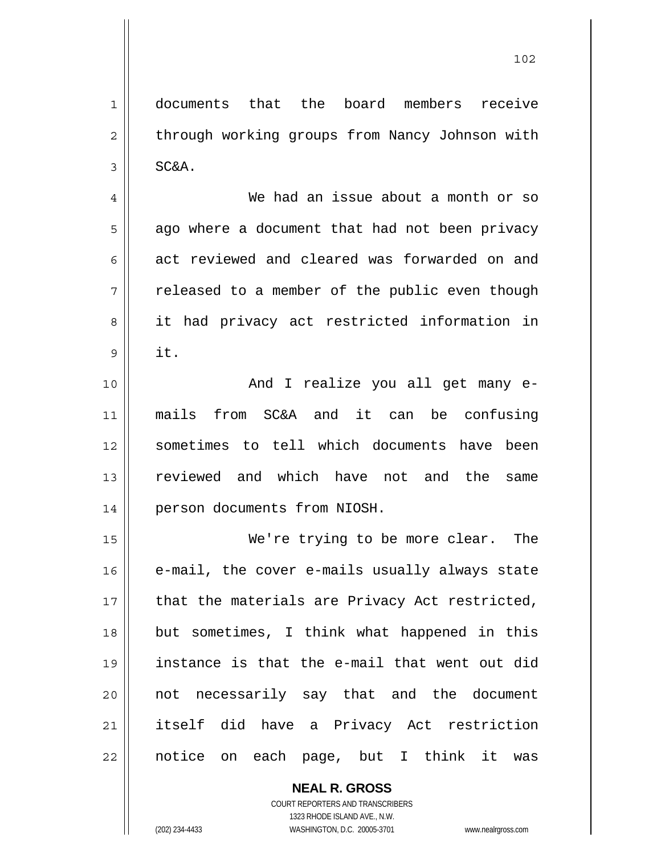1 documents that the board members receive 2 | through working groups from Nancy Johnson with  $3 \parallel$  SC&A.

4 We had an issue about a month or so  $5 \parallel$  ago where a document that had not been privacy 6 act reviewed and cleared was forwarded on and  $7 \parallel$  released to a member of the public even though 8 || it had privacy act restricted information in  $9 \parallel$  it.

10 || The Constand I realize you all get many e-11 mails from SC&A and it can be confusing 12 sometimes to tell which documents have been 13 reviewed and which have not and the same 14 | person documents from NIOSH.

We're trying to be more clear. The | e-mail, the cover e-mails usually always state || that the materials are Privacy Act restricted, 18 || but sometimes, I think what happened in this instance is that the e-mail that went out did 20 || not necessarily say that and the document itself did have a Privacy Act restriction 22 || notice on each page, but I think it was

> **NEAL R. GROSS** COURT REPORTERS AND TRANSCRIBERS

 1323 RHODE ISLAND AVE., N.W. (202) 234-4433 WASHINGTON, D.C. 20005-3701 www.nealrgross.com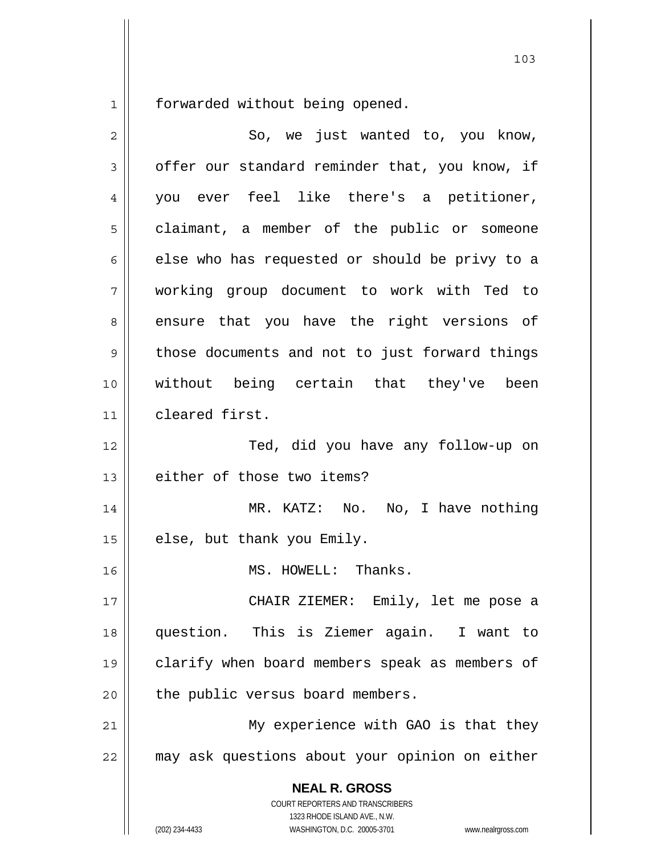forwarded without being opened.

| $\overline{c}$ | So, we just wanted to, you know,                                                                                                                                |
|----------------|-----------------------------------------------------------------------------------------------------------------------------------------------------------------|
| 3              | offer our standard reminder that, you know, if                                                                                                                  |
| 4              | you ever feel like there's a petitioner,                                                                                                                        |
| 5              | claimant, a member of the public or someone                                                                                                                     |
| 6              | else who has requested or should be privy to a                                                                                                                  |
| 7              | working group document to work with Ted to                                                                                                                      |
| 8              | ensure that you have the right versions of                                                                                                                      |
| 9              | those documents and not to just forward things                                                                                                                  |
| 10             | without being certain that they've been                                                                                                                         |
| 11             | cleared first.                                                                                                                                                  |
| 12             | Ted, did you have any follow-up on                                                                                                                              |
| 13             | either of those two items?                                                                                                                                      |
| 14             | MR. KATZ: No. No, I have nothing                                                                                                                                |
| 15             | else, but thank you Emily.                                                                                                                                      |
| 16             | MS. HOWELL: Thanks.                                                                                                                                             |
| $17$           | CHAIR ZIEMER: Emily, let me pose a                                                                                                                              |
| 18             | question. This is Ziemer again. I want to                                                                                                                       |
| 19             | clarify when board members speak as members of                                                                                                                  |
| 20             | the public versus board members.                                                                                                                                |
| 21             | My experience with GAO is that they                                                                                                                             |
| 22             | may ask questions about your opinion on either                                                                                                                  |
|                | <b>NEAL R. GROSS</b><br>COURT REPORTERS AND TRANSCRIBERS<br>1323 RHODE ISLAND AVE., N.W.<br>(202) 234-4433<br>WASHINGTON, D.C. 20005-3701<br>www.nealrgross.com |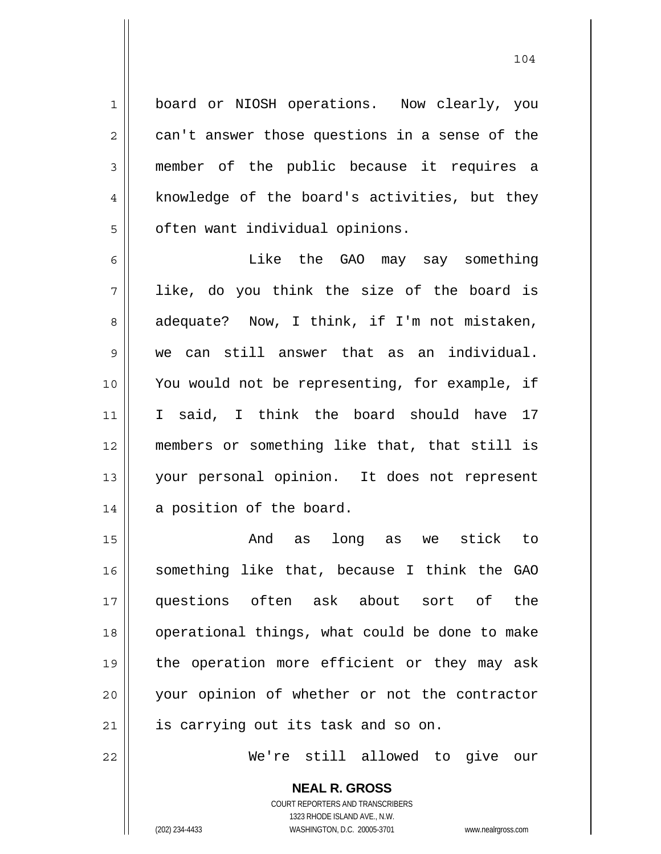1 || board or NIOSH operations. Now clearly, you  $2 \parallel$  can't answer those questions in a sense of the 3 member of the public because it requires a 4 || knowledge of the board's activities, but they  $5 \parallel$  often want individual opinions.

104

6 || Like the GAO may say something  $7 \parallel$  like, do you think the size of the board is  $8 \parallel$  adequate? Now, I think, if I'm not mistaken, 9 we can still answer that as an individual. 10 You would not be representing, for example, if 11 I said, I think the board should have 17 12 members or something like that, that still is 13 your personal opinion. It does not represent 14 | a position of the board.

And as long as we stick to something like that, because I think the GAO questions often ask about sort of the 18 || operational things, what could be done to make 19 || the operation more efficient or they may ask your opinion of whether or not the contractor is carrying out its task and so on.

22 We're still allowed to give our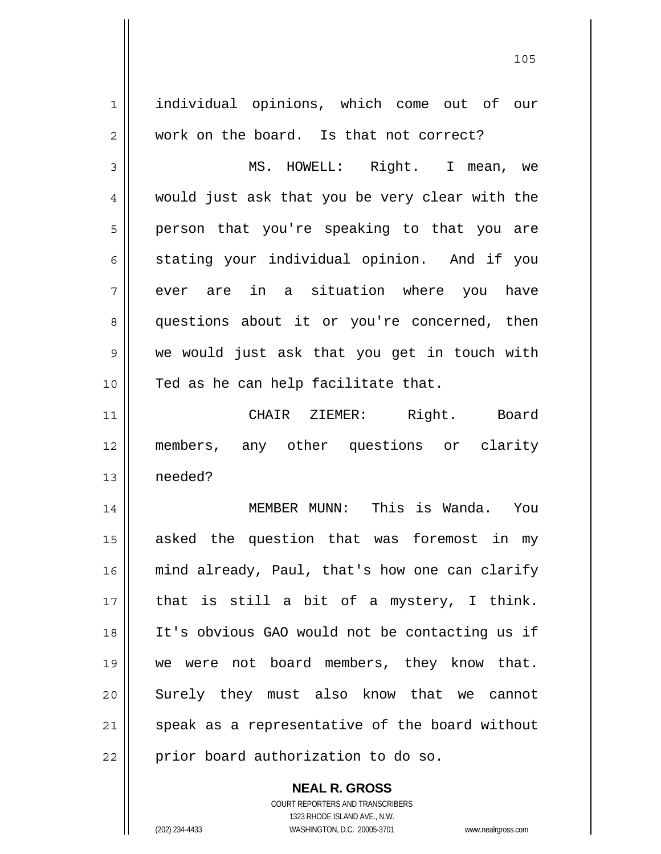| 1  | individual opinions, which come out of our     |
|----|------------------------------------------------|
| 2  | work on the board. Is that not correct?        |
| 3  | MS. HOWELL: Right. I mean, we                  |
| 4  | would just ask that you be very clear with the |
| 5  | person that you're speaking to that you are    |
| 6  | stating your individual opinion. And if you    |
| 7  | ever are in a situation where you have         |
| 8  | questions about it or you're concerned, then   |
| 9  | we would just ask that you get in touch with   |
| 10 | Ted as he can help facilitate that.            |
| 11 | CHAIR ZIEMER: Right.<br>Board                  |
| 12 | members, any other questions or clarity        |
| 13 | needed?                                        |
| 14 | MEMBER MUNN: This is Wanda. You                |
| 15 | asked the question that was foremost in my     |
| 16 | mind already, Paul, that's how one can clarify |
| 17 | that is still a bit of a mystery, I think.     |
| 18 | It's obvious GAO would not be contacting us if |
| 19 | we were not board members, they know that.     |
| 20 | Surely they must also know that we cannot      |
| 21 |                                                |
|    | speak as a representative of the board without |

 **NEAL R. GROSS** COURT REPORTERS AND TRANSCRIBERS

1323 RHODE ISLAND AVE., N.W.

(202) 234-4433 WASHINGTON, D.C. 20005-3701 www.nealrgross.com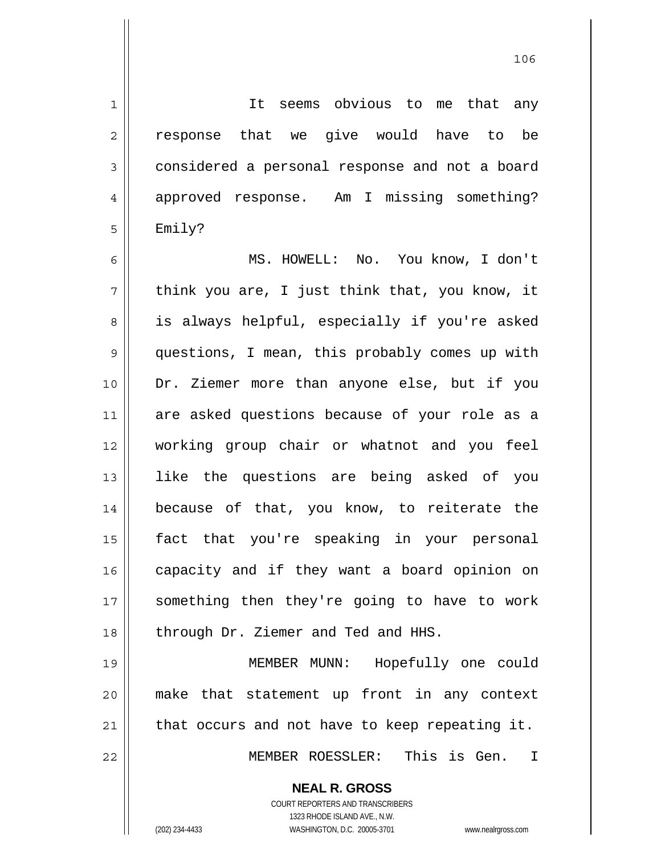<u>106</u>

 **NEAL R. GROSS** 1 || It seems obvious to me that any 2 || response that we give would have to be 3 considered a personal response and not a board 4 approved response. Am I missing something?  $5 \parallel$  Emily? 6 MS. HOWELL: No. You know, I don't  $7 \parallel$  think you are, I just think that, you know, it 8 || is always helpful, especially if you're asked 9 || questions, I mean, this probably comes up with 10 Dr. Ziemer more than anyone else, but if you 11 are asked questions because of your role as a 12 working group chair or whatnot and you feel 13 like the questions are being asked of you 14 because of that, you know, to reiterate the 15 fact that you're speaking in your personal 16 || capacity and if they want a board opinion on 17 || something then they're going to have to work 18 || through Dr. Ziemer and Ted and HHS. 19 MEMBER MUNN: Hopefully one could 20 make that statement up front in any context  $21$  | that occurs and not have to keep repeating it. 22 MEMBER ROESSLER: This is Gen. I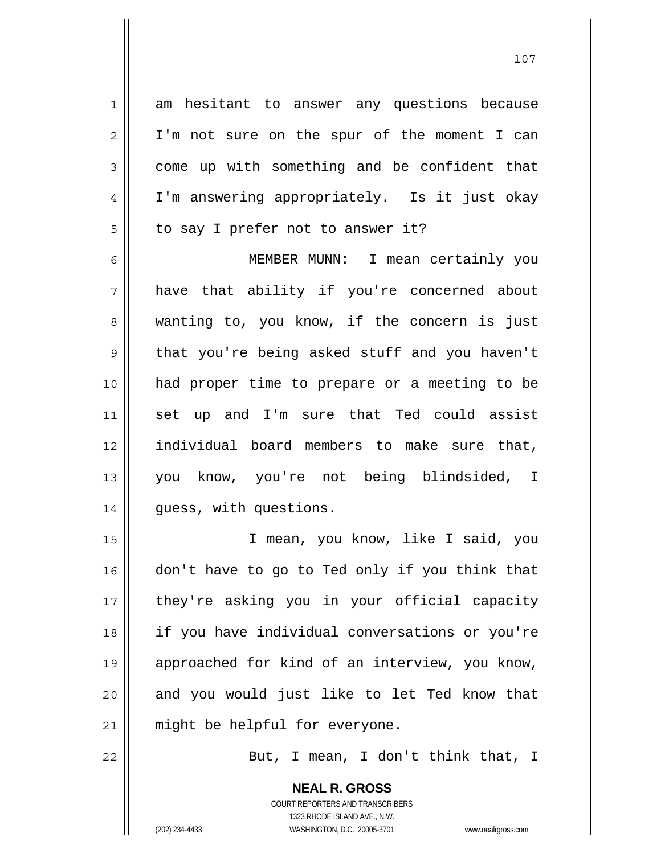1 am hesitant to answer any questions because 2 || I'm not sure on the spur of the moment I can  $3 \parallel$  come up with something and be confident that 4 I'm answering appropriately. Is it just okay  $5 \parallel$  to say I prefer not to answer it?

MEMBER MUNN: I mean certainly you have that ability if you're concerned about 8 wanting to, you know, if the concern is just 9 that you're being asked stuff and you haven't had proper time to prepare or a meeting to be set up and I'm sure that Ted could assist individual board members to make sure that, you know, you're not being blindsided, I 14 || quess, with questions.

15 I mean, you know, like I said, you 16 don't have to go to Ted only if you think that 17 || they're asking you in your official capacity 18 if you have individual conversations or you're 19 approached for kind of an interview, you know, 20 || and you would just like to let Ted know that 21 || might be helpful for everyone.

22 || But, I mean, I don't think that, I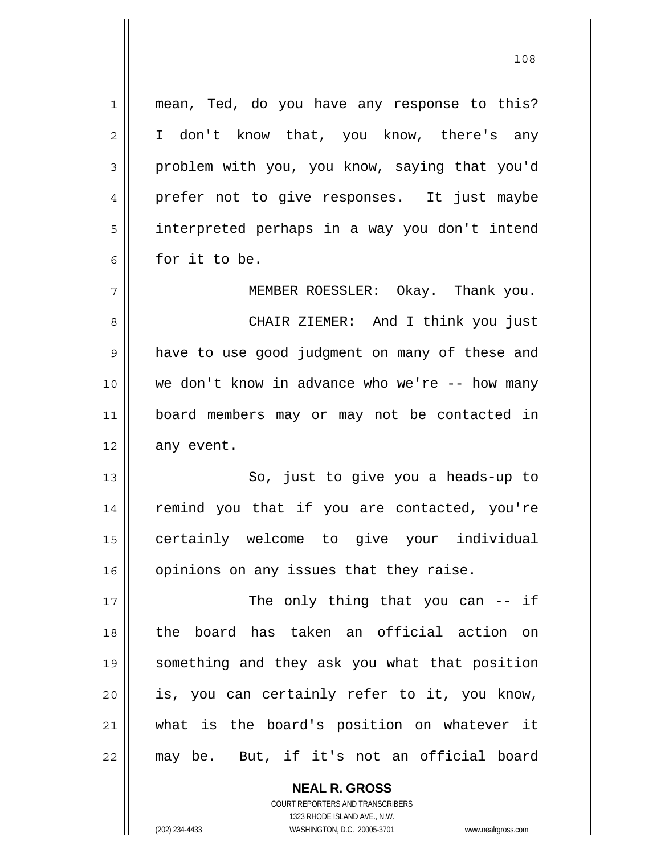1 || mean, Ted, do you have any response to this? 2 || I don't know that, you know, there's any 3 problem with you, you know, saying that you'd 4 prefer not to give responses. It just maybe 5 interpreted perhaps in a way you don't intend  $6 \parallel$  for it to be. 7 MEMBER ROESSLER: Okay. Thank you. 8 CHAIR ZIEMER: And I think you just 9 || have to use good judgment on many of these and 10 we don't know in advance who we're -- how many 11 board members may or may not be contacted in  $12 \parallel$  any event. 13 || So, just to give you a heads-up to 14 || remind you that if you are contacted, you're 15 certainly welcome to give your individual 16 | opinions on any issues that they raise. 17 || The only thing that you can -- if 18 the board has taken an official action on 19 something and they ask you what that position 20 is, you can certainly refer to it, you know, 21 what is the board's position on whatever it 22 may be. But, if it's not an official board

> COURT REPORTERS AND TRANSCRIBERS 1323 RHODE ISLAND AVE., N.W. (202) 234-4433 WASHINGTON, D.C. 20005-3701 www.nealrgross.com

 **NEAL R. GROSS**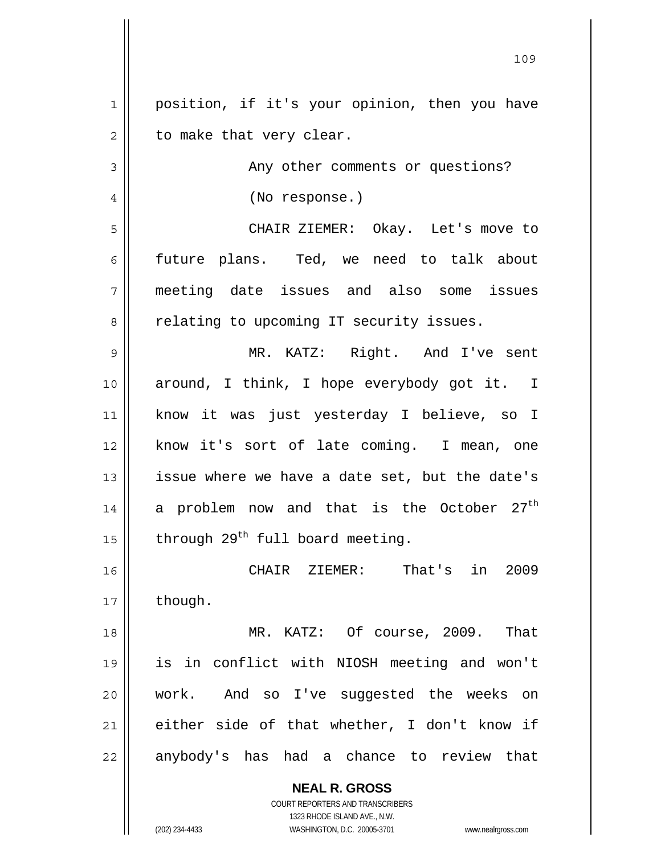**NEAL R. GROSS** 1 | position, if it's your opinion, then you have  $2 \parallel$  to make that very clear. 3 || Any other comments or questions? 4 || (No response.) 5 CHAIR ZIEMER: Okay. Let's move to 6 future plans. Ted, we need to talk about 7 meeting date issues and also some issues 8 | relating to upcoming IT security issues. 9 MR. KATZ: Right. And I've sent 10 around, I think, I hope everybody got it. I 11 know it was just yesterday I believe, so I 12 || know it's sort of late coming. I mean, one 13 || issue where we have a date set, but the date's 14 || a problem now and that is the October  $27^{\text{th}}$ 15  $\parallel$  through 29<sup>th</sup> full board meeting. 16 CHAIR ZIEMER: That's in 2009  $17$  | though. 18 MR. KATZ: Of course, 2009. That 19 is in conflict with NIOSH meeting and won't 20 work. And so I've suggested the weeks on  $21$  either side of that whether, I don't know if 22 || anybody's has had a chance to review that

<u>109</u>

 COURT REPORTERS AND TRANSCRIBERS 1323 RHODE ISLAND AVE., N.W.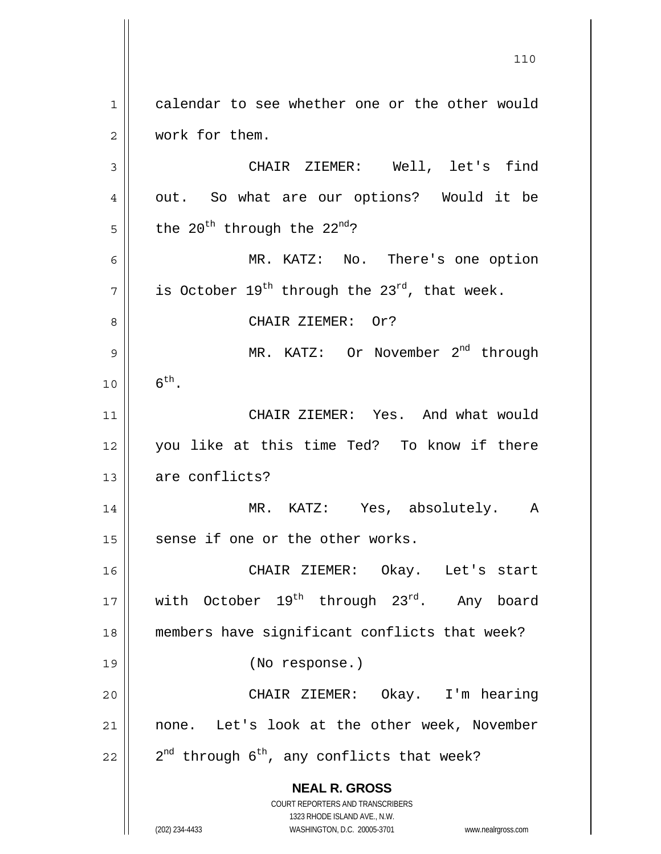**NEAL R. GROSS** COURT REPORTERS AND TRANSCRIBERS 1323 RHODE ISLAND AVE., N.W. 1 calendar to see whether one or the other would 2 | work for them. 3 CHAIR ZIEMER: Well, let's find 4 || out. So what are our options? Would it be  $5 \parallel$  the 20<sup>th</sup> through the 22<sup>nd</sup>? 6 MR. KATZ: No. There's one option  $\begin{array}{c|c} 7 \parallel & \text{is October } 19^{\text{th}} \text{ through the } 23^{\text{rd}} \text{, that week.} \end{array}$ 8 || CHAIR ZIEMER: Or? 9  $\parallel$  MR. KATZ: Or November 2<sup>nd</sup> through  $10 \parallel 6^{th}$ . 11 CHAIR ZIEMER: Yes. And what would 12 you like at this time Ted? To know if there 13 are conflicts? 14 MR. KATZ: Yes, absolutely. A  $15$  sense if one or the other works. 16 CHAIR ZIEMER: Okay. Let's start 17 with October 19<sup>th</sup> through 23<sup>rd</sup>. Any board 18 members have significant conflicts that week? 19 (No response.) 20 CHAIR ZIEMER: Okay. I'm hearing 21 || none. Let's look at the other week, November 22  $\parallel$  2<sup>nd</sup> through 6<sup>th</sup>, any conflicts that week?

110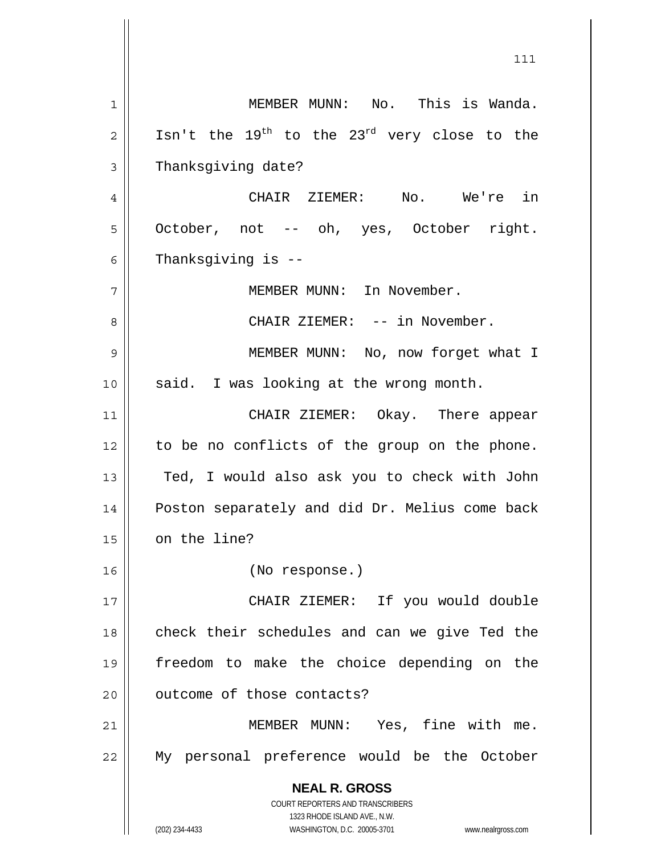**NEAL R. GROSS** COURT REPORTERS AND TRANSCRIBERS 1323 RHODE ISLAND AVE., N.W. (202) 234-4433 WASHINGTON, D.C. 20005-3701 www.nealrgross.com 1 MEMBER MUNN: No. This is Wanda. 2  $\parallel$  Isn't the 19<sup>th</sup> to the 23<sup>rd</sup> very close to the 3 | Thanksqiving date? 4 CHAIR ZIEMER: No. We're in 5 || October, not -- oh, yes, October right.  $6 \parallel$  Thanksgiving is --7 || MEMBER MUNN: In November. 8 CHAIR ZIEMER: -- in November. 9 MEMBER MUNN: No, now forget what I 10 || said. I was looking at the wrong month. 11 CHAIR ZIEMER: Okay. There appear 12 || to be no conflicts of the group on the phone. 13 || Ted, I would also ask you to check with John 14 Poston separately and did Dr. Melius come back 15 | on the line? 16 (No response.) 17 CHAIR ZIEMER: If you would double 18 || check their schedules and can we give Ted the 19 freedom to make the choice depending on the 20 | outcome of those contacts? 21 || MEMBER MUNN: Yes, fine with me. 22 My personal preference would be the October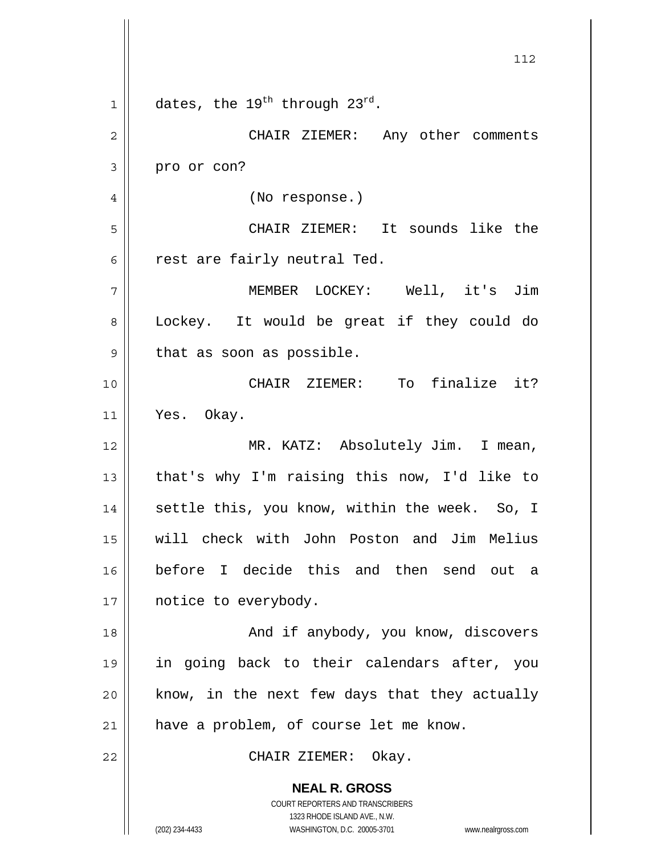**NEAL R. GROSS** COURT REPORTERS AND TRANSCRIBERS 112 1 | dates, the 19<sup>th</sup> through 23<sup>rd</sup>. 2 CHAIR ZIEMER: Any other comments  $3 \parallel$  pro or con? 4 || (No response.) 5 CHAIR ZIEMER: It sounds like the  $6 \parallel$  rest are fairly neutral Ted. 7 MEMBER LOCKEY: Well, it's Jim 8 || Lockey. It would be great if they could do  $9 \parallel$  that as soon as possible. 10 CHAIR ZIEMER: To finalize it? 11 Yes. Okay. 12 || MR. KATZ: Absolutely Jim. I mean, 13  $\parallel$  that's why I'm raising this now, I'd like to 14 || settle this, you know, within the week. So, I 15 will check with John Poston and Jim Melius 16 before I decide this and then send out a 17 | notice to everybody. 18 And if anybody, you know, discovers 19 in going back to their calendars after, you  $20$  || know, in the next few days that they actually 21 || have a problem, of course let me know. 22 CHAIR ZIEMER: Okay.

1323 RHODE ISLAND AVE., N.W.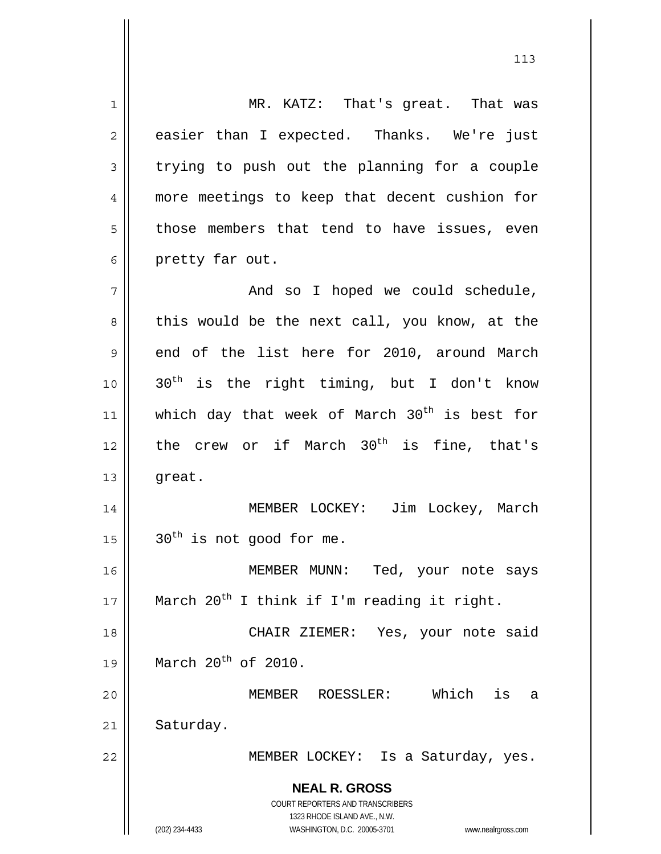**NEAL R. GROSS** COURT REPORTERS AND TRANSCRIBERS 1323 RHODE ISLAND AVE., N.W. (202) 234-4433 WASHINGTON, D.C. 20005-3701 www.nealrgross.com 1 || MR. KATZ: That's great. That was  $2 \parallel$  easier than I expected. Thanks. We're just  $3 \parallel$  trying to push out the planning for a couple 4 more meetings to keep that decent cushion for  $5 \parallel$  those members that tend to have issues, even 6 | pretty far out. 7 And so I hoped we could schedule,  $8 \parallel$  this would be the next call, you know, at the  $9 \parallel$  end of the list here for 2010, around March  $10$  ||  $30<sup>th</sup>$  is the right timing, but I don't know 11 || which day that week of March  $30<sup>th</sup>$  is best for 12  $\parallel$  the crew or if March 30<sup>th</sup> is fine, that's 13 || great. 14 || MEMBER LOCKEY: Jim Lockey, March  $15$  |  $30<sup>th</sup>$  is not good for me. 16 || MEMBER MUNN: Ted, your note says 17  $\parallel$  March 20<sup>th</sup> I think if I'm reading it right. 18 || CHAIR ZIEMER: Yes, your note said 19 | March  $20^{th}$  of 2010. 20 MEMBER ROESSLER: Which is a 21 | Saturday. 22 | MEMBER LOCKEY: Is a Saturday, yes.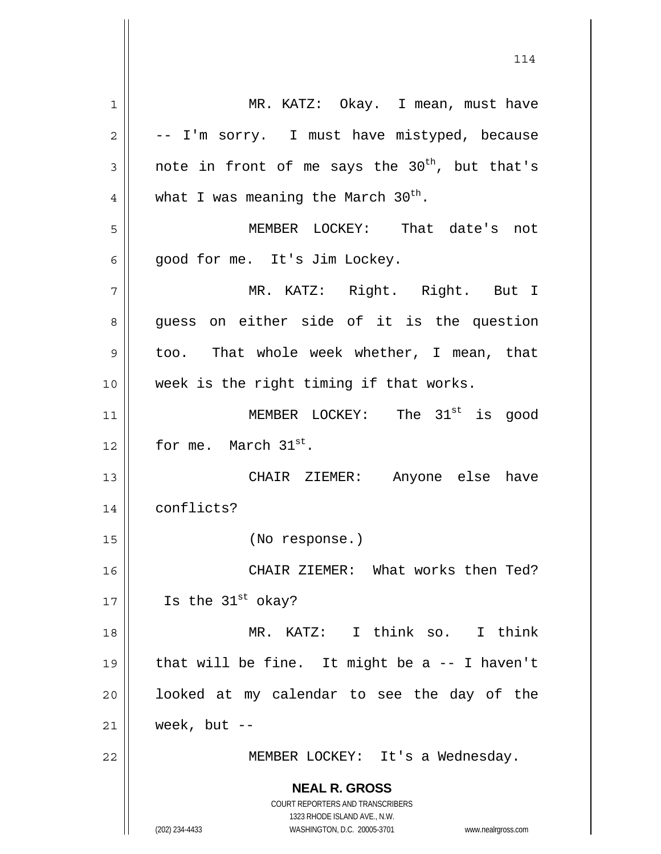**NEAL R. GROSS** COURT REPORTERS AND TRANSCRIBERS 1323 RHODE ISLAND AVE., N.W. (202) 234-4433 WASHINGTON, D.C. 20005-3701 www.nealrgross.com 1 | MR. KATZ: Okay. I mean, must have  $2 \parallel$  -- I'm sorry. I must have mistyped, because  $3 \parallel$  note in front of me says the  $30^{\text{th}}$ , but that's 4 || what I was meaning the March 30<sup>th</sup>. 5 MEMBER LOCKEY: That date's not 6 | good for me. It's Jim Lockey. 7 MR. KATZ: Right. Right. But I 8 guess on either side of it is the question 9 too. That whole week whether, I mean, that 10 || week is the right timing if that works. 11 || MEMBER LOCKEY: The  $31^{\text{st}}$  is good 12 || for me. March  $31^{st}$ . 13 CHAIR ZIEMER: Anyone else have 14 conflicts? 15 (No response.) 16 CHAIR ZIEMER: What works then Ted? 17  $\parallel$  Is the 31<sup>st</sup> okay? 18 MR. KATZ: I think so. I think 19  $\parallel$  that will be fine. It might be a -- I haven't  $20$  || looked at my calendar to see the day of the  $21$  week, but  $-$ 22 || MEMBER LOCKEY: It's a Wednesday.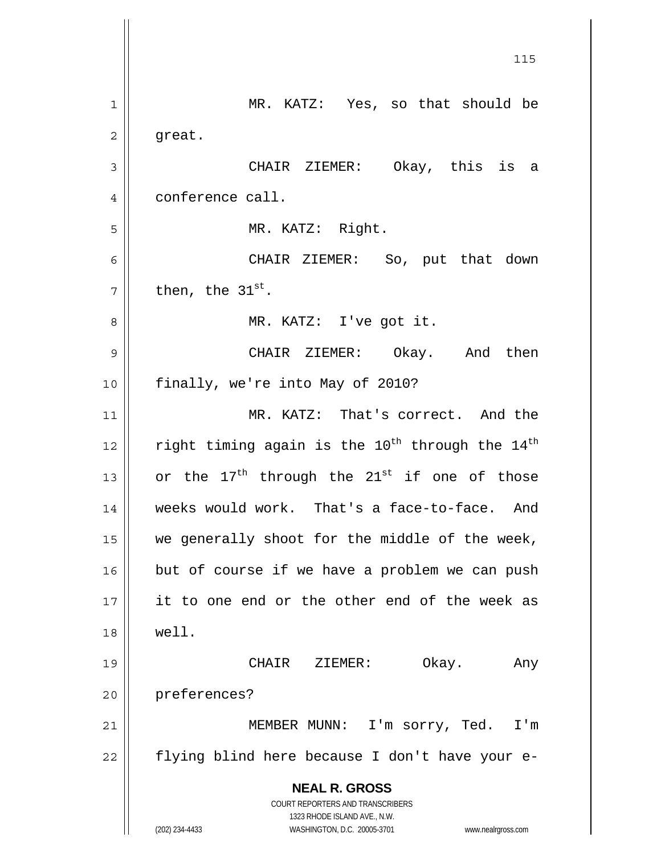**NEAL R. GROSS** COURT REPORTERS AND TRANSCRIBERS 1323 RHODE ISLAND AVE., N.W. (202) 234-4433 WASHINGTON, D.C. 20005-3701 www.nealrgross.com <u>115</u> 1 MR. KATZ: Yes, so that should be  $2 \parallel$  great. 3 CHAIR ZIEMER: Okay, this is a 4 | conference call. 5 MR. KATZ: Right. 6 CHAIR ZIEMER: So, put that down  $\vert 7 \vert \vert$  then, the 31<sup>st</sup>. 8 || MR. KATZ: I've got it. 9 CHAIR ZIEMER: Okay. And then 10 || finally, we're into May of 2010? 11 || MR. KATZ: That's correct. And the 12  $\parallel$  right timing again is the 10<sup>th</sup> through the 14<sup>th</sup> 13  $\parallel$  or the 17<sup>th</sup> through the 21<sup>st</sup> if one of those 14 || weeks would work. That's a face-to-face. And  $15$  we generally shoot for the middle of the week,  $16$  but of course if we have a problem we can push 17 || it to one end or the other end of the week as 18 well. 19 CHAIR ZIEMER: Okay. Any 20 preferences? 21 MEMBER MUNN: I'm sorry, Ted. I'm  $22$  | flying blind here because I don't have your e-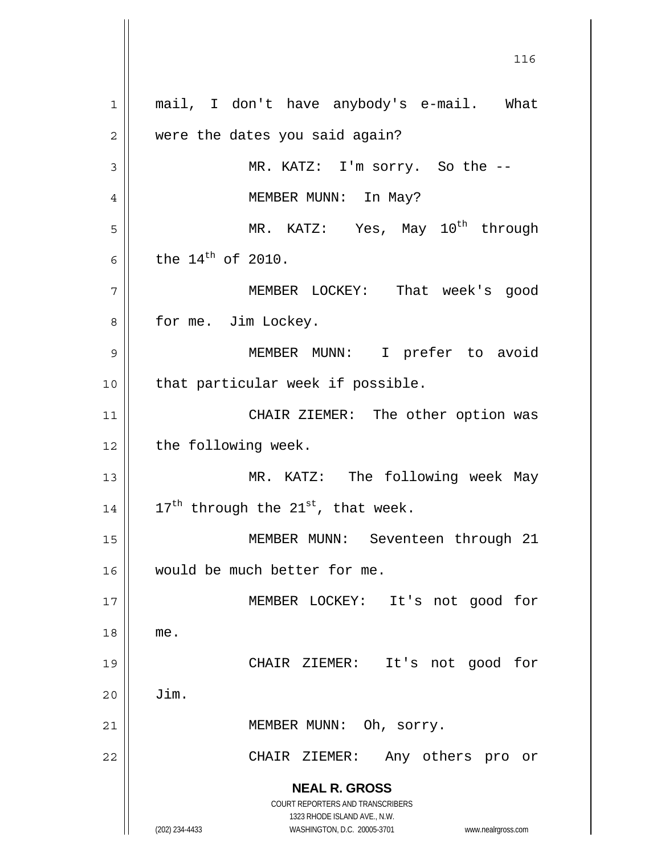**NEAL R. GROSS** COURT REPORTERS AND TRANSCRIBERS 1323 RHODE ISLAND AVE., N.W. (202) 234-4433 WASHINGTON, D.C. 20005-3701 www.nealrgross.com 1 || mail, I don't have anybody's e-mail. What 2 | were the dates you said again? 3 MR. KATZ: I'm sorry. So the -- 4 | MEMBER MUNN: In May?  $\vert$  5 || MR. KATZ: Yes, May  $10^{\text{th}}$  through 6 the  $14^{th}$  of 2010. 7 MEMBER LOCKEY: That week's good 8 || for me. Jim Lockey. 9 MEMBER MUNN: I prefer to avoid 10 || that particular week if possible. 11 || CHAIR ZIEMER: The other option was  $12$  | the following week. 13 || MR. KATZ: The following week May 14  $\vert$  17<sup>th</sup> through the 21<sup>st</sup>, that week. 15 || MEMBER MUNN: Seventeen through 21 16 would be much better for me. 17 MEMBER LOCKEY: It's not good for 18 me. 19 CHAIR ZIEMER: It's not good for  $20$   $\parallel$   $\quad$  Jim. 21 || MEMBER MUNN: Oh, sorry. 22 CHAIR ZIEMER: Any others pro or

<u>116</u>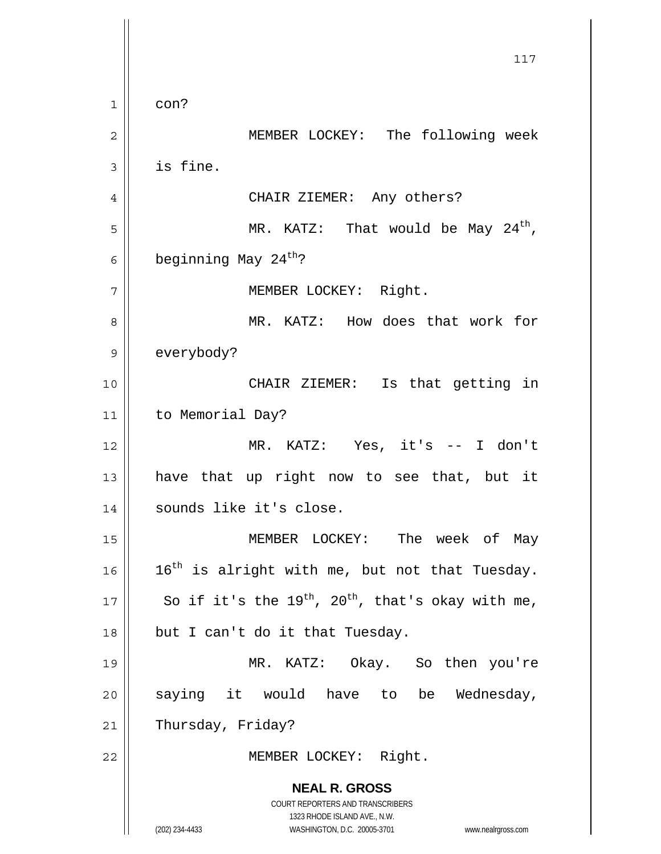**NEAL R. GROSS** COURT REPORTERS AND TRANSCRIBERS 1323 RHODE ISLAND AVE., N.W. (202) 234-4433 WASHINGTON, D.C. 20005-3701 www.nealrgross.com 117  $1 \parallel \cdot \cdot \cdot \cdot$ 2 MEMBER LOCKEY: The following week  $3 \parallel$  is fine. 4 CHAIR ZIEMER: Any others?  $\vert$  5 | MR. KATZ: That would be May 24<sup>th</sup>, 6 beginning May 24<sup>th</sup>? 7 | MEMBER LOCKEY: Right. 8 MR. KATZ: How does that work for 9 | everybody? 10 CHAIR ZIEMER: Is that getting in 11 to Memorial Day? 12 MR. KATZ: Yes, it's -- I don't 13  $\parallel$  have that up right now to see that, but it 14 || sounds like it's close. 15 MEMBER LOCKEY: The week of May 16 |  $16$ <sup>th</sup> is alright with me, but not that Tuesday. 17 So if it's the 19<sup>th</sup>, 20<sup>th</sup>, that's okay with me,  $18$  | but I can't do it that Tuesday. 19 MR. KATZ: Okay. So then you're 20 saying it would have to be Wednesday, 21 | Thursday, Friday? 22 || MEMBER LOCKEY: Right.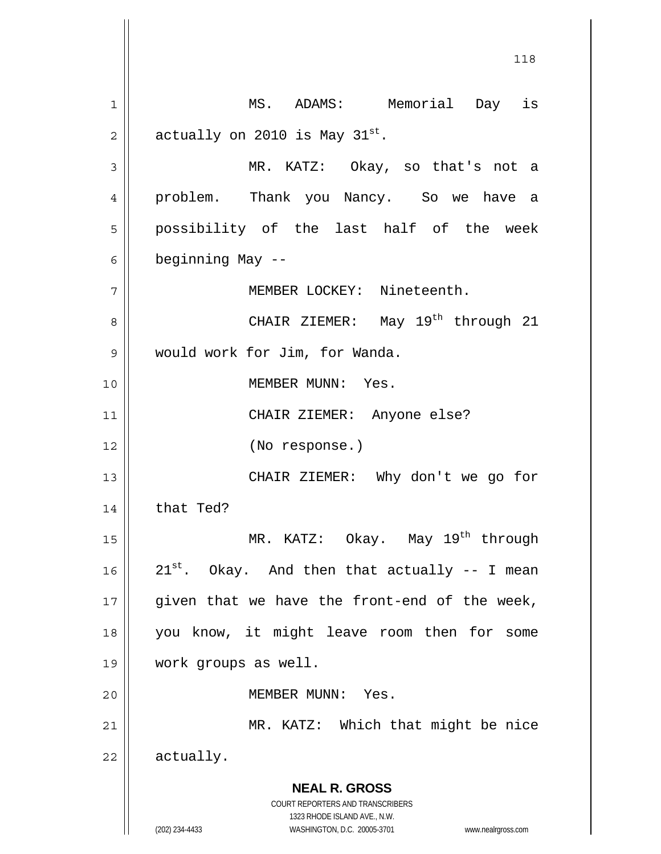**NEAL R. GROSS** COURT REPORTERS AND TRANSCRIBERS 1323 RHODE ISLAND AVE., N.W. (202) 234-4433 WASHINGTON, D.C. 20005-3701 www.nealrgross.com 118 1 MS. ADAMS: Memorial Day is 2 || actually on 2010 is May  $31^{st}$ . 3 MR. KATZ: Okay, so that's not a 4 problem. Thank you Nancy. So we have a 5 || possibility of the last half of the week 6  $\parallel$  beginning May --7 || MEMBER LOCKEY: Nineteenth. CHAIR ZIEMER: May 19th 8 through 21 9 would work for Jim, for Wanda. 10 MEMBER MUNN: Yes. 11 CHAIR ZIEMER: Anyone else? 12 (No response.) 13 || CHAIR ZIEMER: Why don't we go for  $14$  that Ted? 15  $\parallel$  MR. KATZ: Okay. May 19<sup>th</sup> through 16  $\parallel$  21<sup>st</sup>. Okay. And then that actually -- I mean  $17$  || given that we have the front-end of the week, 18 you know, it might leave room then for some 19 work groups as well. 20 MEMBER MUNN: Yes. 21 || MR. KATZ: Which that might be nice 22 actually.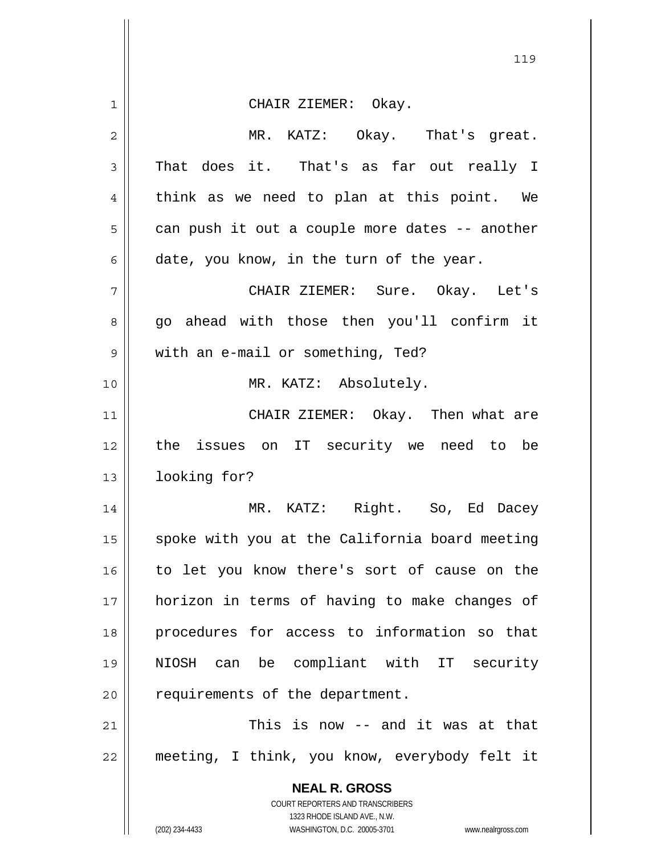|             | 119                                                                 |
|-------------|---------------------------------------------------------------------|
| $\mathbf 1$ | CHAIR ZIEMER: Okay.                                                 |
| 2           | MR. KATZ: Okay. That's great.                                       |
| 3           | That does it. That's as far out really I                            |
| 4           | think as we need to plan at this point. We                          |
| 5           | can push it out a couple more dates -- another                      |
| 6           | date, you know, in the turn of the year.                            |
| 7           | CHAIR ZIEMER: Sure. Okay. Let's                                     |
| 8           | go ahead with those then you'll confirm it                          |
| 9           | with an e-mail or something, Ted?                                   |
| 10          | MR. KATZ: Absolutely.                                               |
| 11          | CHAIR ZIEMER: Okay. Then what are                                   |
| 12          | the issues on IT security we need to be                             |
| 13          | looking for?                                                        |
| 14          | MR. KATZ: Right. So, Ed Dacey                                       |
| 15          | spoke with you at the California board meeting                      |
| 16          | to let you know there's sort of cause on the                        |
| 17          | horizon in terms of having to make changes of                       |
| 18          | procedures for access to information so that                        |
| 19          | NIOSH can be compliant with IT security                             |
| 20          | requirements of the department.                                     |
| 21          | This is now -- and it was at that                                   |
| 22          | meeting, I think, you know, everybody felt it                       |
|             | <b>NEAL R. GROSS</b>                                                |
|             | COURT REPORTERS AND TRANSCRIBERS<br>1323 RHODE ISLAND AVE., N.W.    |
|             | (202) 234-4433<br>WASHINGTON, D.C. 20005-3701<br>www.nealrgross.com |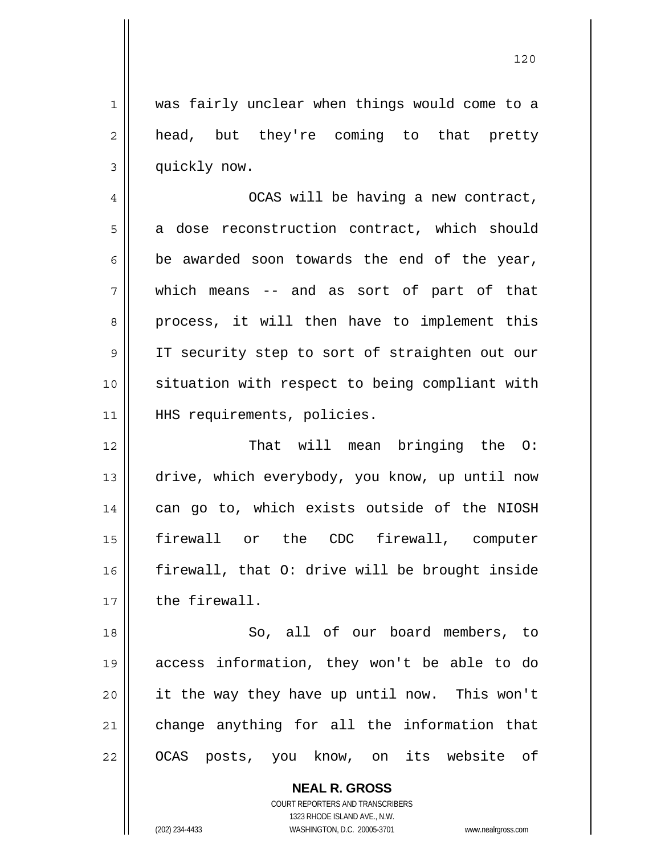1 was fairly unclear when things would come to a 2 || head, but they're coming to that pretty 3 | quickly now.

4 OCAS will be having a new contract, 5 a dose reconstruction contract, which should  $6 \parallel$  be awarded soon towards the end of the year, 7 which means -- and as sort of part of that 8 || process, it will then have to implement this 9 || IT security step to sort of straighten out our 10 situation with respect to being compliant with 11 || HHS requirements, policies.

12 || That will mean bringing the O: 13 || drive, which everybody, you know, up until now 14 || can go to, which exists outside of the NIOSH 15 firewall or the CDC firewall, computer 16 firewall, that O: drive will be brought inside 17 l the firewall.

18 || So, all of our board members, to 19 access information, they won't be able to do 20 it the way they have up until now. This won't 21 || change anything for all the information that 22 || OCAS posts, you know, on its website of

> **NEAL R. GROSS** COURT REPORTERS AND TRANSCRIBERS 1323 RHODE ISLAND AVE., N.W. (202) 234-4433 WASHINGTON, D.C. 20005-3701 www.nealrgross.com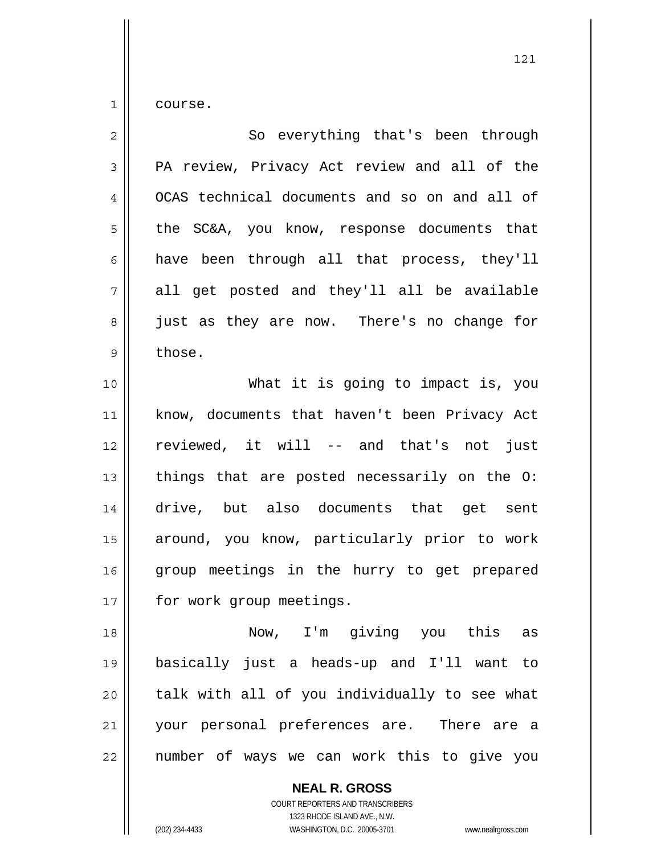$1 \parallel$  course.

| $\overline{2}$ | So everything that's been through             |
|----------------|-----------------------------------------------|
| 3              | PA review, Privacy Act review and all of the  |
| 4              | OCAS technical documents and so on and all of |
| 5              | the SC&A, you know, response documents that   |
| 6              | have been through all that process, they'll   |
| 7              | all get posted and they'll all be available   |
| 8              | just as they are now. There's no change for   |
| $\mathsf 9$    | those.                                        |
| 10             | What it is going to impact is, you            |
| 11             | know, documents that haven't been Privacy Act |
| 12             | reviewed, it will -- and that's not just      |
| 13             | things that are posted necessarily on the O:  |
| 14             | drive, but also documents that get sent       |
| 15             | around, you know, particularly prior to work  |
| 16             | group meetings in the hurry to get prepared   |
| 17             | for work group meetings.                      |
| 18             | Now, I'm giving you this as                   |
| 19             | basically just a heads-up and I'll want to    |
| 20             | talk with all of you individually to see what |
| 21             | your personal preferences are. There are a    |
| 22             | number of ways we can work this to give you   |

 **NEAL R. GROSS** COURT REPORTERS AND TRANSCRIBERS

1323 RHODE ISLAND AVE., N.W.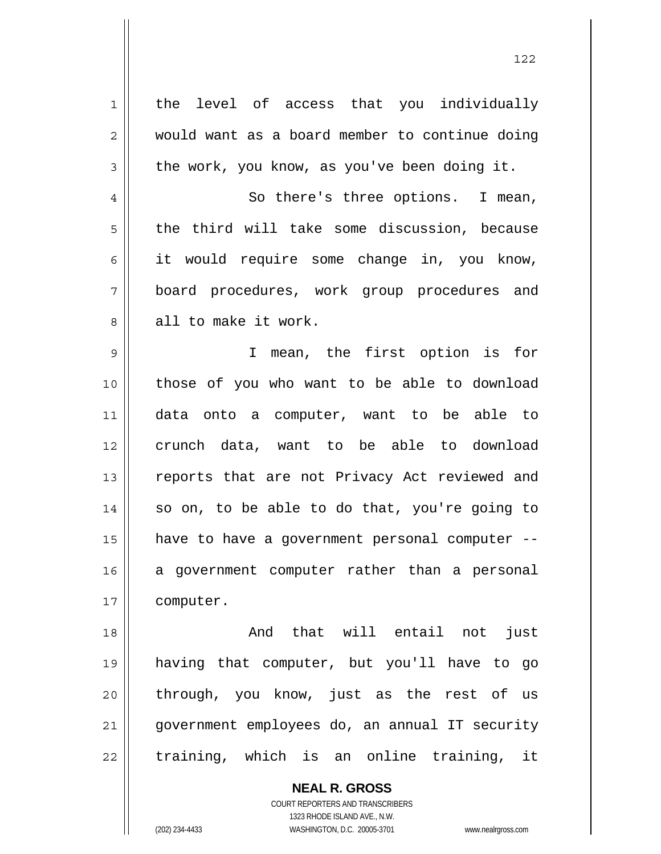1 || the level of access that you individually 2 Would want as a board member to continue doing  $3 \parallel$  the work, you know, as you've been doing it. 4 || So there's three options. I mean,  $5 \parallel$  the third will take some discussion, because  $6 \parallel$  it would require some change in, you know, 7 board procedures, work group procedures and 8 all to make it work. 9 I mean, the first option is for 10 those of you who want to be able to download 11 data onto a computer, want to be able to 12 crunch data, want to be able to download 13 || reports that are not Privacy Act reviewed and  $14$  so on, to be able to do that, you're going to 15 have to have a government personal computer -- 16 a government computer rather than a personal 17 | computer. 18 And that will entail not just 19 having that computer, but you'll have to go 20 through, you know, just as the rest of us

21 government employees do, an annual IT security  $22$  fraining, which is an online training, it

> **NEAL R. GROSS** COURT REPORTERS AND TRANSCRIBERS 1323 RHODE ISLAND AVE., N.W. (202) 234-4433 WASHINGTON, D.C. 20005-3701 www.nealrgross.com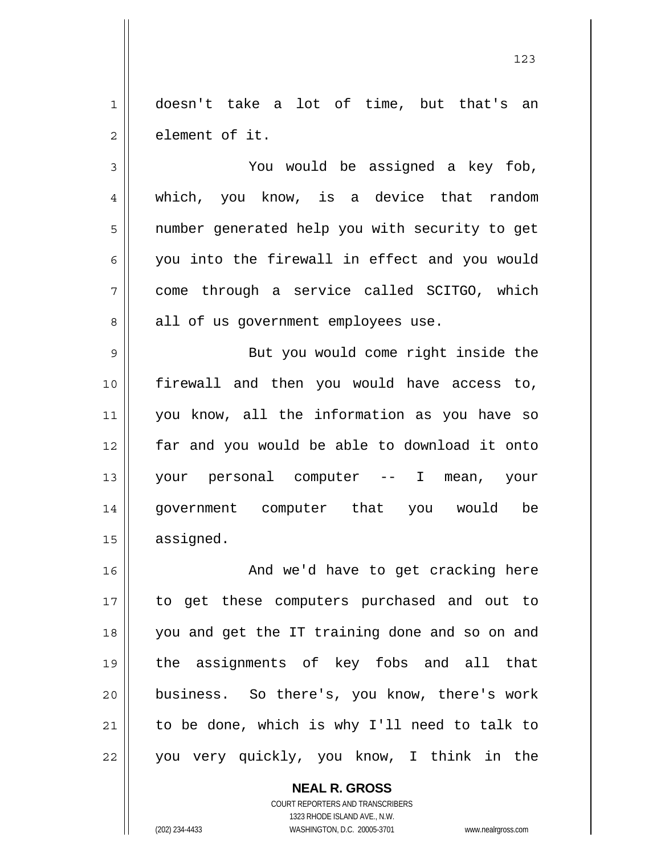1 doesn't take a lot of time, but that's an 2 l element of it.

3 You would be assigned a key fob, 4 || which, you know, is a device that random 5 || number generated help you with security to get  $6 \parallel$  you into the firewall in effect and you would 7 come through a service called SCITGO, which 8 || all of us government employees use.

9 || But you would come right inside the firewall and then you would have access to, you know, all the information as you have so far and you would be able to download it onto your personal computer -- I mean, your government computer that you would be 15 | assigned.

16 || And we'd have to get cracking here to get these computers purchased and out to you and get the IT training done and so on and the assignments of key fobs and all that business. So there's, you know, there's work to be done, which is why I'll need to talk to 22 || you very quickly, you know, I think in the

> **NEAL R. GROSS** COURT REPORTERS AND TRANSCRIBERS 1323 RHODE ISLAND AVE., N.W. (202) 234-4433 WASHINGTON, D.C. 20005-3701 www.nealrgross.com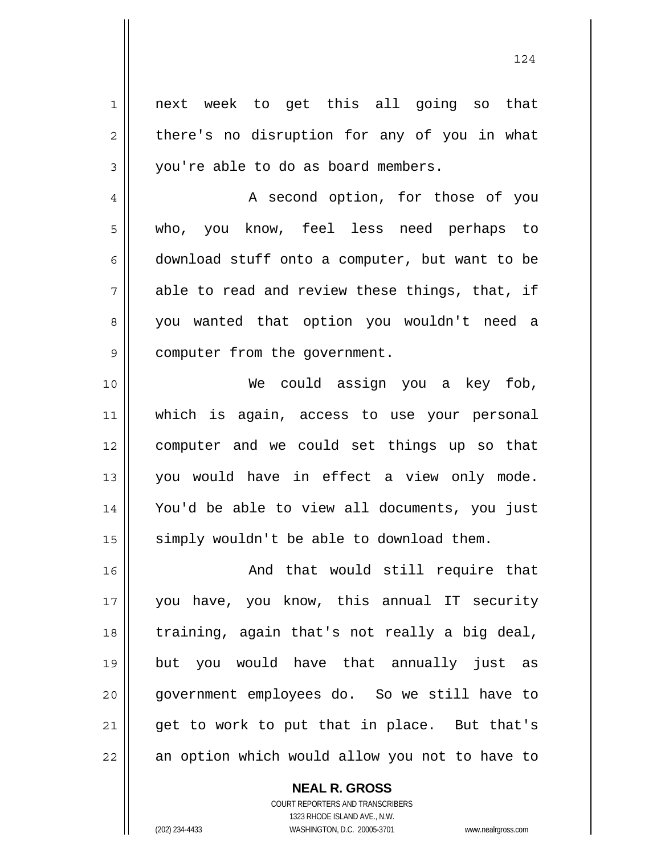1 next week to get this all going so that  $2 \parallel$  there's no disruption for any of you in what  $3 \parallel$  you're able to do as board members. 4 || A second option, for those of you 5 who, you know, feel less need perhaps to

 $6 \parallel$  download stuff onto a computer, but want to be  $7 \parallel$  able to read and review these things, that, if 8 || you wanted that option you wouldn't need a 9 | computer from the government.

We could assign you a key fob, which is again, access to use your personal computer and we could set things up so that you would have in effect a view only mode. You'd be able to view all documents, you just simply wouldn't be able to download them.

16 || And that would still require that 17 you have, you know, this annual IT security 18 || training, again that's not really a big deal, 19 but you would have that annually just as 20 government employees do. So we still have to 21 || get to work to put that in place. But that's 22 || an option which would allow you not to have to

> COURT REPORTERS AND TRANSCRIBERS 1323 RHODE ISLAND AVE., N.W. (202) 234-4433 WASHINGTON, D.C. 20005-3701 www.nealrgross.com

 **NEAL R. GROSS**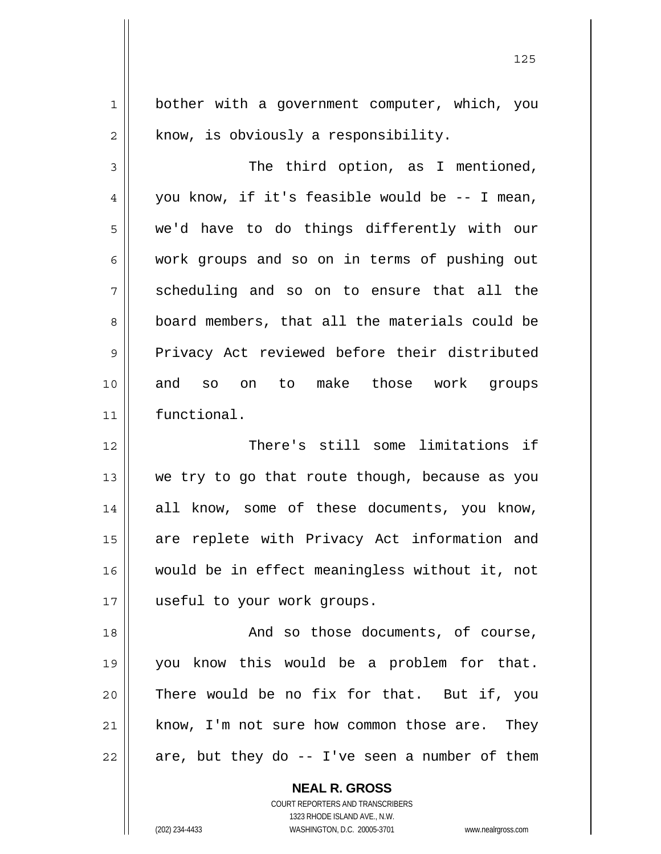1 | bother with a government computer, which, you  $2 \parallel$  know, is obviously a responsibility.

3 || The third option, as I mentioned,  $4 \parallel$  you know, if it's feasible would be -- I mean, 5 we'd have to do things differently with our 6 work groups and so on in terms of pushing out 7 Scheduling and so on to ensure that all the 8 board members, that all the materials could be 9 Privacy Act reviewed before their distributed 10 and so on to make those work groups 11 functional.

12 || There's still some limitations if 13 we try to go that route though, because as you 14 || all know, some of these documents, you know, 15 || are replete with Privacy Act information and 16 would be in effect meaningless without it, not 17 || useful to your work groups.

18 || The Sand so those documents, of course, you know this would be a problem for that. There would be no fix for that. But if, you know, I'm not sure how common those are. They || are, but they do  $-$  I've seen a number of them

> **NEAL R. GROSS** COURT REPORTERS AND TRANSCRIBERS 1323 RHODE ISLAND AVE., N.W. (202) 234-4433 WASHINGTON, D.C. 20005-3701 www.nealrgross.com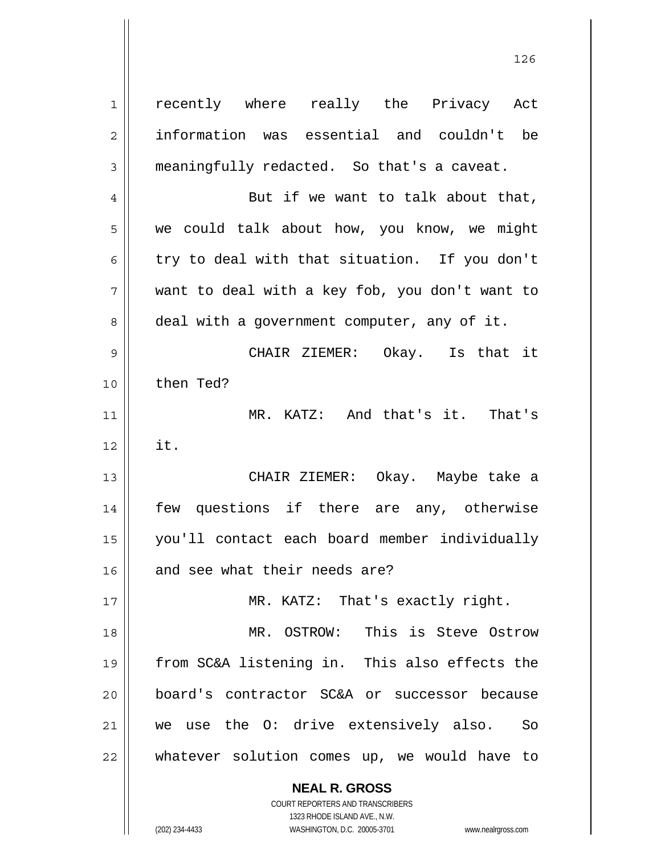**NEAL R. GROSS** 1 || recently where really the Privacy Act 2 || information was essential and couldn't be 3 meaningfully redacted. So that's a caveat. 4  $\parallel$  But if we want to talk about that, 5 we could talk about how, you know, we might 6 try to deal with that situation. If you don't  $7 \parallel$  want to deal with a key fob, you don't want to 8 deal with a government computer, any of it. 9 CHAIR ZIEMER: Okay. Is that it 10 then Ted? 11 MR. KATZ: And that's it. That's  $12 \parallel$  it. 13 CHAIR ZIEMER: Okay. Maybe take a 14 || few questions if there are any, otherwise 15 you'll contact each board member individually  $16$  and see what their needs are? 17 || MR. KATZ: That's exactly right. 18 MR. OSTROW: This is Steve Ostrow 19 from SC&A listening in. This also effects the 20 board's contractor SC&A or successor because 21 || we use the O: drive extensively also. So 22 whatever solution comes up, we would have to

126

 COURT REPORTERS AND TRANSCRIBERS 1323 RHODE ISLAND AVE., N.W.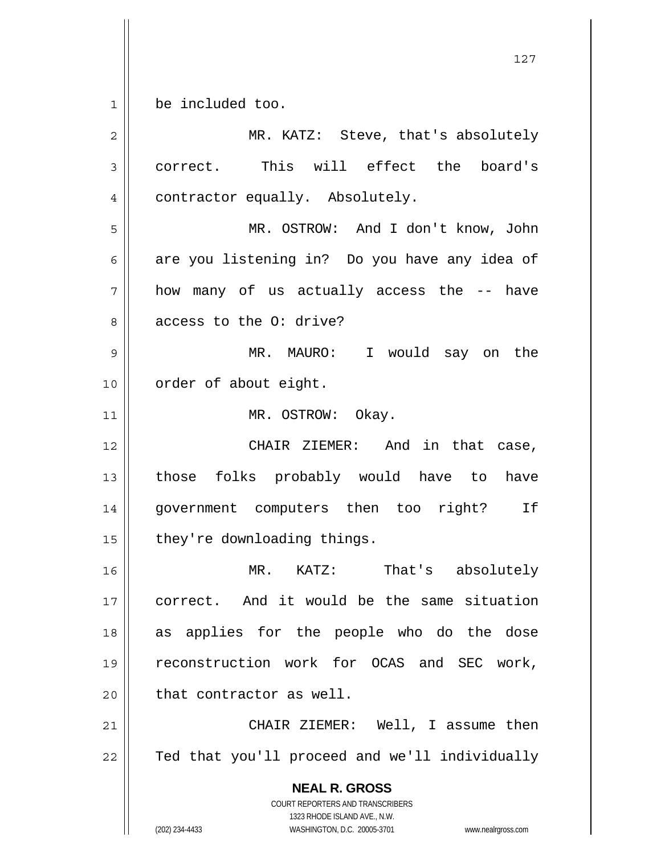1 be included too.

 **NEAL R. GROSS** COURT REPORTERS AND TRANSCRIBERS 1323 RHODE ISLAND AVE., N.W. (202) 234-4433 WASHINGTON, D.C. 20005-3701 www.nealrgross.com 2 MR. KATZ: Steve, that's absolutely 3 correct. This will effect the board's 4 | contractor equally. Absolutely. 5 MR. OSTROW: And I don't know, John 6 are you listening in? Do you have any idea of 7 how many of us actually access the -- have 8 access to the 0: drive? 9 MR. MAURO: I would say on the 10 || order of about eight. 11 || MR. OSTROW: Okay. 12 CHAIR ZIEMER: And in that case, 13 || those folks probably would have to have 14 government computers then too right? If  $15$  | they're downloading things. 16 MR. KATZ: That's absolutely 17 correct. And it would be the same situation 18 || as applies for the people who do the dose 19 reconstruction work for OCAS and SEC work,  $20$  || that contractor as well. 21 CHAIR ZIEMER: Well, I assume then 22 | Ted that you'll proceed and we'll individually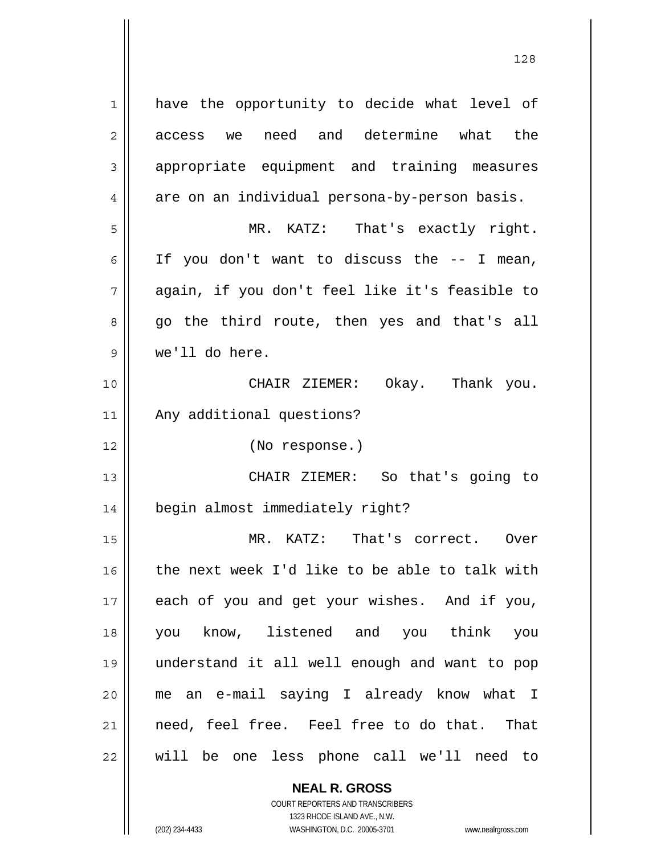| 1            | have the opportunity to decide what level of   |
|--------------|------------------------------------------------|
| $\mathbf{2}$ | need and determine what the<br>access<br>we    |
| 3            | appropriate equipment and training measures    |
| 4            | are on an individual persona-by-person basis.  |
| 5            | MR. KATZ: That's exactly right.                |
| 6            | If you don't want to discuss the -- I mean,    |
| 7            | again, if you don't feel like it's feasible to |
| 8            | go the third route, then yes and that's all    |
| 9            | we'll do here.                                 |
| 10           | CHAIR ZIEMER: Okay. Thank you.                 |
| 11           | Any additional questions?                      |
| 12           | (No response.)                                 |
| 13           | CHAIR ZIEMER: So that's going to               |
| 14           | begin almost immediately right?                |
| 15           | That's correct. Over<br>MR. KATZ:              |
| 16           | the next week I'd like to be able to talk with |
| 17           | each of you and get your wishes. And if you,   |
| 18           | you know, listened and you think you           |
| 19           | understand it all well enough and want to pop  |
| 20           | me an e-mail saying I already know what I      |
| 21           | need, feel free. Feel free to do that. That    |
| 22           | will be one less phone call we'll need to      |

 **NEAL R. GROSS** COURT REPORTERS AND TRANSCRIBERS

1323 RHODE ISLAND AVE., N.W.

(202) 234-4433 WASHINGTON, D.C. 20005-3701 www.nealrgross.com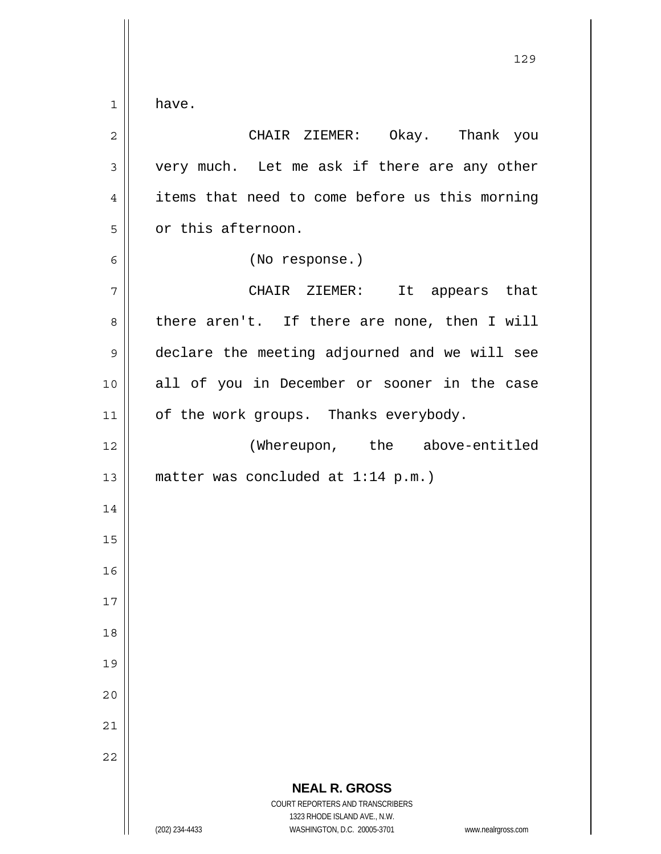$1 \parallel$  have.

| $\mathbf 2$    | CHAIR ZIEMER: Okay. Thank you                                                                       |
|----------------|-----------------------------------------------------------------------------------------------------|
| $\mathfrak{Z}$ | very much. Let me ask if there are any other                                                        |
| $\overline{4}$ | items that need to come before us this morning                                                      |
| 5              | or this afternoon.                                                                                  |
| 6              | (No response.)                                                                                      |
| 7              | CHAIR ZIEMER:<br>It appears that                                                                    |
| 8              | there aren't. If there are none, then I will                                                        |
| $\mathsf 9$    | declare the meeting adjourned and we will see                                                       |
| 10             | all of you in December or sooner in the case                                                        |
| 11             | of the work groups. Thanks everybody.                                                               |
| 12             | (Whereupon, the above-entitled                                                                      |
| 13             | matter was concluded at $1:14$ p.m.)                                                                |
| 14             |                                                                                                     |
| 15             |                                                                                                     |
| 16             |                                                                                                     |
| 17             |                                                                                                     |
| 18             |                                                                                                     |
| 19             |                                                                                                     |
| 20             |                                                                                                     |
| 21             |                                                                                                     |
| 22             |                                                                                                     |
|                | <b>NEAL R. GROSS</b><br><b>COURT REPORTERS AND TRANSCRIBERS</b>                                     |
|                | 1323 RHODE ISLAND AVE., N.W.<br>(202) 234-4433<br>WASHINGTON, D.C. 20005-3701<br>www.nealrgross.com |